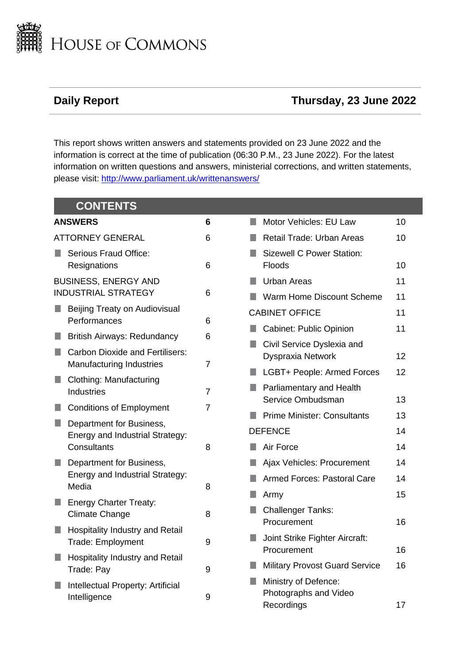

# **Daily Report Thursday, 23 June 2022**

This report shows written answers and statements provided on 23 June 2022 and the information is correct at the time of publication (06:30 P.M., 23 June 2022). For the latest information on written questions and answers, ministerial corrections, and written statements, please visit: [http://www.parliament.uk/writtenanswers/](http://www.parliament.uk/writtenanswers)

| <b>CONTENTS</b>                                                    |                |                                                             |          |
|--------------------------------------------------------------------|----------------|-------------------------------------------------------------|----------|
| <b>ANSWERS</b>                                                     | 6              | Motor Vehicles: EU Law<br>L.                                | 10       |
| <b>ATTORNEY GENERAL</b>                                            | 6              | Retail Trade: Urban Areas                                   | 10       |
| Serious Fraud Office:<br>Resignations                              | 6              | <b>Sizewell C Power Station:</b><br><b>Floods</b>           | 10       |
| <b>BUSINESS, ENERGY AND</b><br><b>INDUSTRIAL STRATEGY</b>          | 6              | <b>Urban Areas</b><br>Warm Home Discount Scheme             | 11<br>11 |
| Beijing Treaty on Audiovisual<br>Performances                      | 6              | <b>CABINET OFFICE</b>                                       | 11       |
| <b>British Airways: Redundancy</b>                                 | 6              | <b>Cabinet: Public Opinion</b>                              | 11       |
| <b>Carbon Dioxide and Fertilisers:</b><br>Manufacturing Industries | $\overline{7}$ | Civil Service Dyslexia and<br>Dyspraxia Network             | 12       |
| Clothing: Manufacturing                                            |                | LGBT+ People: Armed Forces                                  | 12       |
| <b>Industries</b>                                                  | $\overline{7}$ | Parliamentary and Health<br>Service Ombudsman               | 13       |
| <b>Conditions of Employment</b>                                    | $\overline{7}$ | <b>Prime Minister: Consultants</b>                          | 13       |
| Department for Business,<br>Energy and Industrial Strategy:        |                | <b>DEFENCE</b>                                              | 14       |
| Consultants                                                        | 8              | Air Force                                                   | 14       |
| Department for Business,                                           |                | Ajax Vehicles: Procurement                                  | 14       |
| Energy and Industrial Strategy:<br>Media                           | 8              | <b>Armed Forces: Pastoral Care</b>                          | 14       |
| <b>Energy Charter Treaty:</b>                                      |                | Army                                                        | 15       |
| <b>Climate Change</b>                                              | 8              | <b>Challenger Tanks:</b><br>Procurement                     | 16       |
| Hospitality Industry and Retail<br><b>Trade: Employment</b>        | 9              | Joint Strike Fighter Aircraft:<br>Procurement               | 16       |
| Hospitality Industry and Retail<br>Trade: Pay                      | 9              | <b>Military Provost Guard Service</b>                       | 16       |
| Intellectual Property: Artificial<br>Intelligence                  | 9              | Ministry of Defence:<br>Photographs and Video<br>Recordings | 17       |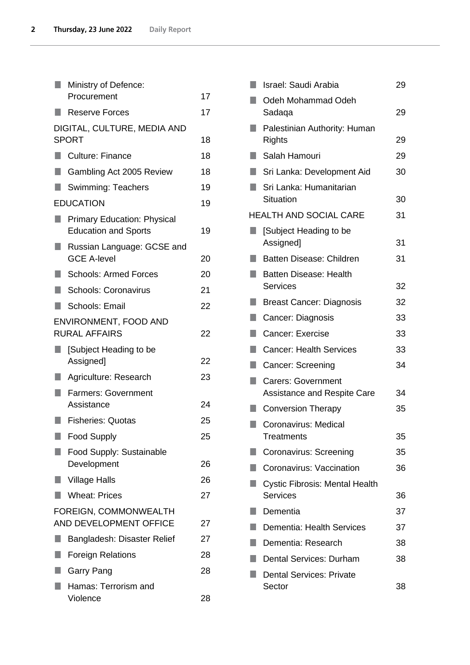|    | Ministry of Defence:                                              |    |
|----|-------------------------------------------------------------------|----|
|    | Procurement                                                       | 17 |
|    | Reserve Forces                                                    | 17 |
|    | DIGITAL, CULTURE, MEDIA AND                                       |    |
|    | <b>SPORT</b>                                                      | 18 |
|    | <b>Culture: Finance</b>                                           | 18 |
|    | Gambling Act 2005 Review                                          | 18 |
|    | <b>Swimming: Teachers</b>                                         | 19 |
|    | <b>EDUCATION</b>                                                  | 19 |
|    | <b>Primary Education: Physical</b><br><b>Education and Sports</b> | 19 |
| ٠  | Russian Language: GCSE and<br><b>GCE A-level</b>                  | 20 |
|    | <b>Schools: Armed Forces</b>                                      | 20 |
|    | <b>Schools: Coronavirus</b>                                       | 21 |
| H. | Schools: Email                                                    | 22 |
|    | ENVIRONMENT, FOOD AND<br><b>RURAL AFFAIRS</b>                     | 22 |
| ŋ  | [Subject Heading to be<br>Assigned]                               | 22 |
|    | Agriculture: Research                                             | 23 |
|    | <b>Farmers: Government</b><br>Assistance                          | 24 |
|    | <b>Fisheries: Quotas</b>                                          | 25 |
| п  | <b>Food Supply</b>                                                | 25 |
|    | Food Supply: Sustainable                                          |    |
|    | Development                                                       | 26 |
|    | <b>Village Halls</b>                                              | 26 |
| m. | <b>Wheat: Prices</b>                                              | 27 |
|    | FOREIGN, COMMONWEALTH<br>AND DEVELOPMENT OFFICE                   | 27 |
| ٠  | Bangladesh: Disaster Relief                                       | 27 |
|    | <b>Foreign Relations</b>                                          | 28 |
|    | Garry Pang                                                        | 28 |
|    | Hamas: Terrorism and<br>Violence                                  | 28 |
|    |                                                                   |    |

|   | Israel: Saudi Arabia                                            | 29 |
|---|-----------------------------------------------------------------|----|
|   | Odeh Mohammad Odeh<br>Sadaqa                                    | 29 |
|   | Palestinian Authority: Human                                    |    |
|   | Rights                                                          | 29 |
| ٠ | Salah Hamouri                                                   | 29 |
|   | Sri Lanka: Development Aid                                      | 30 |
|   | Sri Lanka: Humanitarian<br>Situation                            | 30 |
|   | <b>HEALTH AND SOCIAL CARE</b>                                   | 31 |
|   | [Subject Heading to be<br>Assigned]                             | 31 |
|   | <b>Batten Disease: Children</b>                                 | 31 |
| ٠ | <b>Batten Disease: Health</b>                                   |    |
|   | <b>Services</b>                                                 | 32 |
|   | <b>Breast Cancer: Diagnosis</b>                                 | 32 |
|   | Cancer: Diagnosis                                               | 33 |
| ٠ | Cancer: Exercise                                                | 33 |
|   | <b>Cancer: Health Services</b>                                  | 33 |
|   | Cancer: Screening                                               | 34 |
|   | <b>Carers: Government</b><br><b>Assistance and Respite Care</b> | 34 |
|   | <b>Conversion Therapy</b>                                       | 35 |
|   | Coronavirus: Medical<br>Treatments                              | 35 |
|   | Coronavirus: Screening                                          | 35 |
|   | Coronavirus: Vaccination                                        | 36 |
|   | <b>Cystic Fibrosis: Mental Health</b>                           |    |
|   | <b>Services</b>                                                 | 36 |
|   | Dementia                                                        | 37 |
|   | Dementia: Health Services                                       | 37 |
|   | Dementia: Research                                              | 38 |
|   | Dental Services: Durham                                         | 38 |
|   | <b>Dental Services: Private</b><br>Sector                       | 38 |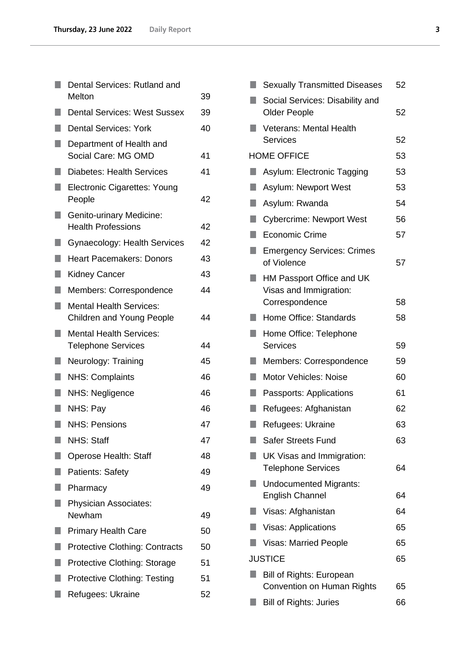|    | Dental Services: Rutland and                                       |    |
|----|--------------------------------------------------------------------|----|
|    | Melton                                                             | 39 |
|    | <b>Dental Services: West Sussex</b>                                | 39 |
|    | <b>Dental Services: York</b>                                       | 40 |
|    | Department of Health and<br>Social Care: MG OMD                    | 41 |
|    | <b>Diabetes: Health Services</b>                                   | 41 |
|    | <b>Electronic Cigarettes: Young</b><br>People                      | 42 |
|    | Genito-urinary Medicine:<br><b>Health Professions</b>              | 42 |
| H  | Gynaecology: Health Services                                       | 42 |
|    | <b>Heart Pacemakers: Donors</b>                                    | 43 |
|    | <b>Kidney Cancer</b>                                               | 43 |
| H  | Members: Correspondence                                            | 44 |
| ×. | <b>Mental Health Services:</b><br><b>Children and Young People</b> | 44 |
|    | <b>Mental Health Services:</b><br><b>Telephone Services</b>        | 44 |
| u. | Neurology: Training                                                | 45 |
|    | <b>NHS: Complaints</b>                                             | 46 |
|    | NHS: Negligence                                                    | 46 |
|    | NHS: Pay                                                           | 46 |
|    | <b>NHS: Pensions</b>                                               | 47 |
|    | <b>NHS: Staff</b>                                                  | 47 |
|    | Operose Health: Staff                                              | 48 |
|    | <b>Patients: Safety</b>                                            | 49 |
|    | Pharmacy                                                           | 49 |
|    | <b>Physician Associates:</b><br>Newham                             | 49 |
|    | <b>Primary Health Care</b>                                         | 50 |
|    | <b>Protective Clothing: Contracts</b>                              | 50 |
|    | <b>Protective Clothing: Storage</b>                                | 51 |
|    | <b>Protective Clothing: Testing</b>                                | 51 |
|    | Refugees: Ukraine                                                  | 52 |

| Social Services: Disability and<br><b>Older People</b><br>52<br><b>Veterans: Mental Health</b><br>52<br><b>Services</b><br>53<br><b>HOME OFFICE</b><br>53<br>Asylum: Electronic Tagging<br>53<br>Asylum: Newport West<br>54<br>Asylum: Rwanda<br><b>Cybercrime: Newport West</b><br>56<br>٥<br><b>Economic Crime</b><br>57<br>×.<br><b>Emergency Services: Crimes</b><br>of Violence<br>57<br>HM Passport Office and UK<br>Visas and Immigration:<br>Correspondence<br>58<br>Home Office: Standards<br>58<br>٠<br>Home Office: Telephone<br><b>Services</b><br>59<br>59<br>Members: Correspondence<br><b>Motor Vehicles: Noise</b><br>60<br>61<br>Passports: Applications<br>Refugees: Afghanistan<br>62<br>63<br><b>STATE OF STATE OF STATE OF STATE OF STATE OF STATE OF STATE OF STATE OF STATE OF STATE OF STATE OF STATE OF S</b><br>Refugees: Ukraine<br><b>Safer Streets Fund</b><br>63<br>UK Visas and Immigration:<br><b>Telephone Services</b><br>64<br><b>Undocumented Migrants:</b><br><b>English Channel</b><br>64<br>64<br>Visas: Afghanistan<br>65<br><b>Visas: Applications</b><br>65<br><b>Visas: Married People</b><br><b>JUSTICE</b><br>65 | <b>Sexually Transmitted Diseases</b> | 52 |
|---------------------------------------------------------------------------------------------------------------------------------------------------------------------------------------------------------------------------------------------------------------------------------------------------------------------------------------------------------------------------------------------------------------------------------------------------------------------------------------------------------------------------------------------------------------------------------------------------------------------------------------------------------------------------------------------------------------------------------------------------------------------------------------------------------------------------------------------------------------------------------------------------------------------------------------------------------------------------------------------------------------------------------------------------------------------------------------------------------------------------------------------------------------|--------------------------------------|----|
|                                                                                                                                                                                                                                                                                                                                                                                                                                                                                                                                                                                                                                                                                                                                                                                                                                                                                                                                                                                                                                                                                                                                                               |                                      |    |
|                                                                                                                                                                                                                                                                                                                                                                                                                                                                                                                                                                                                                                                                                                                                                                                                                                                                                                                                                                                                                                                                                                                                                               |                                      |    |
|                                                                                                                                                                                                                                                                                                                                                                                                                                                                                                                                                                                                                                                                                                                                                                                                                                                                                                                                                                                                                                                                                                                                                               |                                      |    |
|                                                                                                                                                                                                                                                                                                                                                                                                                                                                                                                                                                                                                                                                                                                                                                                                                                                                                                                                                                                                                                                                                                                                                               |                                      |    |
|                                                                                                                                                                                                                                                                                                                                                                                                                                                                                                                                                                                                                                                                                                                                                                                                                                                                                                                                                                                                                                                                                                                                                               |                                      |    |
|                                                                                                                                                                                                                                                                                                                                                                                                                                                                                                                                                                                                                                                                                                                                                                                                                                                                                                                                                                                                                                                                                                                                                               |                                      |    |
|                                                                                                                                                                                                                                                                                                                                                                                                                                                                                                                                                                                                                                                                                                                                                                                                                                                                                                                                                                                                                                                                                                                                                               |                                      |    |
|                                                                                                                                                                                                                                                                                                                                                                                                                                                                                                                                                                                                                                                                                                                                                                                                                                                                                                                                                                                                                                                                                                                                                               |                                      |    |
|                                                                                                                                                                                                                                                                                                                                                                                                                                                                                                                                                                                                                                                                                                                                                                                                                                                                                                                                                                                                                                                                                                                                                               |                                      |    |
|                                                                                                                                                                                                                                                                                                                                                                                                                                                                                                                                                                                                                                                                                                                                                                                                                                                                                                                                                                                                                                                                                                                                                               |                                      |    |
|                                                                                                                                                                                                                                                                                                                                                                                                                                                                                                                                                                                                                                                                                                                                                                                                                                                                                                                                                                                                                                                                                                                                                               |                                      |    |
|                                                                                                                                                                                                                                                                                                                                                                                                                                                                                                                                                                                                                                                                                                                                                                                                                                                                                                                                                                                                                                                                                                                                                               |                                      |    |
|                                                                                                                                                                                                                                                                                                                                                                                                                                                                                                                                                                                                                                                                                                                                                                                                                                                                                                                                                                                                                                                                                                                                                               |                                      |    |
|                                                                                                                                                                                                                                                                                                                                                                                                                                                                                                                                                                                                                                                                                                                                                                                                                                                                                                                                                                                                                                                                                                                                                               |                                      |    |
|                                                                                                                                                                                                                                                                                                                                                                                                                                                                                                                                                                                                                                                                                                                                                                                                                                                                                                                                                                                                                                                                                                                                                               |                                      |    |
|                                                                                                                                                                                                                                                                                                                                                                                                                                                                                                                                                                                                                                                                                                                                                                                                                                                                                                                                                                                                                                                                                                                                                               |                                      |    |
|                                                                                                                                                                                                                                                                                                                                                                                                                                                                                                                                                                                                                                                                                                                                                                                                                                                                                                                                                                                                                                                                                                                                                               |                                      |    |
|                                                                                                                                                                                                                                                                                                                                                                                                                                                                                                                                                                                                                                                                                                                                                                                                                                                                                                                                                                                                                                                                                                                                                               |                                      |    |
|                                                                                                                                                                                                                                                                                                                                                                                                                                                                                                                                                                                                                                                                                                                                                                                                                                                                                                                                                                                                                                                                                                                                                               |                                      |    |
|                                                                                                                                                                                                                                                                                                                                                                                                                                                                                                                                                                                                                                                                                                                                                                                                                                                                                                                                                                                                                                                                                                                                                               |                                      |    |
|                                                                                                                                                                                                                                                                                                                                                                                                                                                                                                                                                                                                                                                                                                                                                                                                                                                                                                                                                                                                                                                                                                                                                               |                                      |    |
|                                                                                                                                                                                                                                                                                                                                                                                                                                                                                                                                                                                                                                                                                                                                                                                                                                                                                                                                                                                                                                                                                                                                                               |                                      |    |
|                                                                                                                                                                                                                                                                                                                                                                                                                                                                                                                                                                                                                                                                                                                                                                                                                                                                                                                                                                                                                                                                                                                                                               |                                      |    |
|                                                                                                                                                                                                                                                                                                                                                                                                                                                                                                                                                                                                                                                                                                                                                                                                                                                                                                                                                                                                                                                                                                                                                               |                                      |    |
|                                                                                                                                                                                                                                                                                                                                                                                                                                                                                                                                                                                                                                                                                                                                                                                                                                                                                                                                                                                                                                                                                                                                                               |                                      |    |
|                                                                                                                                                                                                                                                                                                                                                                                                                                                                                                                                                                                                                                                                                                                                                                                                                                                                                                                                                                                                                                                                                                                                                               |                                      |    |
| <b>Bill of Rights: European</b><br><b>Convention on Human Rights</b><br>65                                                                                                                                                                                                                                                                                                                                                                                                                                                                                                                                                                                                                                                                                                                                                                                                                                                                                                                                                                                                                                                                                    |                                      |    |
| <b>Bill of Rights: Juries</b><br>66                                                                                                                                                                                                                                                                                                                                                                                                                                                                                                                                                                                                                                                                                                                                                                                                                                                                                                                                                                                                                                                                                                                           |                                      |    |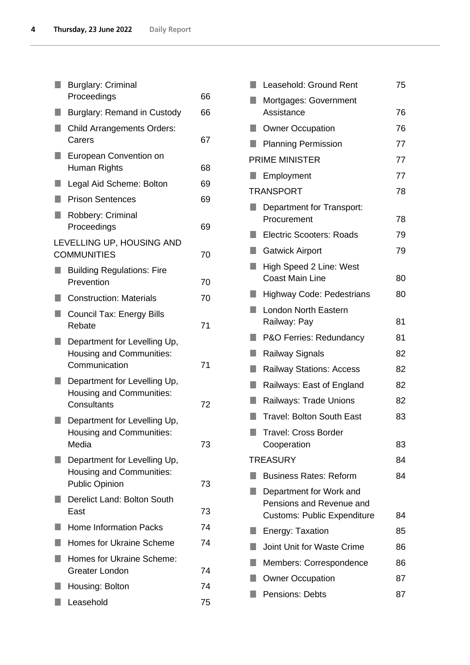|    | <b>Burglary: Criminal</b>                                                                |    |
|----|------------------------------------------------------------------------------------------|----|
|    | Proceedings                                                                              | 66 |
|    | Burglary: Remand in Custody                                                              | 66 |
| ٠  | <b>Child Arrangements Orders:</b><br>Carers                                              | 67 |
| ŋ  | European Convention on<br>Human Rights                                                   | 68 |
| ٠  | Legal Aid Scheme: Bolton                                                                 | 69 |
| ٠  | <b>Prison Sentences</b>                                                                  | 69 |
|    | Robbery: Criminal<br>Proceedings                                                         | 69 |
|    | LEVELLING UP, HOUSING AND<br><b>COMMUNITIES</b>                                          | 70 |
|    | <b>Building Regulations: Fire</b><br>Prevention                                          | 70 |
| ٠  | <b>Construction: Materials</b>                                                           | 70 |
| ۰  | <b>Council Tax: Energy Bills</b><br>Rebate                                               | 71 |
| ×. | Department for Levelling Up,<br><b>Housing and Communities:</b><br>Communication         | 71 |
|    | Department for Levelling Up,<br>Housing and Communities:<br>Consultants                  | 72 |
|    | Department for Levelling Up,<br><b>Housing and Communities:</b><br>Media                 | 73 |
|    | Department for Levelling Up,<br><b>Housing and Communities:</b><br><b>Public Opinion</b> | 73 |
|    | Derelict Land: Bolton South<br>East                                                      | 73 |
|    | <b>Home Information Packs</b>                                                            | 74 |
|    | <b>Homes for Ukraine Scheme</b>                                                          | 74 |
|    | <b>Homes for Ukraine Scheme:</b><br><b>Greater London</b>                                | 74 |
|    | Housing: Bolton                                                                          | 74 |
|    | Leasehold                                                                                | 75 |

|    | Leasehold: Ground Rent                              | 75 |
|----|-----------------------------------------------------|----|
|    | Mortgages: Government<br>Assistance                 | 76 |
|    | <b>Owner Occupation</b>                             | 76 |
|    | <b>Planning Permission</b>                          | 77 |
|    | <b>PRIME MINISTER</b>                               | 77 |
|    | Employment                                          | 77 |
|    | <b>TRANSPORT</b>                                    | 78 |
|    | Department for Transport:<br>Procurement            | 78 |
|    | <b>Electric Scooters: Roads</b>                     | 79 |
|    | <b>Gatwick Airport</b>                              | 79 |
|    | High Speed 2 Line: West<br><b>Coast Main Line</b>   | 80 |
|    | <b>Highway Code: Pedestrians</b>                    | 80 |
|    | <b>London North Eastern</b><br>Railway: Pay         | 81 |
|    | P&O Ferries: Redundancy                             | 81 |
| ×. | Railway Signals                                     | 82 |
| ٠  | <b>Railway Stations: Access</b>                     | 82 |
| ۰  | Railways: East of England                           | 82 |
|    | Railways: Trade Unions                              | 82 |
|    | <b>Travel: Bolton South East</b>                    | 83 |
|    | <b>Travel: Cross Border</b><br>Cooperation          | 83 |
|    | <b>TREASURY</b>                                     | 84 |
|    | <b>Business Rates: Reform</b>                       | 84 |
|    | Department for Work and<br>Pensions and Revenue and |    |
|    | <b>Customs: Public Expenditure</b>                  | 84 |
|    | Energy: Taxation                                    | 85 |
|    | <b>Joint Unit for Waste Crime</b>                   | 86 |
|    | Members: Correspondence                             | 86 |
|    | <b>Owner Occupation</b>                             | 87 |
|    | <b>Pensions: Debts</b>                              | 87 |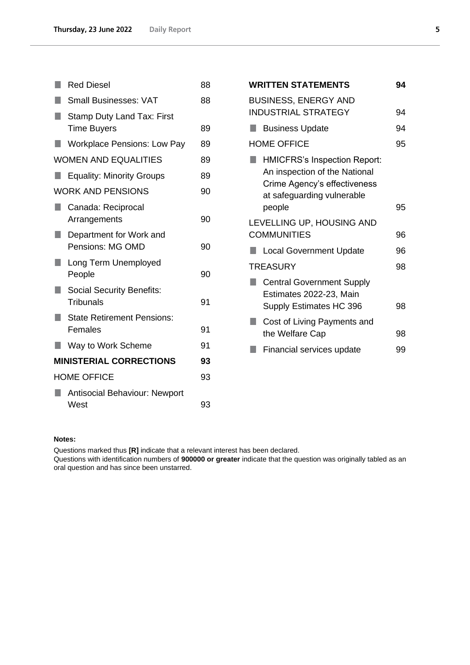| <b>Red Diesel</b>                                    | 88 |
|------------------------------------------------------|----|
| <b>Small Businesses: VAT</b>                         | 88 |
| Stamp Duty Land Tax: First<br><b>Time Buyers</b>     | 89 |
| <b>Workplace Pensions: Low Pay</b>                   | 89 |
| <b>WOMEN AND EQUALITIES</b>                          | 89 |
| <b>Equality: Minority Groups</b>                     | 89 |
| <b>WORK AND PENSIONS</b>                             | 90 |
| Canada: Reciprocal<br>Arrangements                   | 90 |
| Department for Work and<br>Pensions: MG OMD          | 90 |
| Long Term Unemployed<br>People                       | 90 |
| <b>Social Security Benefits:</b><br><b>Tribunals</b> | 91 |
| <b>State Retirement Pensions:</b><br>Females         | 91 |
| Way to Work Scheme                                   | 91 |
| <b>MINISTERIAL CORRECTIONS</b>                       | 93 |
| <b>HOME OFFICE</b>                                   | 93 |
| <b>Antisocial Behaviour: Newport</b><br>West         | 93 |
|                                                      |    |

| <b>WRITTEN STATEMENTS</b>                                                                                                                    | 94 |
|----------------------------------------------------------------------------------------------------------------------------------------------|----|
| <b>BUSINESS, ENERGY AND</b><br><b>INDUSTRIAL STRATEGY</b>                                                                                    | 94 |
| <b>Business Update</b>                                                                                                                       | 94 |
| <b>HOME OFFICE</b>                                                                                                                           | 95 |
| <b>HMICFRS's Inspection Report:</b><br>An inspection of the National<br>Crime Agency's effectiveness<br>at safeguarding vulnerable<br>people | 95 |
| LEVELLING UP, HOUSING AND<br><b>COMMUNITIES</b>                                                                                              | 96 |
| <b>Local Government Update</b>                                                                                                               | 96 |
| <b>TREASURY</b>                                                                                                                              | 98 |
| <b>Central Government Supply</b><br>Estimates 2022-23, Main<br>Supply Estimates HC 396                                                       | 98 |
| Cost of Living Payments and<br>the Welfare Cap                                                                                               | 98 |
| Financial services update                                                                                                                    | 99 |
|                                                                                                                                              |    |

### **Notes:**

Questions marked thus **[R]** indicate that a relevant interest has been declared.

Questions with identification numbers of **900000 or greater** indicate that the question was originally tabled as an oral question and has since been unstarred.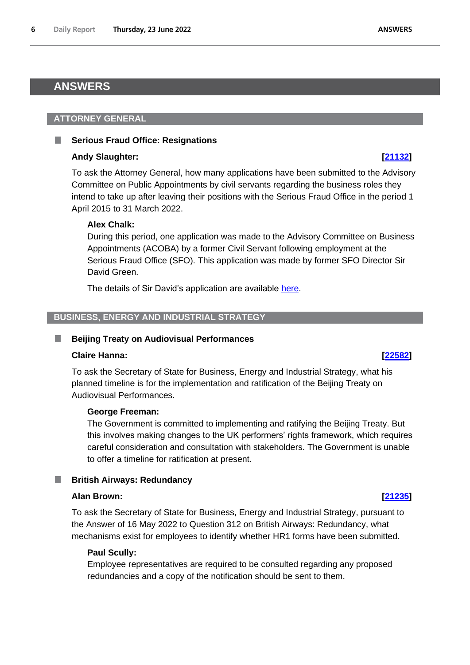# <span id="page-5-0"></span>**ANSWERS**

# <span id="page-5-1"></span>**ATTORNEY GENERAL**

# <span id="page-5-2"></span>**Serious Fraud Office: Resignations**

# **Andy Slaughter: [\[21132\]](http://www.parliament.uk/business/publications/written-questions-answers-statements/written-question/Commons/2022-06-20/21132)**

To ask the Attorney General, how many applications have been submitted to the Advisory Committee on Public Appointments by civil servants regarding the business roles they intend to take up after leaving their positions with the Serious Fraud Office in the period 1 April 2015 to 31 March 2022.

# **Alex Chalk:**

During this period, one application was made to the Advisory Committee on Business Appointments (ACOBA) by a former Civil Servant following employment at the Serious Fraud Office (SFO). This application was made by former SFO Director Sir David Green.

The details of Sir David's application are available [here.](https://www.gov.uk/government/publications/green-david-director-of-the-serious-fraud-office-acoba-recommendation)

# <span id="page-5-3"></span>**BUSINESS, ENERGY AND INDUSTRIAL STRATEGY**

# <span id="page-5-4"></span>**Beijing Treaty on Audiovisual Performances**

# **Claire Hanna: [\[22582\]](http://www.parliament.uk/business/publications/written-questions-answers-statements/written-question/Commons/2022-06-21/22582)**

To ask the Secretary of State for Business, Energy and Industrial Strategy, what his planned timeline is for the implementation and ratification of the Beijing Treaty on Audiovisual Performances.

# **George Freeman:**

The Government is committed to implementing and ratifying the Beijing Treaty. But this involves making changes to the UK performers' rights framework, which requires careful consideration and consultation with stakeholders. The Government is unable to offer a timeline for ratification at present.

### <span id="page-5-5"></span>**British Airways: Redundancy** ш

# **Alan Brown: [\[21235\]](http://www.parliament.uk/business/publications/written-questions-answers-statements/written-question/Commons/2022-06-20/21235)**

To ask the Secretary of State for Business, Energy and Industrial Strategy, pursuant to the Answer of 16 May 2022 to Question 312 on British Airways: Redundancy, what mechanisms exist for employees to identify whether HR1 forms have been submitted.

# **Paul Scully:**

Employee representatives are required to be consulted regarding any proposed redundancies and a copy of the notification should be sent to them.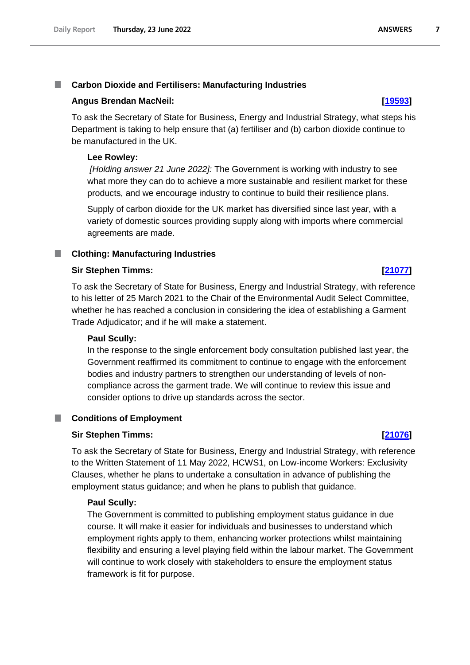# <span id="page-6-0"></span>**Carbon Dioxide and Fertilisers: Manufacturing Industries**

## **Angus Brendan MacNeil: [\[19593\]](http://www.parliament.uk/business/publications/written-questions-answers-statements/written-question/Commons/2022-06-16/19593)**

To ask the Secretary of State for Business, Energy and Industrial Strategy, what steps his Department is taking to help ensure that (a) fertiliser and (b) carbon dioxide continue to be manufactured in the UK.

### **Lee Rowley:**

*[Holding answer 21 June 2022]:* The Government is working with industry to see what more they can do to achieve a more sustainable and resilient market for these products, and we encourage industry to continue to build their resilience plans.

Supply of carbon dioxide for the UK market has diversified since last year, with a variety of domestic sources providing supply along with imports where commercial agreements are made.

### <span id="page-6-1"></span>T. **Clothing: Manufacturing Industries**

### **Sir Stephen Timms: [\[21077\]](http://www.parliament.uk/business/publications/written-questions-answers-statements/written-question/Commons/2022-06-20/21077)**

To ask the Secretary of State for Business, Energy and Industrial Strategy, with reference to his letter of 25 March 2021 to the Chair of the Environmental Audit Select Committee, whether he has reached a conclusion in considering the idea of establishing a Garment Trade Adjudicator; and if he will make a statement.

## **Paul Scully:**

In the response to the single enforcement body consultation published last year, the Government reaffirmed its commitment to continue to engage with the enforcement bodies and industry partners to strengthen our understanding of levels of noncompliance across the garment trade. We will continue to review this issue and consider options to drive up standards across the sector.

# <span id="page-6-2"></span>■ Conditions of Employment

## **Sir Stephen Timms: [\[21076\]](http://www.parliament.uk/business/publications/written-questions-answers-statements/written-question/Commons/2022-06-20/21076)**

To ask the Secretary of State for Business, Energy and Industrial Strategy, with reference to the Written Statement of 11 May 2022, HCWS1, on Low-income Workers: Exclusivity Clauses, whether he plans to undertake a consultation in advance of publishing the employment status guidance; and when he plans to publish that guidance.

## **Paul Scully:**

The Government is committed to publishing employment status guidance in due course. It will make it easier for individuals and businesses to understand which employment rights apply to them, enhancing worker protections whilst maintaining flexibility and ensuring a level playing field within the labour market. The Government will continue to work closely with stakeholders to ensure the employment status framework is fit for purpose.

 $\overline{7}$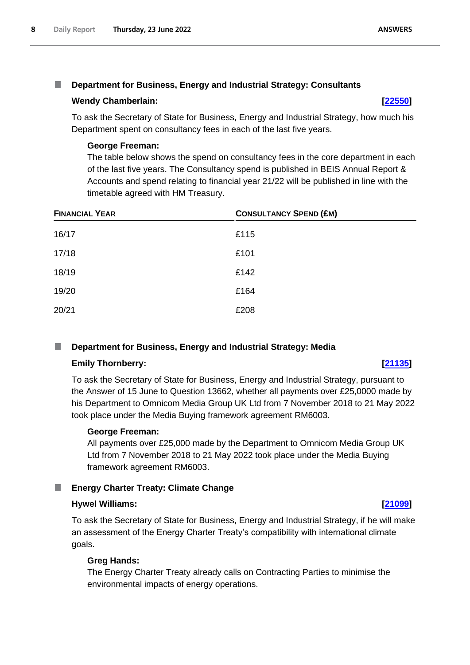# <span id="page-7-0"></span>**Department for Business, Energy and Industrial Strategy: Consultants**

# **Wendy Chamberlain: [\[22550\]](http://www.parliament.uk/business/publications/written-questions-answers-statements/written-question/Commons/2022-06-21/22550)**

To ask the Secretary of State for Business, Energy and Industrial Strategy, how much his Department spent on consultancy fees in each of the last five years.

# **George Freeman:**

The table below shows the spend on consultancy fees in the core department in each of the last five years. The Consultancy spend is published in BEIS Annual Report & Accounts and spend relating to financial year 21/22 will be published in line with the timetable agreed with HM Treasury.

| <b>FINANCIAL YEAR</b> | <b>CONSULTANCY SPEND (£M)</b> |  |
|-----------------------|-------------------------------|--|
| 16/17                 | £115                          |  |
| 17/18                 | £101                          |  |
| 18/19                 | £142                          |  |
| 19/20                 | £164                          |  |
| 20/21                 | £208                          |  |

### <span id="page-7-1"></span>**Department for Business, Energy and Industrial Strategy: Media** .

# **Emily Thornberry: [\[21135\]](http://www.parliament.uk/business/publications/written-questions-answers-statements/written-question/Commons/2022-06-20/21135)**

To ask the Secretary of State for Business, Energy and Industrial Strategy, pursuant to the Answer of 15 June to Question 13662, whether all payments over £25,0000 made by his Department to Omnicom Media Group UK Ltd from 7 November 2018 to 21 May 2022 took place under the Media Buying framework agreement RM6003.

# **George Freeman:**

All payments over £25,000 made by the Department to Omnicom Media Group UK Ltd from 7 November 2018 to 21 May 2022 took place under the Media Buying framework agreement RM6003.

# <span id="page-7-2"></span>**Energy Charter Treaty: Climate Change**

# **Hywel Williams: [\[21099\]](http://www.parliament.uk/business/publications/written-questions-answers-statements/written-question/Commons/2022-06-20/21099)**

To ask the Secretary of State for Business, Energy and Industrial Strategy, if he will make an assessment of the Energy Charter Treaty's compatibility with international climate goals.

# **Greg Hands:**

The Energy Charter Treaty already calls on Contracting Parties to minimise the environmental impacts of energy operations.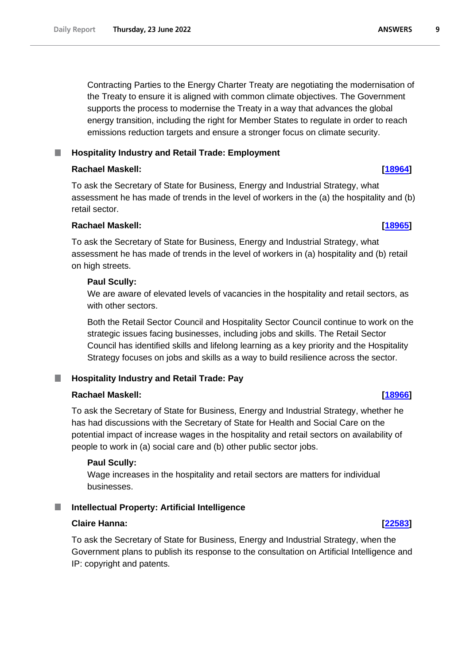Contracting Parties to the Energy Charter Treaty are negotiating the modernisation of the Treaty to ensure it is aligned with common climate objectives. The Government supports the process to modernise the Treaty in a way that advances the global energy transition, including the right for Member States to regulate in order to reach emissions reduction targets and ensure a stronger focus on climate security.

# <span id="page-8-0"></span>**Hospitality Industry and Retail Trade: Employment**

# **Rachael Maskell: [\[18964\]](http://www.parliament.uk/business/publications/written-questions-answers-statements/written-question/Commons/2022-06-15/18964)**

To ask the Secretary of State for Business, Energy and Industrial Strategy, what assessment he has made of trends in the level of workers in the (a) the hospitality and (b) retail sector.

# **Rachael Maskell: [\[18965\]](http://www.parliament.uk/business/publications/written-questions-answers-statements/written-question/Commons/2022-06-15/18965)**

To ask the Secretary of State for Business, Energy and Industrial Strategy, what assessment he has made of trends in the level of workers in (a) hospitality and (b) retail on high streets.

# **Paul Scully:**

We are aware of elevated levels of vacancies in the hospitality and retail sectors, as with other sectors.

Both the Retail Sector Council and Hospitality Sector Council continue to work on the strategic issues facing businesses, including jobs and skills. The Retail Sector Council has identified skills and lifelong learning as a key priority and the Hospitality Strategy focuses on jobs and skills as a way to build resilience across the sector.

### <span id="page-8-1"></span>**Hospitality Industry and Retail Trade: Pay** ш

# **Rachael Maskell: [\[18966\]](http://www.parliament.uk/business/publications/written-questions-answers-statements/written-question/Commons/2022-06-15/18966)**

To ask the Secretary of State for Business, Energy and Industrial Strategy, whether he has had discussions with the Secretary of State for Health and Social Care on the potential impact of increase wages in the hospitality and retail sectors on availability of people to work in (a) social care and (b) other public sector jobs.

# **Paul Scully:**

Wage increases in the hospitality and retail sectors are matters for individual businesses.

# <span id="page-8-2"></span>**Intellectual Property: Artificial Intelligence**

# **Claire Hanna: [\[22583\]](http://www.parliament.uk/business/publications/written-questions-answers-statements/written-question/Commons/2022-06-21/22583)**

To ask the Secretary of State for Business, Energy and Industrial Strategy, when the Government plans to publish its response to the consultation on Artificial Intelligence and IP: copyright and patents.

### **ANSWERS** 9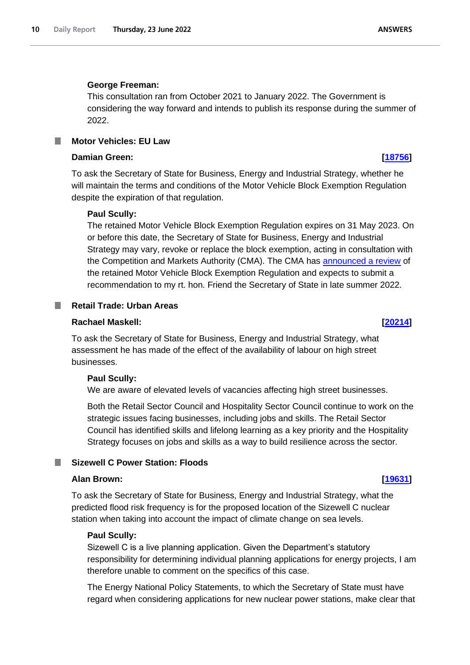### **George Freeman:**

This consultation ran from October 2021 to January 2022. The Government is considering the way forward and intends to publish its response during the summer of 2022.

<span id="page-9-0"></span>**Motor Vehicles: EU Law**

## **Damian Green: [\[18756\]](http://www.parliament.uk/business/publications/written-questions-answers-statements/written-question/Commons/2022-06-15/18756)**

To ask the Secretary of State for Business, Energy and Industrial Strategy, whether he will maintain the terms and conditions of the Motor Vehicle Block Exemption Regulation despite the expiration of that regulation.

## **Paul Scully:**

The retained Motor Vehicle Block Exemption Regulation expires on 31 May 2023. On or before this date, the Secretary of State for Business, Energy and Industrial Strategy may vary, revoke or replace the block exemption, acting in consultation with the Competition and Markets Authority (CMA). The CMA has announced a review of the retained Motor Vehicle Block Exemption Regulation and expects to submit a recommendation to my rt. hon. Friend the Secretary of State in late summer 2022.

## <span id="page-9-1"></span>**Retail Trade: Urban Areas**

### **Rachael Maskell: [\[20214\]](http://www.parliament.uk/business/publications/written-questions-answers-statements/written-question/Commons/2022-06-17/20214)**

To ask the Secretary of State for Business, Energy and Industrial Strategy, what assessment he has made of the effect of the availability of labour on high street businesses.

## **Paul Scully:**

We are aware of elevated levels of vacancies affecting high street businesses.

Both the Retail Sector Council and Hospitality Sector Council continue to work on the strategic issues facing businesses, including jobs and skills. The Retail Sector Council has identified skills and lifelong learning as a key priority and the Hospitality Strategy focuses on jobs and skills as a way to build resilience across the sector.

## <span id="page-9-2"></span>**Sizewell C Power Station: Floods**

## **Alan Brown: [\[19631\]](http://www.parliament.uk/business/publications/written-questions-answers-statements/written-question/Commons/2022-06-16/19631)**

To ask the Secretary of State for Business, Energy and Industrial Strategy, what the predicted flood risk frequency is for the proposed location of the Sizewell C nuclear station when taking into account the impact of climate change on sea levels.

### **Paul Scully:**

Sizewell C is a live planning application. Given the Department's statutory responsibility for determining individual planning applications for energy projects, I am therefore unable to comment on the specifics of this case.

The Energy National Policy Statements, to which the Secretary of State must have regard when considering applications for new nuclear power stations, make clear that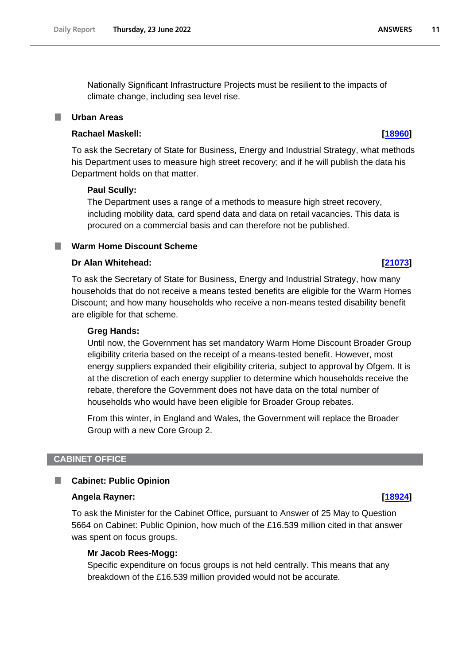Nationally Significant Infrastructure Projects must be resilient to the impacts of climate change, including sea level rise.

# <span id="page-10-0"></span>**Urban Areas**

# **Rachael Maskell: [\[18960\]](http://www.parliament.uk/business/publications/written-questions-answers-statements/written-question/Commons/2022-06-15/18960)**

To ask the Secretary of State for Business, Energy and Industrial Strategy, what methods his Department uses to measure high street recovery; and if he will publish the data his Department holds on that matter.

## **Paul Scully:**

The Department uses a range of a methods to measure high street recovery, including mobility data, card spend data and data on retail vacancies. This data is procured on a commercial basis and can therefore not be published.

# <span id="page-10-1"></span>**Warm Home Discount Scheme**

# **Dr Alan Whitehead: [\[21073\]](http://www.parliament.uk/business/publications/written-questions-answers-statements/written-question/Commons/2022-06-20/21073)**

To ask the Secretary of State for Business, Energy and Industrial Strategy, how many households that do not receive a means tested benefits are eligible for the Warm Homes Discount; and how many households who receive a non-means tested disability benefit are eligible for that scheme.

### **Greg Hands:**

Until now, the Government has set mandatory Warm Home Discount Broader Group eligibility criteria based on the receipt of a means-tested benefit. However, most energy suppliers expanded their eligibility criteria, subject to approval by Ofgem. It is at the discretion of each energy supplier to determine which households receive the rebate, therefore the Government does not have data on the total number of households who would have been eligible for Broader Group rebates.

From this winter, in England and Wales, the Government will replace the Broader Group with a new Core Group 2.

## <span id="page-10-2"></span>**CABINET OFFICE**

### <span id="page-10-3"></span>ш **Cabinet: Public Opinion**

### **Angela Rayner: [\[18924\]](http://www.parliament.uk/business/publications/written-questions-answers-statements/written-question/Commons/2022-06-15/18924)**

To ask the Minister for the Cabinet Office, pursuant to Answer of 25 May to Question 5664 on Cabinet: Public Opinion, how much of the £16.539 million cited in that answer was spent on focus groups.

## **Mr Jacob Rees-Mogg:**

Specific expenditure on focus groups is not held centrally. This means that any breakdown of the £16.539 million provided would not be accurate.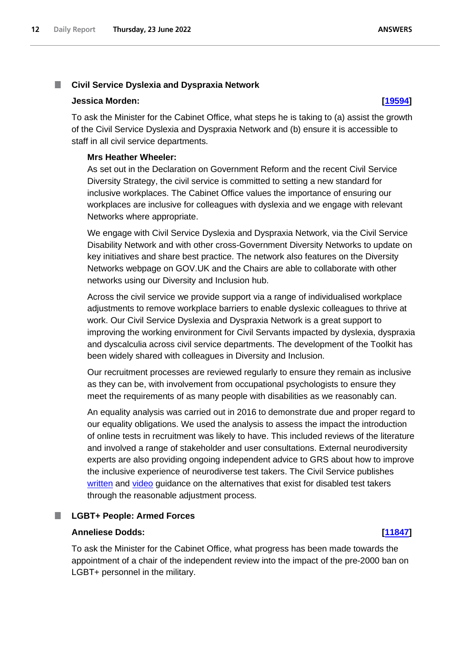### <span id="page-11-0"></span>T. **Civil Service Dyslexia and Dyspraxia Network**

## **Jessica Morden: [\[19594\]](http://www.parliament.uk/business/publications/written-questions-answers-statements/written-question/Commons/2022-06-16/19594)**

To ask the Minister for the Cabinet Office, what steps he is taking to (a) assist the growth of the Civil Service Dyslexia and Dyspraxia Network and (b) ensure it is accessible to staff in all civil service departments.

# **Mrs Heather Wheeler:**

As set out in the Declaration on Government Reform and the recent Civil Service Diversity Strategy, the civil service is committed to setting a new standard for inclusive workplaces. The Cabinet Office values the importance of ensuring our workplaces are inclusive for colleagues with dyslexia and we engage with relevant Networks where appropriate.

We engage with Civil Service Dyslexia and Dyspraxia Network, via the Civil Service Disability Network and with other cross-Government Diversity Networks to update on key initiatives and share best practice. The network also features on the Diversity Networks webpage on GOV.UK and the Chairs are able to collaborate with other networks using our Diversity and Inclusion hub.

Across the civil service we provide support via a range of individualised workplace adjustments to remove workplace barriers to enable dyslexic colleagues to thrive at work. Our Civil Service Dyslexia and Dyspraxia Network is a great support to improving the working environment for Civil Servants impacted by dyslexia, dyspraxia and dyscalculia across civil service departments. The development of the Toolkit has been widely shared with colleagues in Diversity and Inclusion.

Our recruitment processes are reviewed regularly to ensure they remain as inclusive as they can be, with involvement from occupational psychologists to ensure they meet the requirements of as many people with disabilities as we reasonably can.

An equality analysis was carried out in 2016 to demonstrate due and proper regard to our equality obligations. We used the analysis to assess the impact the introduction of online tests in recruitment was likely to have. This included reviews of the literature and involved a range of stakeholder and user consultations. External neurodiversity experts are also providing ongoing independent advice to GRS about how to improve the inclusive experience of neurodiverse test takers. The Civil Service publishes [written](https://www.gov.uk/guidance/reasonable-adjustments-for-online-tests-a-candidate-guide) and [video](https://www.youtube.com/watch?v=olval3YPF9U) guidance on the alternatives that exist for disabled test takers through the reasonable adjustment process.

### <span id="page-11-1"></span>ш

# **LGBT+ People: Armed Forces**

# **Anneliese Dodds: [\[11847\]](http://www.parliament.uk/business/publications/written-questions-answers-statements/written-question/Commons/2022-05-30/11847)**

To ask the Minister for the Cabinet Office, what progress has been made towards the appointment of a chair of the independent review into the impact of the pre-2000 ban on LGBT+ personnel in the military.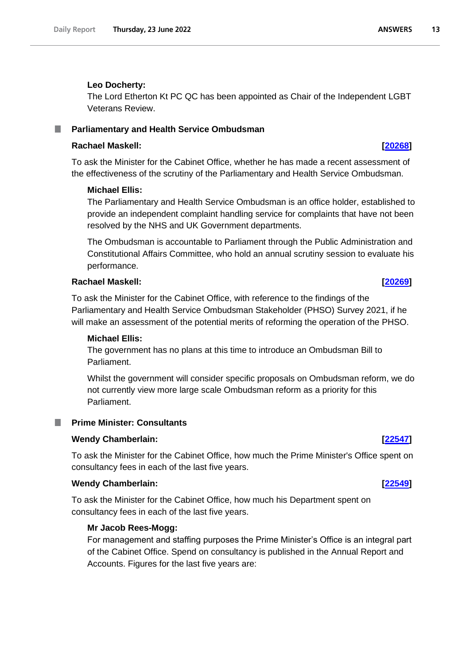# **Leo Docherty:**

The Lord Etherton Kt PC QC has been appointed as Chair of the Independent LGBT Veterans Review.

### <span id="page-12-0"></span>**Parliamentary and Health Service Ombudsman** ш

# **Rachael Maskell: [\[20268\]](http://www.parliament.uk/business/publications/written-questions-answers-statements/written-question/Commons/2022-06-17/20268)**

To ask the Minister for the Cabinet Office, whether he has made a recent assessment of the effectiveness of the scrutiny of the Parliamentary and Health Service Ombudsman.

# **Michael Ellis:**

The Parliamentary and Health Service Ombudsman is an office holder, established to provide an independent complaint handling service for complaints that have not been resolved by the NHS and UK Government departments.

The Ombudsman is accountable to Parliament through the Public Administration and Constitutional Affairs Committee, who hold an annual scrutiny session to evaluate his performance.

# **Rachael Maskell: [\[20269\]](http://www.parliament.uk/business/publications/written-questions-answers-statements/written-question/Commons/2022-06-17/20269)**

To ask the Minister for the Cabinet Office, with reference to the findings of the Parliamentary and Health Service Ombudsman Stakeholder (PHSO) Survey 2021, if he will make an assessment of the potential merits of reforming the operation of the PHSO.

# **Michael Ellis:**

The government has no plans at this time to introduce an Ombudsman Bill to Parliament.

Whilst the government will consider specific proposals on Ombudsman reform, we do not currently view more large scale Ombudsman reform as a priority for this Parliament.

# <span id="page-12-1"></span>**Prime Minister: Consultants**

# **Wendy Chamberlain: [\[22547\]](http://www.parliament.uk/business/publications/written-questions-answers-statements/written-question/Commons/2022-06-21/22547)**

To ask the Minister for the Cabinet Office, how much the Prime Minister's Office spent on consultancy fees in each of the last five years.

# **Wendy Chamberlain: [\[22549\]](http://www.parliament.uk/business/publications/written-questions-answers-statements/written-question/Commons/2022-06-21/22549)**

To ask the Minister for the Cabinet Office, how much his Department spent on consultancy fees in each of the last five years.

# **Mr Jacob Rees-Mogg:**

For management and staffing purposes the Prime Minister's Office is an integral part of the Cabinet Office. Spend on consultancy is published in the Annual Report and Accounts. Figures for the last five years are: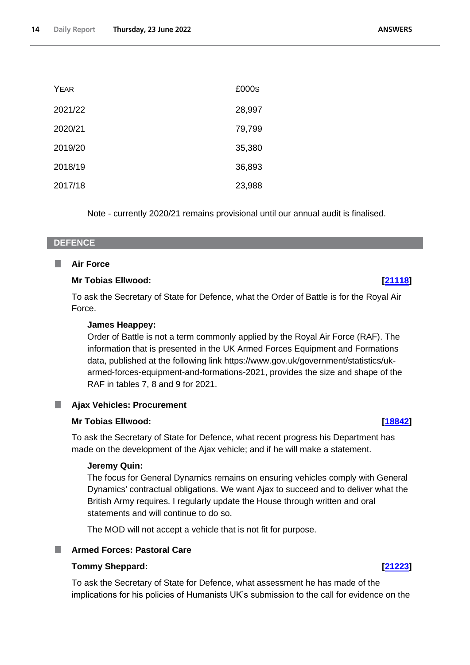| <b>YEAR</b> | £000s  |
|-------------|--------|
| 2021/22     | 28,997 |
| 2020/21     | 79,799 |
| 2019/20     | 35,380 |
| 2018/19     | 36,893 |
| 2017/18     | 23,988 |

Note - currently 2020/21 remains provisional until our annual audit is finalised.

# <span id="page-13-0"></span>**DEFENCE**

### <span id="page-13-1"></span>T. **Air Force**

# **Mr Tobias Ellwood: [\[21118\]](http://www.parliament.uk/business/publications/written-questions-answers-statements/written-question/Commons/2022-06-20/21118)**

To ask the Secretary of State for Defence, what the Order of Battle is for the Royal Air Force.

# **James Heappey:**

Order of Battle is not a term commonly applied by the Royal Air Force (RAF). The information that is presented in the UK Armed Forces Equipment and Formations data, published at the following link https://www.gov.uk/government/statistics/ukarmed-forces-equipment-and-formations-2021, provides the size and shape of the RAF in tables 7, 8 and 9 for 2021.

# <span id="page-13-2"></span>**Ajax Vehicles: Procurement**

# **Mr Tobias Ellwood: [\[18842\]](http://www.parliament.uk/business/publications/written-questions-answers-statements/written-question/Commons/2022-06-15/18842)**

To ask the Secretary of State for Defence, what recent progress his Department has made on the development of the Ajax vehicle; and if he will make a statement.

## **Jeremy Quin:**

The focus for General Dynamics remains on ensuring vehicles comply with General Dynamics' contractual obligations. We want Ajax to succeed and to deliver what the British Army requires. I regularly update the House through written and oral statements and will continue to do so.

The MOD will not accept a vehicle that is not fit for purpose.

# <span id="page-13-3"></span>**Armed Forces: Pastoral Care**

# **Tommy Sheppard: [\[21223\]](http://www.parliament.uk/business/publications/written-questions-answers-statements/written-question/Commons/2022-06-20/21223)**

To ask the Secretary of State for Defence, what assessment he has made of the implications for his policies of Humanists UK's submission to the call for evidence on the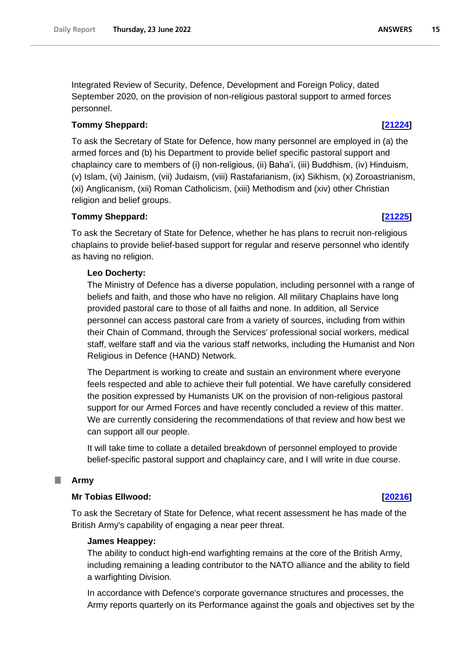Integrated Review of Security, Defence, Development and Foreign Policy, dated September 2020, on the provision of non-religious pastoral support to armed forces personnel.

# **Tommy Sheppard: [\[21224\]](http://www.parliament.uk/business/publications/written-questions-answers-statements/written-question/Commons/2022-06-20/21224)**

To ask the Secretary of State for Defence, how many personnel are employed in (a) the armed forces and (b) his Department to provide belief specific pastoral support and chaplaincy care to members of (i) non-religious, (ii) Baha'i, (iii) Buddhism, (iv) Hinduism, (v) Islam, (vi) Jainism, (vii) Judaism, (viii) Rastafarianism, (ix) Sikhism, (x) Zoroastrianism, (xi) Anglicanism, (xii) Roman Catholicism, (xiii) Methodism and (xiv) other Christian religion and belief groups.

# **Tommy Sheppard: [\[21225\]](http://www.parliament.uk/business/publications/written-questions-answers-statements/written-question/Commons/2022-06-20/21225)**

To ask the Secretary of State for Defence, whether he has plans to recruit non-religious chaplains to provide belief-based support for regular and reserve personnel who identify as having no religion.

# **Leo Docherty:**

The Ministry of Defence has a diverse population, including personnel with a range of beliefs and faith, and those who have no religion. All military Chaplains have long provided pastoral care to those of all faiths and none. In addition, all Service personnel can access pastoral care from a variety of sources, including from within their Chain of Command, through the Services' professional social workers, medical staff, welfare staff and via the various staff networks, including the Humanist and Non Religious in Defence (HAND) Network.

The Department is working to create and sustain an environment where everyone feels respected and able to achieve their full potential. We have carefully considered the position expressed by Humanists UK on the provision of non-religious pastoral support for our Armed Forces and have recently concluded a review of this matter. We are currently considering the recommendations of that review and how best we can support all our people.

It will take time to collate a detailed breakdown of personnel employed to provide belief-specific pastoral support and chaplaincy care, and I will write in due course.

### <span id="page-14-0"></span>. **Army**

# **Mr Tobias Ellwood: [\[20216\]](http://www.parliament.uk/business/publications/written-questions-answers-statements/written-question/Commons/2022-06-17/20216)**

To ask the Secretary of State for Defence, what recent assessment he has made of the British Army's capability of engaging a near peer threat.

## **James Heappey:**

The ability to conduct high-end warfighting remains at the core of the British Army, including remaining a leading contributor to the NATO alliance and the ability to field a warfighting Division.

In accordance with Defence's corporate governance structures and processes, the Army reports quarterly on its Performance against the goals and objectives set by the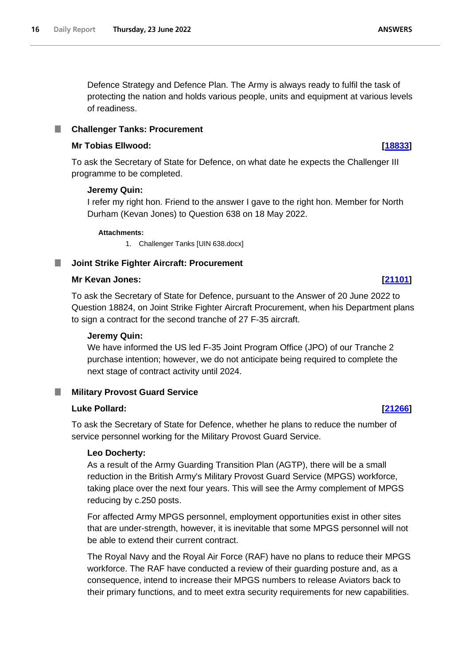Defence Strategy and Defence Plan. The Army is always ready to fulfil the task of protecting the nation and holds various people, units and equipment at various levels of readiness.

### <span id="page-15-0"></span>**Challenger Tanks: Procurement** L.

# **Mr Tobias Ellwood: [\[18833\]](http://www.parliament.uk/business/publications/written-questions-answers-statements/written-question/Commons/2022-06-15/18833)**

To ask the Secretary of State for Defence, on what date he expects the Challenger III programme to be completed.

## **Jeremy Quin:**

I refer my right hon. Friend to the answer I gave to the right hon. Member for North Durham (Kevan Jones) to Question 638 on 18 May 2022.

### **Attachments:**

1. Challenger Tanks [UIN 638.docx]

# <span id="page-15-1"></span>**Joint Strike Fighter Aircraft: Procurement**

### **Mr Kevan Jones: [\[21101\]](http://www.parliament.uk/business/publications/written-questions-answers-statements/written-question/Commons/2022-06-20/21101)**

To ask the Secretary of State for Defence, pursuant to the Answer of 20 June 2022 to Question 18824, on Joint Strike Fighter Aircraft Procurement, when his Department plans to sign a contract for the second tranche of 27 F-35 aircraft.

## **Jeremy Quin:**

We have informed the US led F-35 Joint Program Office (JPO) of our Tranche 2 purchase intention; however, we do not anticipate being required to complete the next stage of contract activity until 2024.

# <span id="page-15-2"></span>**Military Provost Guard Service**

## **Luke Pollard: [\[21266\]](http://www.parliament.uk/business/publications/written-questions-answers-statements/written-question/Commons/2022-06-20/21266)**

To ask the Secretary of State for Defence, whether he plans to reduce the number of service personnel working for the Military Provost Guard Service.

### **Leo Docherty:**

As a result of the Army Guarding Transition Plan (AGTP), there will be a small reduction in the British Army's Military Provost Guard Service (MPGS) workforce, taking place over the next four years. This will see the Army complement of MPGS reducing by c.250 posts.

For affected Army MPGS personnel, employment opportunities exist in other sites that are under-strength, however, it is inevitable that some MPGS personnel will not be able to extend their current contract.

The Royal Navy and the Royal Air Force (RAF) have no plans to reduce their MPGS workforce. The RAF have conducted a review of their guarding posture and, as a consequence, intend to increase their MPGS numbers to release Aviators back to their primary functions, and to meet extra security requirements for new capabilities.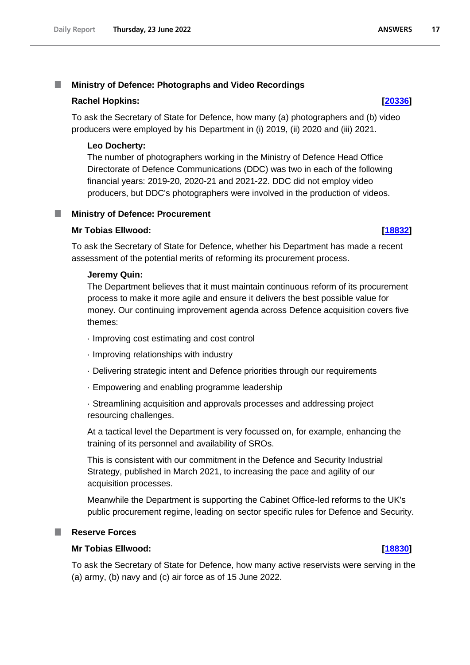### <span id="page-16-0"></span>**Ministry of Defence: Photographs and Video Recordings** T.

### **Rachel Hopkins: [\[20336\]](http://www.parliament.uk/business/publications/written-questions-answers-statements/written-question/Commons/2022-06-17/20336)**

To ask the Secretary of State for Defence, how many (a) photographers and (b) video producers were employed by his Department in (i) 2019, (ii) 2020 and (iii) 2021.

## **Leo Docherty:**

The number of photographers working in the Ministry of Defence Head Office Directorate of Defence Communications (DDC) was two in each of the following financial years: 2019-20, 2020-21 and 2021-22. DDC did not employ video producers, but DDC's photographers were involved in the production of videos.

### <span id="page-16-1"></span>**Ministry of Defence: Procurement** T.

### **Mr Tobias Ellwood: [\[18832\]](http://www.parliament.uk/business/publications/written-questions-answers-statements/written-question/Commons/2022-06-15/18832)**

To ask the Secretary of State for Defence, whether his Department has made a recent assessment of the potential merits of reforming its procurement process.

### **Jeremy Quin:**

The Department believes that it must maintain continuous reform of its procurement process to make it more agile and ensure it delivers the best possible value for money. Our continuing improvement agenda across Defence acquisition covers five themes:

- · Improving cost estimating and cost control
- · Improving relationships with industry
- · Delivering strategic intent and Defence priorities through our requirements
- · Empowering and enabling programme leadership

· Streamlining acquisition and approvals processes and addressing project resourcing challenges.

At a tactical level the Department is very focussed on, for example, enhancing the training of its personnel and availability of SROs.

This is consistent with our commitment in the Defence and Security Industrial Strategy, published in March 2021, to increasing the pace and agility of our acquisition processes.

Meanwhile the Department is supporting the Cabinet Office-led reforms to the UK's public procurement regime, leading on sector specific rules for Defence and Security.

# <span id="page-16-2"></span>**Reserve Forces**

# **Mr Tobias Ellwood: [\[18830\]](http://www.parliament.uk/business/publications/written-questions-answers-statements/written-question/Commons/2022-06-15/18830)**

To ask the Secretary of State for Defence, how many active reservists were serving in the (a) army, (b) navy and (c) air force as of 15 June 2022.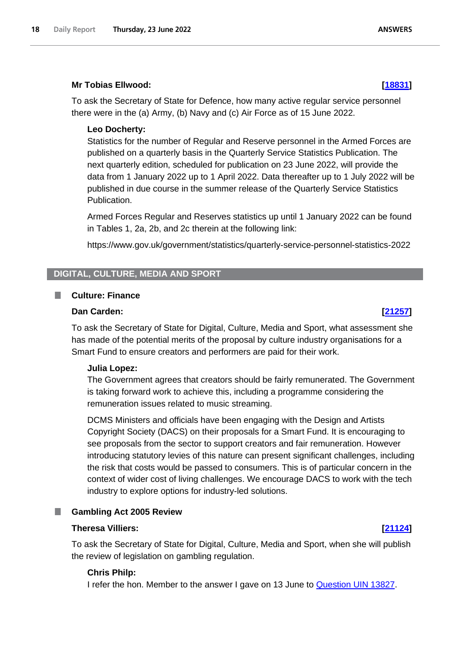# **Mr Tobias Ellwood: [\[18831\]](http://www.parliament.uk/business/publications/written-questions-answers-statements/written-question/Commons/2022-06-15/18831)**

To ask the Secretary of State for Defence, how many active regular service personnel there were in the (a) Army, (b) Navy and (c) Air Force as of 15 June 2022.

# **Leo Docherty:**

Statistics for the number of Regular and Reserve personnel in the Armed Forces are published on a quarterly basis in the Quarterly Service Statistics Publication. The next quarterly edition, scheduled for publication on 23 June 2022, will provide the data from 1 January 2022 up to 1 April 2022. Data thereafter up to 1 July 2022 will be published in due course in the summer release of the Quarterly Service Statistics Publication.

Armed Forces Regular and Reserves statistics up until 1 January 2022 can be found in Tables 1, 2a, 2b, and 2c therein at the following link:

https://www.gov.uk/government/statistics/quarterly-service-personnel-statistics-2022

# <span id="page-17-0"></span>**DIGITAL, CULTURE, MEDIA AND SPORT**

# <span id="page-17-1"></span>**Culture: Finance**

# **Dan Carden: [\[21257\]](http://www.parliament.uk/business/publications/written-questions-answers-statements/written-question/Commons/2022-06-20/21257)**

To ask the Secretary of State for Digital, Culture, Media and Sport, what assessment she has made of the potential merits of the proposal by culture industry organisations for a Smart Fund to ensure creators and performers are paid for their work.

# **Julia Lopez:**

The Government agrees that creators should be fairly remunerated. The Government is taking forward work to achieve this, including a programme considering the remuneration issues related to music streaming.

DCMS Ministers and officials have been engaging with the Design and Artists Copyright Society (DACS) on their proposals for a Smart Fund. It is encouraging to see proposals from the sector to support creators and fair remuneration. However introducing statutory levies of this nature can present significant challenges, including the risk that costs would be passed to consumers. This is of particular concern in the context of wider cost of living challenges. We encourage DACS to work with the tech industry to explore options for industry-led solutions.

# <span id="page-17-2"></span>**Gambling Act 2005 Review**

# **Theresa Villiers: [\[21124\]](http://www.parliament.uk/business/publications/written-questions-answers-statements/written-question/Commons/2022-06-20/21124)**

To ask the Secretary of State for Digital, Culture, Media and Sport, when she will publish the review of legislation on gambling regulation.

# **Chris Philp:**

I refer the hon. Member to the answer I gave on 13 June to Question UIN 13827.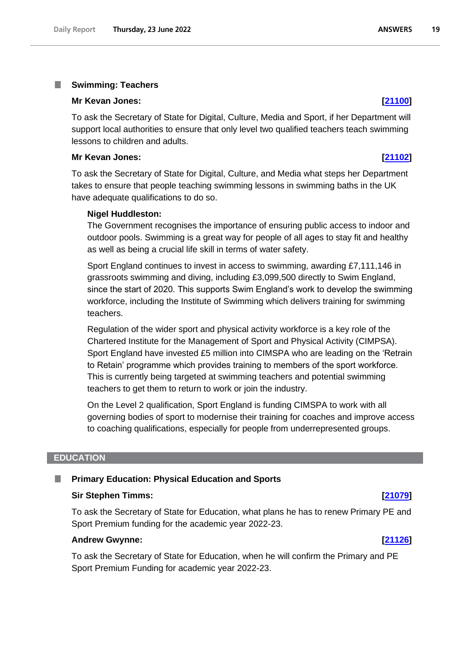### <span id="page-18-0"></span>T. **Swimming: Teachers**

### **Mr Kevan Jones: [\[21100\]](http://www.parliament.uk/business/publications/written-questions-answers-statements/written-question/Commons/2022-06-20/21100)**

To ask the Secretary of State for Digital, Culture, Media and Sport, if her Department will support local authorities to ensure that only level two qualified teachers teach swimming lessons to children and adults.

### **Mr Kevan Jones: [\[21102\]](http://www.parliament.uk/business/publications/written-questions-answers-statements/written-question/Commons/2022-06-20/21102)**

To ask the Secretary of State for Digital, Culture, and Media what steps her Department takes to ensure that people teaching swimming lessons in swimming baths in the UK have adequate qualifications to do so.

### **Nigel Huddleston:**

The Government recognises the importance of ensuring public access to indoor and outdoor pools. Swimming is a great way for people of all ages to stay fit and healthy as well as being a crucial life skill in terms of water safety.

Sport England continues to invest in access to swimming, awarding £7,111,146 in grassroots swimming and diving, including £3,099,500 directly to Swim England, since the start of 2020. This supports Swim England's work to develop the swimming workforce, including the Institute of Swimming which delivers training for swimming teachers.

Regulation of the wider sport and physical activity workforce is a key role of the Chartered Institute for the Management of Sport and Physical Activity (CIMPSA). Sport England have invested £5 million into CIMSPA who are leading on the 'Retrain to Retain' programme which provides training to members of the sport workforce. This is currently being targeted at swimming teachers and potential swimming teachers to get them to return to work or join the industry.

On the Level 2 qualification, Sport England is funding CIMSPA to work with all governing bodies of sport to modernise their training for coaches and improve access to coaching qualifications, especially for people from underrepresented groups.

## <span id="page-18-1"></span>**EDUCATION**

### <span id="page-18-2"></span>**Primary Education: Physical Education and Sports** ш

### **Sir Stephen Timms: [\[21079\]](http://www.parliament.uk/business/publications/written-questions-answers-statements/written-question/Commons/2022-06-20/21079)**

To ask the Secretary of State for Education, what plans he has to renew Primary PE and Sport Premium funding for the academic year 2022-23.

## **Andrew Gwynne: [\[21126\]](http://www.parliament.uk/business/publications/written-questions-answers-statements/written-question/Commons/2022-06-20/21126)**

To ask the Secretary of State for Education, when he will confirm the Primary and PE Sport Premium Funding for academic year 2022-23.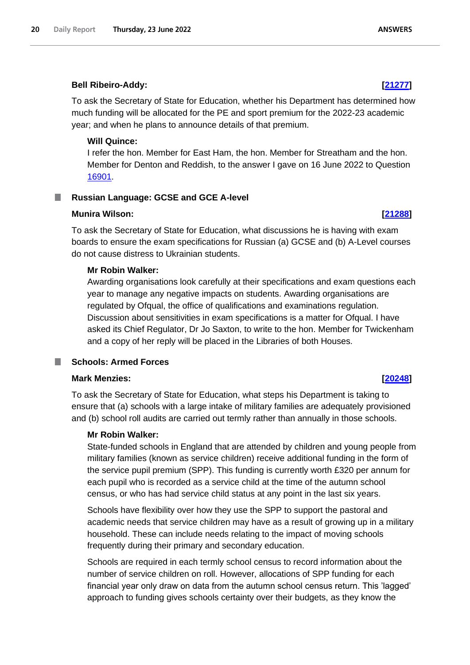# **Bell Ribeiro-Addy: [\[21277\]](http://www.parliament.uk/business/publications/written-questions-answers-statements/written-question/Commons/2022-06-20/21277)**

To ask the Secretary of State for Education, whether his Department has determined how much funding will be allocated for the PE and sport premium for the 2022-23 academic year; and when he plans to announce details of that premium.

# **Will Quince:**

I refer the hon. Member for East Ham, the hon. Member for Streatham and the hon. Member for Denton and Reddish, to the answer I gave on 16 June 2022 to Question 16901.

### <span id="page-19-0"></span>**Russian Language: GCSE and GCE A-level** ш

# **Munira Wilson: [\[21288\]](http://www.parliament.uk/business/publications/written-questions-answers-statements/written-question/Commons/2022-06-20/21288)**

To ask the Secretary of State for Education, what discussions he is having with exam boards to ensure the exam specifications for Russian (a) GCSE and (b) A-Level courses do not cause distress to Ukrainian students.

# **Mr Robin Walker:**

Awarding organisations look carefully at their specifications and exam questions each year to manage any negative impacts on students. Awarding organisations are regulated by Ofqual, the office of qualifications and examinations regulation. Discussion about sensitivities in exam specifications is a matter for Ofqual. I have asked its Chief Regulator, Dr Jo Saxton, to write to the hon. Member for Twickenham and a copy of her reply will be placed in the Libraries of both Houses.

# <span id="page-19-1"></span>**Schools: Armed Forces**

# **Mark Menzies: [\[20248\]](http://www.parliament.uk/business/publications/written-questions-answers-statements/written-question/Commons/2022-06-17/20248)**

To ask the Secretary of State for Education, what steps his Department is taking to ensure that (a) schools with a large intake of military families are adequately provisioned and (b) school roll audits are carried out termly rather than annually in those schools.

# **Mr Robin Walker:**

State-funded schools in England that are attended by children and young people from military families (known as service children) receive additional funding in the form of the service pupil premium (SPP). This funding is currently worth £320 per annum for each pupil who is recorded as a service child at the time of the autumn school census, or who has had service child status at any point in the last six years.

Schools have flexibility over how they use the SPP to support the pastoral and academic needs that service children may have as a result of growing up in a military household. These can include needs relating to the impact of moving schools frequently during their primary and secondary education.

Schools are required in each termly school census to record information about the number of service children on roll. However, allocations of SPP funding for each financial year only draw on data from the autumn school census return. This 'lagged' approach to funding gives schools certainty over their budgets, as they know the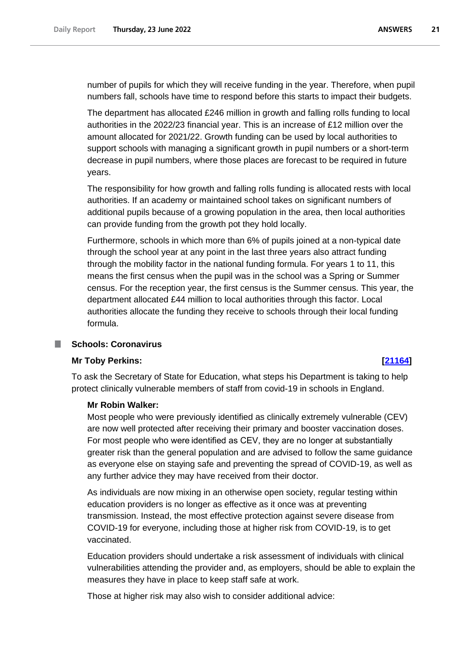number of pupils for which they will receive funding in the year. Therefore, when pupil numbers fall, schools have time to respond before this starts to impact their budgets.

The department has allocated £246 million in growth and falling rolls funding to local authorities in the 2022/23 financial year. This is an increase of £12 million over the amount allocated for 2021/22. Growth funding can be used by local authorities to support schools with managing a significant growth in pupil numbers or a short-term decrease in pupil numbers, where those places are forecast to be required in future years.

The responsibility for how growth and falling rolls funding is allocated rests with local authorities. If an academy or maintained school takes on significant numbers of additional pupils because of a growing population in the area, then local authorities can provide funding from the growth pot they hold locally.

Furthermore, schools in which more than 6% of pupils joined at a non-typical date through the school year at any point in the last three years also attract funding through the mobility factor in the national funding formula. For years 1 to 11, this means the first census when the pupil was in the school was a Spring or Summer census. For the reception year, the first census is the Summer census. This year, the department allocated £44 million to local authorities through this factor. Local authorities allocate the funding they receive to schools through their local funding formula.

# <span id="page-20-0"></span>**Schools: Coronavirus**

# **Mr Toby Perkins: [\[21164\]](http://www.parliament.uk/business/publications/written-questions-answers-statements/written-question/Commons/2022-06-20/21164)**

To ask the Secretary of State for Education, what steps his Department is taking to help protect clinically vulnerable members of staff from covid-19 in schools in England.

# **Mr Robin Walker:**

Most people who were previously identified as clinically extremely vulnerable (CEV) are now well protected after receiving their primary and booster vaccination doses. For most people who were identified as CEV, they are no longer at substantially greater risk than the general population and are advised to follow the same guidance as everyone else on staying safe and preventing the spread of COVID-19, as well as any further advice they may have received from their doctor.

As individuals are now mixing in an otherwise open society, regular testing within education providers is no longer as effective as it once was at preventing transmission. Instead, the most effective protection against severe disease from COVID-19 for everyone, including those at higher risk from COVID-19, is to get vaccinated.

Education providers should undertake a risk assessment of individuals with clinical vulnerabilities attending the provider and, as employers, should be able to explain the measures they have in place to keep staff safe at work.

Those at higher risk may also wish to consider additional advice: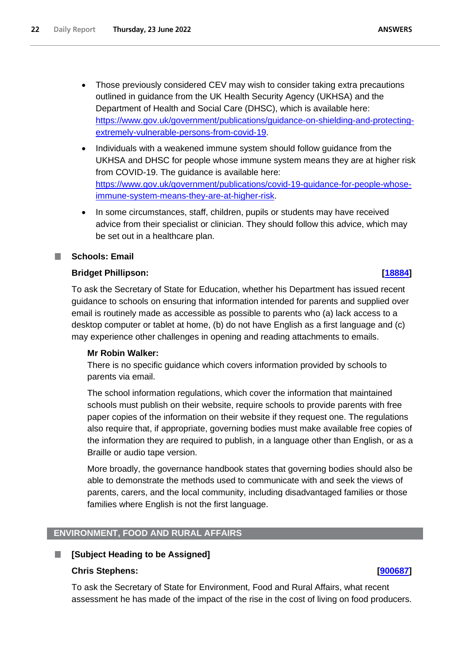- Those previously considered CEV may wish to consider taking extra precautions outlined in guidance from the UK Health Security Agency (UKHSA) and the Department of Health and Social Care (DHSC), which is available here: [https://www.gov.uk/government/publications/guidance-on-shielding-and-protecting](https://www.gov.uk/government/publications/guidance-on-shielding-and-protecting-extremely-vulnerable-persons-from-covid-19)[extremely-vulnerable-persons-from-covid-19.](https://www.gov.uk/government/publications/guidance-on-shielding-and-protecting-extremely-vulnerable-persons-from-covid-19)
- Individuals with a weakened immune system should follow guidance from the UKHSA and DHSC for people whose immune system means they are at higher risk from COVID-19. The guidance is available here: [https://www.gov.uk/government/publications/covid-19-guidance-for-people-whose](https://www.gov.uk/government/publications/covid-19-guidance-for-people-whose-immune-system-means-they-are-at-higher-risk)[immune-system-means-they-are-at-higher-risk.](https://www.gov.uk/government/publications/covid-19-guidance-for-people-whose-immune-system-means-they-are-at-higher-risk)
- In some circumstances, staff, children, pupils or students may have received advice from their specialist or clinician. They should follow this advice, which may be set out in a healthcare plan.

# <span id="page-21-0"></span>**Schools: Email**

# **Bridget Phillipson: [\[18884\]](http://www.parliament.uk/business/publications/written-questions-answers-statements/written-question/Commons/2022-06-15/18884)**

To ask the Secretary of State for Education, whether his Department has issued recent guidance to schools on ensuring that information intended for parents and supplied over email is routinely made as accessible as possible to parents who (a) lack access to a desktop computer or tablet at home, (b) do not have English as a first language and (c) may experience other challenges in opening and reading attachments to emails.

# **Mr Robin Walker:**

There is no specific guidance which covers information provided by schools to parents via email.

The school information regulations, which cover the information that maintained schools must publish on their website, require schools to provide parents with free paper copies of the information on their website if they request one. The regulations also require that, if appropriate, governing bodies must make available free copies of the information they are required to publish, in a language other than English, or as a Braille or audio tape version.

More broadly, the governance handbook states that governing bodies should also be able to demonstrate the methods used to communicate with and seek the views of parents, carers, and the local community, including disadvantaged families or those families where English is not the first language.

# <span id="page-21-1"></span>**ENVIRONMENT, FOOD AND RURAL AFFAIRS**

### <span id="page-21-2"></span>L. **[Subject Heading to be Assigned]**

# **Chris Stephens: [\[900687\]](http://www.parliament.uk/business/publications/written-questions-answers-statements/written-question/Commons/2022-06-23/900687)**

To ask the Secretary of State for Environment, Food and Rural Affairs, what recent assessment he has made of the impact of the rise in the cost of living on food producers.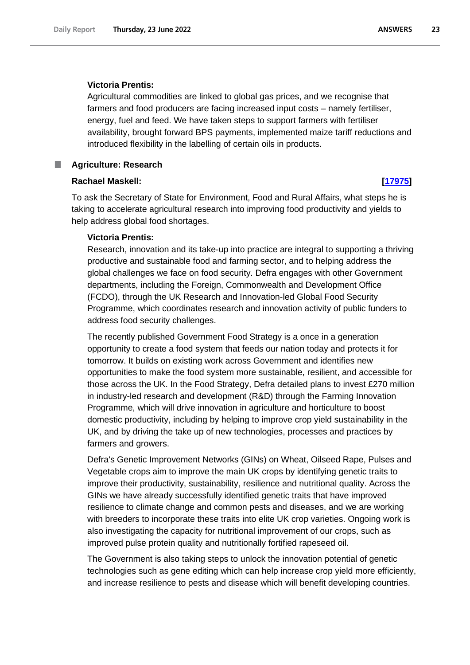## **Victoria Prentis:**

Agricultural commodities are linked to global gas prices, and we recognise that farmers and food producers are facing increased input costs – namely fertiliser, energy, fuel and feed. We have taken steps to support farmers with fertiliser availability, brought forward BPS payments, implemented maize tariff reductions and introduced flexibility in the labelling of certain oils in products.

### <span id="page-22-0"></span>**Agriculture: Research** ш

### **Rachael Maskell: [\[17975\]](http://www.parliament.uk/business/publications/written-questions-answers-statements/written-question/Commons/2022-06-14/17975)**

To ask the Secretary of State for Environment, Food and Rural Affairs, what steps he is taking to accelerate agricultural research into improving food productivity and yields to help address global food shortages.

# **Victoria Prentis:**

Research, innovation and its take-up into practice are integral to supporting a thriving productive and sustainable food and farming sector, and to helping address the global challenges we face on food security. Defra engages with other Government departments, including the Foreign, Commonwealth and Development Office (FCDO), through the UK Research and Innovation-led Global Food Security Programme, which coordinates research and innovation activity of public funders to address food security challenges.

The recently published Government Food Strategy is a once in a generation opportunity to create a food system that feeds our nation today and protects it for tomorrow. It builds on existing work across Government and identifies new opportunities to make the food system more sustainable, resilient, and accessible for those across the UK. In the Food Strategy, Defra detailed plans to invest £270 million in industry-led research and development (R&D) through the Farming Innovation Programme, which will drive innovation in agriculture and horticulture to boost domestic productivity, including by helping to improve crop yield sustainability in the UK, and by driving the take up of new technologies, processes and practices by farmers and growers.

Defra's Genetic Improvement Networks (GINs) on Wheat, Oilseed Rape, Pulses and Vegetable crops aim to improve the main UK crops by identifying genetic traits to improve their productivity, sustainability, resilience and nutritional quality. Across the GINs we have already successfully identified genetic traits that have improved resilience to climate change and common pests and diseases, and we are working with breeders to incorporate these traits into elite UK crop varieties. Ongoing work is also investigating the capacity for nutritional improvement of our crops, such as improved pulse protein quality and nutritionally fortified rapeseed oil.

The Government is also taking steps to unlock the innovation potential of genetic technologies such as gene editing which can help increase crop yield more efficiently, and increase resilience to pests and disease which will benefit developing countries.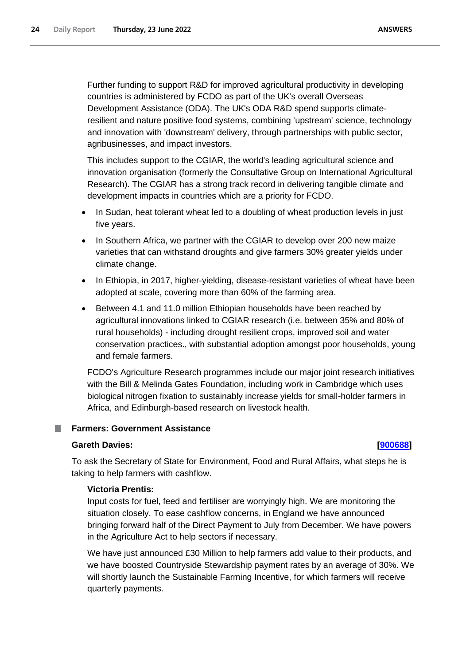Further funding to support R&D for improved agricultural productivity in developing countries is administered by FCDO as part of the UK's overall Overseas Development Assistance (ODA). The UK's ODA R&D spend supports climateresilient and nature positive food systems, combining 'upstream' science, technology and innovation with 'downstream' delivery, through partnerships with public sector, agribusinesses, and impact investors.

This includes support to the CGIAR, the world's leading agricultural science and innovation organisation (formerly the Consultative Group on International Agricultural Research). The CGIAR has a strong track record in delivering tangible climate and development impacts in countries which are a priority for FCDO.

- In Sudan, heat tolerant wheat led to a doubling of wheat production levels in just five years.
- In Southern Africa, we partner with the CGIAR to develop over 200 new maize varieties that can withstand droughts and give farmers 30% greater yields under climate change.
- In Ethiopia, in 2017, higher-yielding, disease-resistant varieties of wheat have been adopted at scale, covering more than 60% of the farming area.
- Between 4.1 and 11.0 million Ethiopian households have been reached by agricultural innovations linked to CGIAR research (i.e. between 35% and 80% of rural households) - including drought resilient crops, improved soil and water conservation practices., with substantial adoption amongst poor households, young and female farmers.

FCDO's Agriculture Research programmes include our major joint research initiatives with the Bill & Melinda Gates Foundation, including work in Cambridge which uses biological nitrogen fixation to sustainably increase yields for small-holder farmers in Africa, and Edinburgh-based research on livestock health.

### <span id="page-23-0"></span>**Farmers: Government Assistance** T.

# **Gareth Davies: [\[900688\]](http://www.parliament.uk/business/publications/written-questions-answers-statements/written-question/Commons/2022-06-23/900688)**

To ask the Secretary of State for Environment, Food and Rural Affairs, what steps he is taking to help farmers with cashflow.

# **Victoria Prentis:**

Input costs for fuel, feed and fertiliser are worryingly high. We are monitoring the situation closely. To ease cashflow concerns, in England we have announced bringing forward half of the Direct Payment to July from December. We have powers in the Agriculture Act to help sectors if necessary.

We have just announced £30 Million to help farmers add value to their products, and we have boosted Countryside Stewardship payment rates by an average of 30%. We will shortly launch the Sustainable Farming Incentive, for which farmers will receive quarterly payments.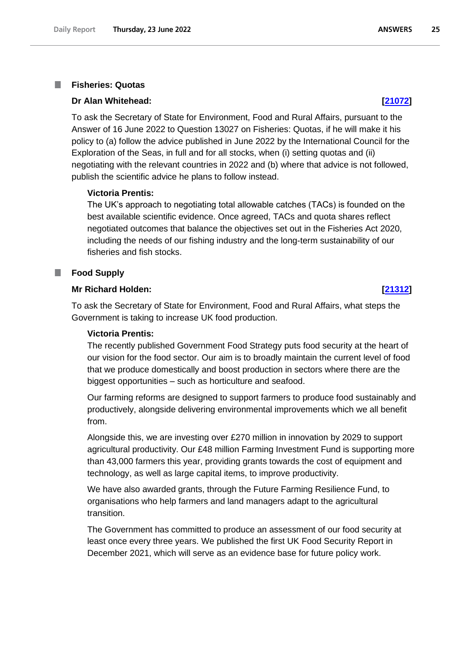### <span id="page-24-0"></span>**Fisheries: Quotas** T.

### **Dr Alan Whitehead: [\[21072\]](http://www.parliament.uk/business/publications/written-questions-answers-statements/written-question/Commons/2022-06-20/21072)**

To ask the Secretary of State for Environment, Food and Rural Affairs, pursuant to the Answer of 16 June 2022 to Question 13027 on Fisheries: Quotas, if he will make it his policy to (a) follow the advice published in June 2022 by the International Council for the Exploration of the Seas, in full and for all stocks, when (i) setting quotas and (ii) negotiating with the relevant countries in 2022 and (b) where that advice is not followed, publish the scientific advice he plans to follow instead.

## **Victoria Prentis:**

The UK's approach to negotiating total allowable catches (TACs) is founded on the best available scientific evidence. Once agreed, TACs and quota shares reflect negotiated outcomes that balance the objectives set out in the Fisheries Act 2020, including the needs of our fishing industry and the long-term sustainability of our fisheries and fish stocks.

### <span id="page-24-1"></span>**Food Supply** П

# **Mr Richard Holden: [\[21312\]](http://www.parliament.uk/business/publications/written-questions-answers-statements/written-question/Commons/2022-06-20/21312)**

To ask the Secretary of State for Environment, Food and Rural Affairs, what steps the Government is taking to increase UK food production.

### **Victoria Prentis:**

The recently published Government Food Strategy puts food security at the heart of our vision for the food sector. Our aim is to broadly maintain the current level of food that we produce domestically and boost production in sectors where there are the biggest opportunities – such as horticulture and seafood.

Our farming reforms are designed to support farmers to produce food sustainably and productively, alongside delivering environmental improvements which we all benefit from.

Alongside this, we are investing over £270 million in innovation by 2029 to support agricultural productivity. Our £48 million Farming Investment Fund is supporting more than 43,000 farmers this year, providing grants towards the cost of equipment and technology, as well as large capital items, to improve productivity.

We have also awarded grants, through the Future Farming Resilience Fund, to organisations who help farmers and land managers adapt to the agricultural transition.

The Government has committed to produce an assessment of our food security at least once every three years. We published the first UK Food Security Report in December 2021, which will serve as an evidence base for future policy work.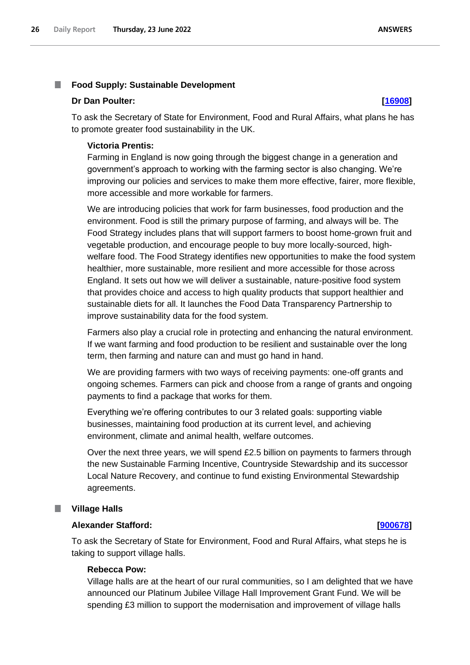### <span id="page-25-0"></span>T. **Food Supply: Sustainable Development**

## **Dr Dan Poulter: [\[16908\]](http://www.parliament.uk/business/publications/written-questions-answers-statements/written-question/Commons/2022-06-13/16908)**

To ask the Secretary of State for Environment, Food and Rural Affairs, what plans he has to promote greater food sustainability in the UK.

# **Victoria Prentis:**

Farming in England is now going through the biggest change in a generation and government's approach to working with the farming sector is also changing. We're improving our policies and services to make them more effective, fairer, more flexible, more accessible and more workable for farmers.

We are introducing policies that work for farm businesses, food production and the environment. Food is still the primary purpose of farming, and always will be. The Food Strategy includes plans that will support farmers to boost home-grown fruit and vegetable production, and encourage people to buy more locally-sourced, highwelfare food. The Food Strategy identifies new opportunities to make the food system healthier, more sustainable, more resilient and more accessible for those across England. It sets out how we will deliver a sustainable, nature-positive food system that provides choice and access to high quality products that support healthier and sustainable diets for all. It launches the Food Data Transparency Partnership to improve sustainability data for the food system.

Farmers also play a crucial role in protecting and enhancing the natural environment. If we want farming and food production to be resilient and sustainable over the long term, then farming and nature can and must go hand in hand.

We are providing farmers with two ways of receiving payments: one-off grants and ongoing schemes. Farmers can pick and choose from a range of grants and ongoing payments to find a package that works for them.

Everything we're offering contributes to our 3 related goals: supporting viable businesses, maintaining food production at its current level, and achieving environment, climate and animal health, welfare outcomes.

Over the next three years, we will spend £2.5 billion on payments to farmers through the new Sustainable Farming Incentive, Countryside Stewardship and its successor Local Nature Recovery, and continue to fund existing Environmental Stewardship agreements.

### <span id="page-25-1"></span>ш **Village Halls**

# **Alexander Stafford: [\[900678\]](http://www.parliament.uk/business/publications/written-questions-answers-statements/written-question/Commons/2022-06-16/900678)**

To ask the Secretary of State for Environment, Food and Rural Affairs, what steps he is taking to support village halls.

# **Rebecca Pow:**

Village halls are at the heart of our rural communities, so I am delighted that we have announced our Platinum Jubilee Village Hall Improvement Grant Fund. We will be spending £3 million to support the modernisation and improvement of village halls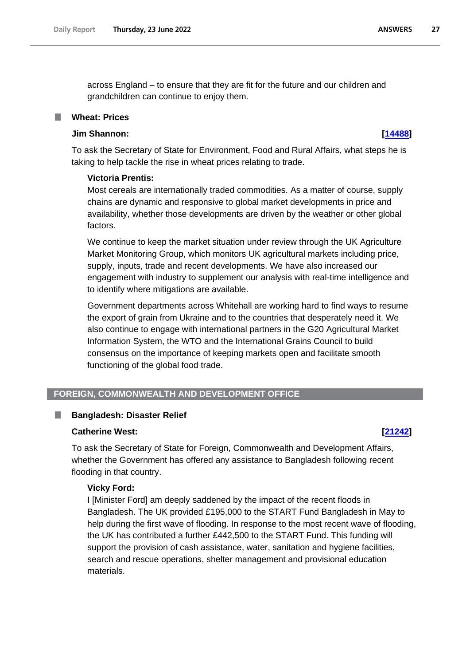across England – to ensure that they are fit for the future and our children and grandchildren can continue to enjoy them.

# <span id="page-26-0"></span>**Wheat: Prices**

# **Jim Shannon: [\[14488\]](http://www.parliament.uk/business/publications/written-questions-answers-statements/written-question/Commons/2022-06-08/14488)**

To ask the Secretary of State for Environment, Food and Rural Affairs, what steps he is taking to help tackle the rise in wheat prices relating to trade.

# **Victoria Prentis:**

Most cereals are internationally traded commodities. As a matter of course, supply chains are dynamic and responsive to global market developments in price and availability, whether those developments are driven by the weather or other global factors.

We continue to keep the market situation under review through the UK Agriculture Market Monitoring Group, which monitors UK agricultural markets including price, supply, inputs, trade and recent developments. We have also increased our engagement with industry to supplement our analysis with real-time intelligence and to identify where mitigations are available.

Government departments across Whitehall are working hard to find ways to resume the export of grain from Ukraine and to the countries that desperately need it. We also continue to engage with international partners in the G20 Agricultural Market Information System, the WTO and the International Grains Council to build consensus on the importance of keeping markets open and facilitate smooth functioning of the global food trade.

# <span id="page-26-1"></span>**FOREIGN, COMMONWEALTH AND DEVELOPMENT OFFICE**

### <span id="page-26-2"></span>П **Bangladesh: Disaster Relief**

# **Catherine West: [\[21242\]](http://www.parliament.uk/business/publications/written-questions-answers-statements/written-question/Commons/2022-06-20/21242)**

To ask the Secretary of State for Foreign, Commonwealth and Development Affairs, whether the Government has offered any assistance to Bangladesh following recent flooding in that country.

# **Vicky Ford:**

I [Minister Ford] am deeply saddened by the impact of the recent floods in Bangladesh. The UK provided £195,000 to the START Fund Bangladesh in May to help during the first wave of flooding. In response to the most recent wave of flooding, the UK has contributed a further £442,500 to the START Fund. This funding will support the provision of cash assistance, water, sanitation and hygiene facilities, search and rescue operations, shelter management and provisional education materials.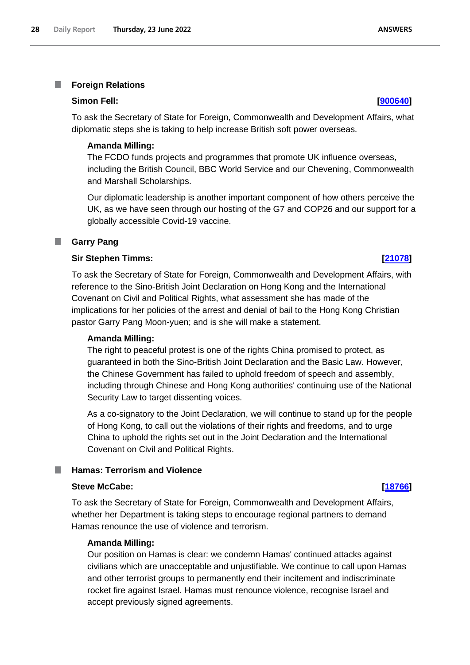<span id="page-27-0"></span>T. **Foreign Relations**

# **Simon Fell: [\[900640\]](http://www.parliament.uk/business/publications/written-questions-answers-statements/written-question/Commons/2022-06-15/900640)**

To ask the Secretary of State for Foreign, Commonwealth and Development Affairs, what diplomatic steps she is taking to help increase British soft power overseas.

# **Amanda Milling:**

The FCDO funds projects and programmes that promote UK influence overseas, including the British Council, BBC World Service and our Chevening, Commonwealth and Marshall Scholarships.

Our diplomatic leadership is another important component of how others perceive the UK, as we have seen through our hosting of the G7 and COP26 and our support for a globally accessible Covid-19 vaccine.

# <span id="page-27-1"></span>**Garry Pang**

# **Sir Stephen Timms: [\[21078\]](http://www.parliament.uk/business/publications/written-questions-answers-statements/written-question/Commons/2022-06-20/21078)**

To ask the Secretary of State for Foreign, Commonwealth and Development Affairs, with reference to the Sino-British Joint Declaration on Hong Kong and the International Covenant on Civil and Political Rights, what assessment she has made of the implications for her policies of the arrest and denial of bail to the Hong Kong Christian pastor Garry Pang Moon-yuen; and is she will make a statement.

# **Amanda Milling:**

The right to peaceful protest is one of the rights China promised to protect, as guaranteed in both the Sino-British Joint Declaration and the Basic Law. However, the Chinese Government has failed to uphold freedom of speech and assembly, including through Chinese and Hong Kong authorities' continuing use of the National Security Law to target dissenting voices.

As a co-signatory to the Joint Declaration, we will continue to stand up for the people of Hong Kong, to call out the violations of their rights and freedoms, and to urge China to uphold the rights set out in the Joint Declaration and the International Covenant on Civil and Political Rights.

# <span id="page-27-2"></span>**Hamas: Terrorism and Violence**

# **Steve McCabe: [\[18766\]](http://www.parliament.uk/business/publications/written-questions-answers-statements/written-question/Commons/2022-06-15/18766)**

To ask the Secretary of State for Foreign, Commonwealth and Development Affairs, whether her Department is taking steps to encourage regional partners to demand Hamas renounce the use of violence and terrorism.

## **Amanda Milling:**

Our position on Hamas is clear: we condemn Hamas' continued attacks against civilians which are unacceptable and unjustifiable. We continue to call upon Hamas and other terrorist groups to permanently end their incitement and indiscriminate rocket fire against Israel. Hamas must renounce violence, recognise Israel and accept previously signed agreements.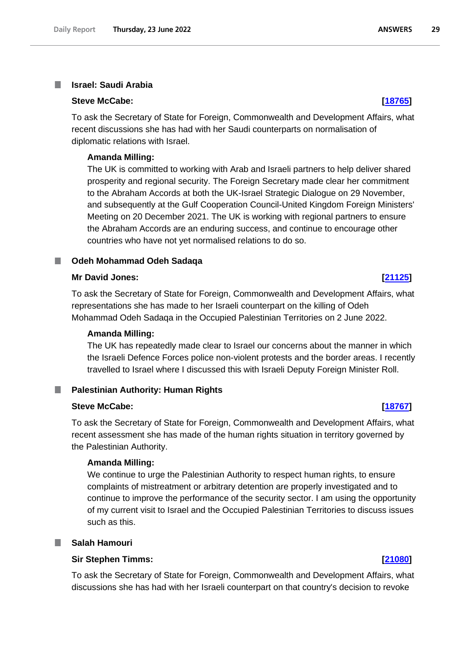### <span id="page-28-0"></span>**Israel: Saudi Arabia** I.

### **Steve McCabe: [\[18765\]](http://www.parliament.uk/business/publications/written-questions-answers-statements/written-question/Commons/2022-06-15/18765)**

To ask the Secretary of State for Foreign, Commonwealth and Development Affairs, what recent discussions she has had with her Saudi counterparts on normalisation of diplomatic relations with Israel.

## **Amanda Milling:**

The UK is committed to working with Arab and Israeli partners to help deliver shared prosperity and regional security. The Foreign Secretary made clear her commitment to the Abraham Accords at both the UK-Israel Strategic Dialogue on 29 November, and subsequently at the Gulf Cooperation Council-United Kingdom Foreign Ministers' Meeting on 20 December 2021. The UK is working with regional partners to ensure the Abraham Accords are an enduring success, and continue to encourage other countries who have not yet normalised relations to do so.

### <span id="page-28-1"></span>**Odeh Mohammad Odeh Sadaqa**

## **Mr David Jones: [\[21125\]](http://www.parliament.uk/business/publications/written-questions-answers-statements/written-question/Commons/2022-06-20/21125)**

To ask the Secretary of State for Foreign, Commonwealth and Development Affairs, what representations she has made to her Israeli counterpart on the killing of Odeh Mohammad Odeh Sadaqa in the Occupied Palestinian Territories on 2 June 2022.

### **Amanda Milling:**

The UK has repeatedly made clear to Israel our concerns about the manner in which the Israeli Defence Forces police non-violent protests and the border areas. I recently travelled to Israel where I discussed this with Israeli Deputy Foreign Minister Roll.

### <span id="page-28-2"></span>**Palestinian Authority: Human Rights** .

## **Steve McCabe: [\[18767\]](http://www.parliament.uk/business/publications/written-questions-answers-statements/written-question/Commons/2022-06-15/18767)**

To ask the Secretary of State for Foreign, Commonwealth and Development Affairs, what recent assessment she has made of the human rights situation in territory governed by the Palestinian Authority.

## **Amanda Milling:**

We continue to urge the Palestinian Authority to respect human rights, to ensure complaints of mistreatment or arbitrary detention are properly investigated and to continue to improve the performance of the security sector. I am using the opportunity of my current visit to Israel and the Occupied Palestinian Territories to discuss issues such as this.

# <span id="page-28-3"></span>**Salah Hamouri**

# **Sir Stephen Timms: [\[21080\]](http://www.parliament.uk/business/publications/written-questions-answers-statements/written-question/Commons/2022-06-20/21080)**

To ask the Secretary of State for Foreign, Commonwealth and Development Affairs, what discussions she has had with her Israeli counterpart on that country's decision to revoke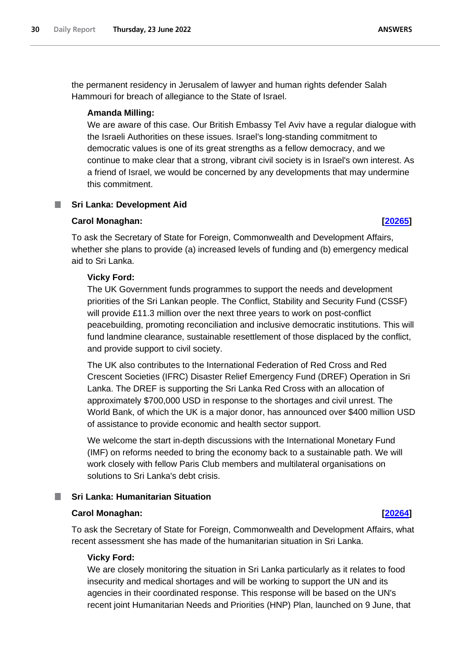the permanent residency in Jerusalem of lawyer and human rights defender Salah Hammouri for breach of allegiance to the State of Israel.

## **Amanda Milling:**

We are aware of this case. Our British Embassy Tel Aviv have a regular dialogue with the Israeli Authorities on these issues. Israel's long-standing commitment to democratic values is one of its great strengths as a fellow democracy, and we continue to make clear that a strong, vibrant civil society is in Israel's own interest. As a friend of Israel, we would be concerned by any developments that may undermine this commitment.

# <span id="page-29-0"></span>**Sri Lanka: Development Aid**

### **Carol Monaghan: [\[20265\]](http://www.parliament.uk/business/publications/written-questions-answers-statements/written-question/Commons/2022-06-17/20265)**

To ask the Secretary of State for Foreign, Commonwealth and Development Affairs, whether she plans to provide (a) increased levels of funding and (b) emergency medical aid to Sri Lanka.

## **Vicky Ford:**

The UK Government funds programmes to support the needs and development priorities of the Sri Lankan people. The Conflict, Stability and Security Fund (CSSF) will provide £11.3 million over the next three years to work on post-conflict peacebuilding, promoting reconciliation and inclusive democratic institutions. This will fund landmine clearance, sustainable resettlement of those displaced by the conflict, and provide support to civil society.

The UK also contributes to the International Federation of Red Cross and Red Crescent Societies (IFRC) Disaster Relief Emergency Fund (DREF) Operation in Sri Lanka. The DREF is supporting the Sri Lanka Red Cross with an allocation of approximately \$700,000 USD in response to the shortages and civil unrest. The World Bank, of which the UK is a major donor, has announced over \$400 million USD of assistance to provide economic and health sector support.

We welcome the start in-depth discussions with the International Monetary Fund (IMF) on reforms needed to bring the economy back to a sustainable path. We will work closely with fellow Paris Club members and multilateral organisations on solutions to Sri Lanka's debt crisis.

# <span id="page-29-1"></span>**Sri Lanka: Humanitarian Situation**

## **Carol Monaghan: [\[20264\]](http://www.parliament.uk/business/publications/written-questions-answers-statements/written-question/Commons/2022-06-17/20264)**

To ask the Secretary of State for Foreign, Commonwealth and Development Affairs, what recent assessment she has made of the humanitarian situation in Sri Lanka.

### **Vicky Ford:**

We are closely monitoring the situation in Sri Lanka particularly as it relates to food insecurity and medical shortages and will be working to support the UN and its agencies in their coordinated response. This response will be based on the UN's recent joint Humanitarian Needs and Priorities (HNP) Plan, launched on 9 June, that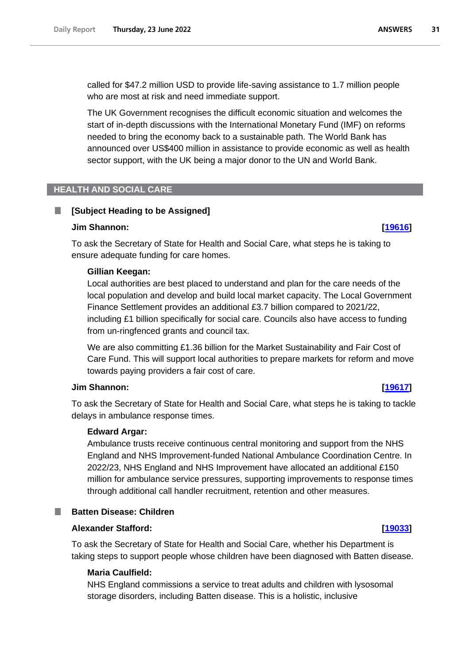called for \$47.2 million USD to provide life-saving assistance to 1.7 million people who are most at risk and need immediate support.

The UK Government recognises the difficult economic situation and welcomes the start of in-depth discussions with the International Monetary Fund (IMF) on reforms needed to bring the economy back to a sustainable path. The World Bank has announced over US\$400 million in assistance to provide economic as well as health sector support, with the UK being a major donor to the UN and World Bank.

# <span id="page-30-0"></span>**HEALTH AND SOCIAL CARE**

# <span id="page-30-1"></span>**[Subject Heading to be Assigned]**

## **Jim Shannon: [\[19616\]](http://www.parliament.uk/business/publications/written-questions-answers-statements/written-question/Commons/2022-06-16/19616)**

To ask the Secretary of State for Health and Social Care, what steps he is taking to ensure adequate funding for care homes.

## **Gillian Keegan:**

Local authorities are best placed to understand and plan for the care needs of the local population and develop and build local market capacity. The Local Government Finance Settlement provides an additional £3.7 billion compared to 2021/22, including £1 billion specifically for social care. Councils also have access to funding from un-ringfenced grants and council tax.

We are also committing £1.36 billion for the Market Sustainability and Fair Cost of Care Fund. This will support local authorities to prepare markets for reform and move towards paying providers a fair cost of care.

## **Jim Shannon: [\[19617\]](http://www.parliament.uk/business/publications/written-questions-answers-statements/written-question/Commons/2022-06-16/19617)**

To ask the Secretary of State for Health and Social Care, what steps he is taking to tackle delays in ambulance response times.

# **Edward Argar:**

Ambulance trusts receive continuous central monitoring and support from the NHS England and NHS Improvement-funded National Ambulance Coordination Centre. In 2022/23, NHS England and NHS Improvement have allocated an additional £150 million for ambulance service pressures, supporting improvements to response times through additional call handler recruitment, retention and other measures.

# <span id="page-30-2"></span>**Batten Disease: Children**

# **Alexander Stafford: [\[19033\]](http://www.parliament.uk/business/publications/written-questions-answers-statements/written-question/Commons/2022-06-15/19033)**

To ask the Secretary of State for Health and Social Care, whether his Department is taking steps to support people whose children have been diagnosed with Batten disease.

# **Maria Caulfield:**

NHS England commissions a service to treat adults and children with lysosomal storage disorders, including Batten disease. This is a holistic, inclusive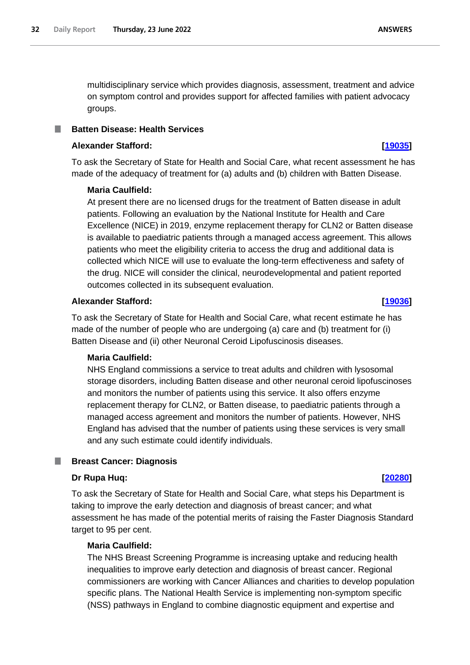multidisciplinary service which provides diagnosis, assessment, treatment and advice on symptom control and provides support for affected families with patient advocacy groups.

# <span id="page-31-0"></span>**Batten Disease: Health Services**

# **Alexander Stafford: [\[19035\]](http://www.parliament.uk/business/publications/written-questions-answers-statements/written-question/Commons/2022-06-15/19035)**

To ask the Secretary of State for Health and Social Care, what recent assessment he has made of the adequacy of treatment for (a) adults and (b) children with Batten Disease.

# **Maria Caulfield:**

At present there are no licensed drugs for the treatment of Batten disease in adult patients. Following an evaluation by the National Institute for Health and Care Excellence (NICE) in 2019, enzyme replacement therapy for CLN2 or Batten disease is available to paediatric patients through a managed access agreement. This allows patients who meet the eligibility criteria to access the drug and additional data is collected which NICE will use to evaluate the long-term effectiveness and safety of the drug. NICE will consider the clinical, neurodevelopmental and patient reported outcomes collected in its subsequent evaluation.

## **Alexander Stafford: [\[19036\]](http://www.parliament.uk/business/publications/written-questions-answers-statements/written-question/Commons/2022-06-15/19036)**

To ask the Secretary of State for Health and Social Care, what recent estimate he has made of the number of people who are undergoing (a) care and (b) treatment for (i) Batten Disease and (ii) other Neuronal Ceroid Lipofuscinosis diseases.

# **Maria Caulfield:**

NHS England commissions a service to treat adults and children with lysosomal storage disorders, including Batten disease and other neuronal ceroid lipofuscinoses and monitors the number of patients using this service. It also offers enzyme replacement therapy for CLN2, or Batten disease, to paediatric patients through a managed access agreement and monitors the number of patients. However, NHS England has advised that the number of patients using these services is very small and any such estimate could identify individuals.

# <span id="page-31-1"></span>**Breast Cancer: Diagnosis**

# **Dr Rupa Huq: [\[20280\]](http://www.parliament.uk/business/publications/written-questions-answers-statements/written-question/Commons/2022-06-17/20280)**

To ask the Secretary of State for Health and Social Care, what steps his Department is taking to improve the early detection and diagnosis of breast cancer; and what assessment he has made of the potential merits of raising the Faster Diagnosis Standard target to 95 per cent.

# **Maria Caulfield:**

The NHS Breast Screening Programme is increasing uptake and reducing health inequalities to improve early detection and diagnosis of breast cancer. Regional commissioners are working with Cancer Alliances and charities to develop population specific plans. The National Health Service is implementing non-symptom specific (NSS) pathways in England to combine diagnostic equipment and expertise and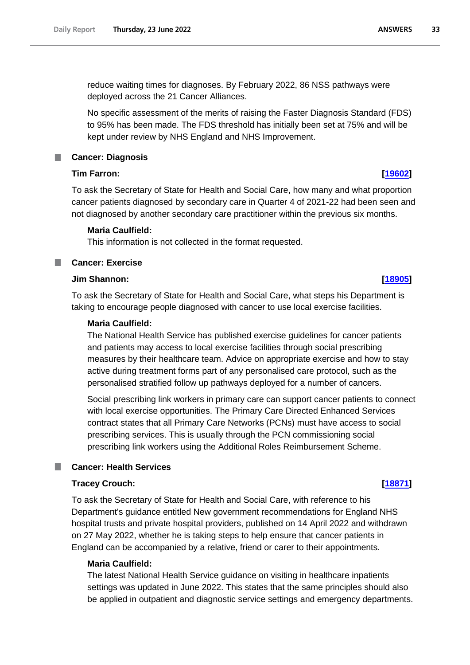reduce waiting times for diagnoses. By February 2022, 86 NSS pathways were deployed across the 21 Cancer Alliances.

No specific assessment of the merits of raising the Faster Diagnosis Standard (FDS) to 95% has been made. The FDS threshold has initially been set at 75% and will be kept under review by NHS England and NHS Improvement.

# <span id="page-32-0"></span>**Cancer: Diagnosis**

# **Tim Farron: [\[19602\]](http://www.parliament.uk/business/publications/written-questions-answers-statements/written-question/Commons/2022-06-16/19602)**

To ask the Secretary of State for Health and Social Care, how many and what proportion cancer patients diagnosed by secondary care in Quarter 4 of 2021-22 had been seen and not diagnosed by another secondary care practitioner within the previous six months.

# **Maria Caulfield:**

This information is not collected in the format requested.

<span id="page-32-1"></span>ш **Cancer: Exercise**

# **Jim Shannon: [\[18905\]](http://www.parliament.uk/business/publications/written-questions-answers-statements/written-question/Commons/2022-06-15/18905)**

To ask the Secretary of State for Health and Social Care, what steps his Department is taking to encourage people diagnosed with cancer to use local exercise facilities.

# **Maria Caulfield:**

The National Health Service has published exercise guidelines for cancer patients and patients may access to local exercise facilities through social prescribing measures by their healthcare team. Advice on appropriate exercise and how to stay active during treatment forms part of any personalised care protocol, such as the personalised stratified follow up pathways deployed for a number of cancers.

Social prescribing link workers in primary care can support cancer patients to connect with local exercise opportunities. The Primary Care Directed Enhanced Services contract states that all Primary Care Networks (PCNs) must have access to social prescribing services. This is usually through the PCN commissioning social prescribing link workers using the Additional Roles Reimbursement Scheme.

# <span id="page-32-2"></span>**Cancer: Health Services**

### **Tracey Crouch: [\[18871\]](http://www.parliament.uk/business/publications/written-questions-answers-statements/written-question/Commons/2022-06-15/18871)**

To ask the Secretary of State for Health and Social Care, with reference to his Department's guidance entitled New government recommendations for England NHS hospital trusts and private hospital providers, published on 14 April 2022 and withdrawn on 27 May 2022, whether he is taking steps to help ensure that cancer patients in England can be accompanied by a relative, friend or carer to their appointments.

# **Maria Caulfield:**

The latest National Health Service guidance on visiting in healthcare inpatients settings was updated in June 2022. This states that the same principles should also be applied in outpatient and diagnostic service settings and emergency departments.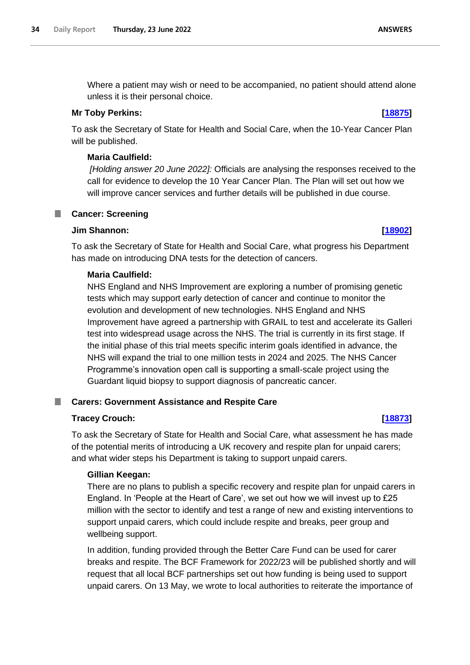Where a patient may wish or need to be accompanied, no patient should attend alone unless it is their personal choice.

# **Mr Toby Perkins: [\[18875\]](http://www.parliament.uk/business/publications/written-questions-answers-statements/written-question/Commons/2022-06-15/18875)**

To ask the Secretary of State for Health and Social Care, when the 10-Year Cancer Plan will be published.

# **Maria Caulfield:**

*[Holding answer 20 June 2022]:* Officials are analysing the responses received to the call for evidence to develop the 10 Year Cancer Plan. The Plan will set out how we will improve cancer services and further details will be published in due course.

<span id="page-33-0"></span>**Cancer: Screening** 

# **Jim Shannon: [\[18902\]](http://www.parliament.uk/business/publications/written-questions-answers-statements/written-question/Commons/2022-06-15/18902)**

To ask the Secretary of State for Health and Social Care, what progress his Department has made on introducing DNA tests for the detection of cancers.

# **Maria Caulfield:**

NHS England and NHS Improvement are exploring a number of promising genetic tests which may support early detection of cancer and continue to monitor the evolution and development of new technologies. NHS England and NHS Improvement have agreed a partnership with GRAIL to test and accelerate its Galleri test into widespread usage across the NHS. The trial is currently in its first stage. If the initial phase of this trial meets specific interim goals identified in advance, the NHS will expand the trial to one million tests in 2024 and 2025. The NHS Cancer Programme's innovation open call is supporting a small-scale project using the Guardant liquid biopsy to support diagnosis of pancreatic cancer.

# <span id="page-33-1"></span>**Carers: Government Assistance and Respite Care**

# **Tracey Crouch: [\[18873\]](http://www.parliament.uk/business/publications/written-questions-answers-statements/written-question/Commons/2022-06-15/18873)**

To ask the Secretary of State for Health and Social Care, what assessment he has made of the potential merits of introducing a UK recovery and respite plan for unpaid carers; and what wider steps his Department is taking to support unpaid carers.

# **Gillian Keegan:**

There are no plans to publish a specific recovery and respite plan for unpaid carers in England. In 'People at the Heart of Care', we set out how we will invest up to £25 million with the sector to identify and test a range of new and existing interventions to support unpaid carers, which could include respite and breaks, peer group and wellbeing support.

In addition, funding provided through the Better Care Fund can be used for carer breaks and respite. The BCF Framework for 2022/23 will be published shortly and will request that all local BCF partnerships set out how funding is being used to support unpaid carers. On 13 May, we wrote to local authorities to reiterate the importance of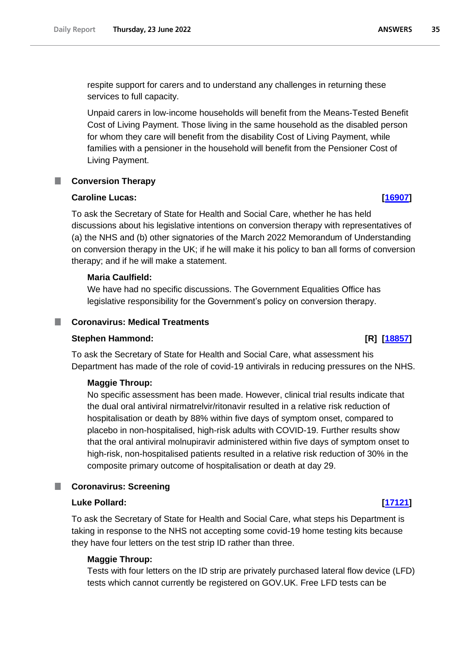respite support for carers and to understand any challenges in returning these services to full capacity.

Unpaid carers in low-income households will benefit from the Means-Tested Benefit Cost of Living Payment. Those living in the same household as the disabled person for whom they care will benefit from the disability Cost of Living Payment, while families with a pensioner in the household will benefit from the Pensioner Cost of Living Payment.

# <span id="page-34-0"></span>**Conversion Therapy**

# **Caroline Lucas: [\[16907\]](http://www.parliament.uk/business/publications/written-questions-answers-statements/written-question/Commons/2022-06-13/16907)**

To ask the Secretary of State for Health and Social Care, whether he has held discussions about his legislative intentions on conversion therapy with representatives of (a) the NHS and (b) other signatories of the March 2022 Memorandum of Understanding on conversion therapy in the UK; if he will make it his policy to ban all forms of conversion therapy; and if he will make a statement.

# **Maria Caulfield:**

We have had no specific discussions. The Government Equalities Office has legislative responsibility for the Government's policy on conversion therapy.

# <span id="page-34-1"></span>**Coronavirus: Medical Treatments**

# **Stephen Hammond: [R] [\[18857\]](http://www.parliament.uk/business/publications/written-questions-answers-statements/written-question/Commons/2022-06-15/18857)**

To ask the Secretary of State for Health and Social Care, what assessment his Department has made of the role of covid-19 antivirals in reducing pressures on the NHS.

# **Maggie Throup:**

No specific assessment has been made. However, clinical trial results indicate that the dual oral antiviral nirmatrelvir/ritonavir resulted in a relative risk reduction of hospitalisation or death by 88% within five days of symptom onset, compared to placebo in non-hospitalised, high-risk adults with COVID-19. Further results show that the oral antiviral molnupiravir administered within five days of symptom onset to high-risk, non-hospitalised patients resulted in a relative risk reduction of 30% in the composite primary outcome of hospitalisation or death at day 29.

### <span id="page-34-2"></span>m. **Coronavirus: Screening**

# **Luke Pollard: [\[17121\]](http://www.parliament.uk/business/publications/written-questions-answers-statements/written-question/Commons/2022-06-13/17121)**

To ask the Secretary of State for Health and Social Care, what steps his Department is taking in response to the NHS not accepting some covid-19 home testing kits because they have four letters on the test strip ID rather than three.

# **Maggie Throup:**

Tests with four letters on the ID strip are privately purchased lateral flow device (LFD) tests which cannot currently be registered on GOV.UK. Free LFD tests can be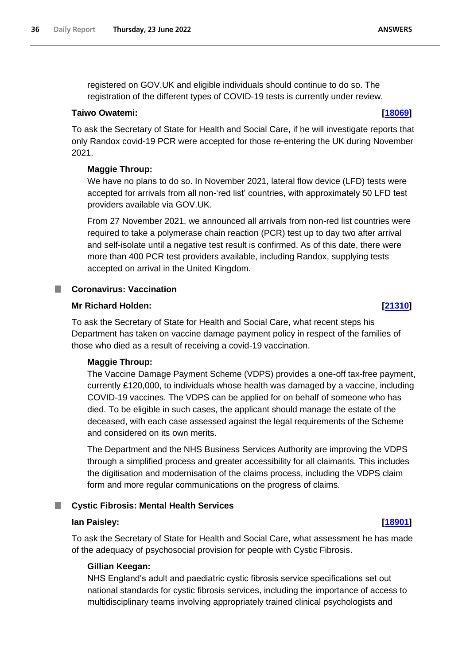registered on GOV.UK and eligible individuals should continue to do so. The registration of the different types of COVID-19 tests is currently under review.

# **Taiwo Owatemi: [\[18069\]](http://www.parliament.uk/business/publications/written-questions-answers-statements/written-question/Commons/2022-06-14/18069)**

To ask the Secretary of State for Health and Social Care, if he will investigate reports that only Randox covid-19 PCR were accepted for those re-entering the UK during November 2021.

# **Maggie Throup:**

We have no plans to do so. In November 2021, lateral flow device (LFD) tests were accepted for arrivals from all non-'red list' countries, with approximately 50 LFD test providers available via GOV.UK.

From 27 November 2021, we announced all arrivals from non-red list countries were required to take a polymerase chain reaction (PCR) test up to day two after arrival and self-isolate until a negative test result is confirmed. As of this date, there were more than 400 PCR test providers available, including Randox, supplying tests accepted on arrival in the United Kingdom.

### <span id="page-35-0"></span>m. **Coronavirus: Vaccination**

# **Mr Richard Holden: [\[21310\]](http://www.parliament.uk/business/publications/written-questions-answers-statements/written-question/Commons/2022-06-20/21310)**

To ask the Secretary of State for Health and Social Care, what recent steps his Department has taken on vaccine damage payment policy in respect of the families of those who died as a result of receiving a covid-19 vaccination.

# **Maggie Throup:**

The Vaccine Damage Payment Scheme (VDPS) provides a one-off tax-free payment, currently £120,000, to individuals whose health was damaged by a vaccine, including COVID-19 vaccines. The VDPS can be applied for on behalf of someone who has died. To be eligible in such cases, the applicant should manage the estate of the deceased, with each case assessed against the legal requirements of the Scheme and considered on its own merits.

The Department and the NHS Business Services Authority are improving the VDPS through a simplified process and greater accessibility for all claimants. This includes the digitisation and modernisation of the claims process, including the VDPS claim form and more regular communications on the progress of claims.

# <span id="page-35-1"></span>**Cystic Fibrosis: Mental Health Services**

## **Ian Paisley: [\[18901\]](http://www.parliament.uk/business/publications/written-questions-answers-statements/written-question/Commons/2022-06-15/18901)**

To ask the Secretary of State for Health and Social Care, what assessment he has made of the adequacy of psychosocial provision for people with Cystic Fibrosis.

# **Gillian Keegan:**

NHS England's adult and paediatric cystic fibrosis service specifications set out national standards for cystic fibrosis services, including the importance of access to multidisciplinary teams involving appropriately trained clinical psychologists and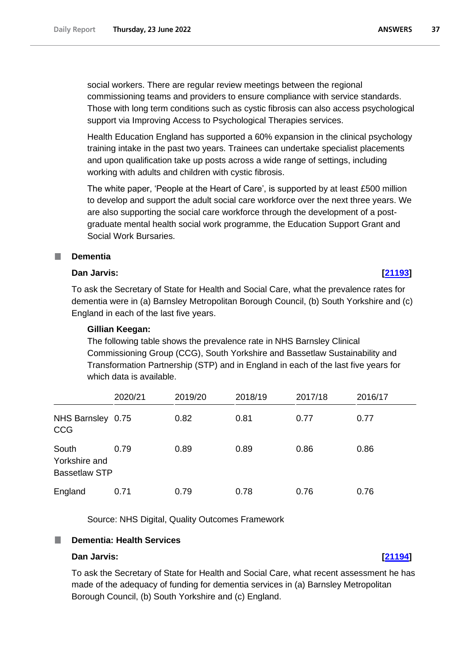social workers. There are regular review meetings between the regional commissioning teams and providers to ensure compliance with service standards. Those with long term conditions such as cystic fibrosis can also access psychological support via Improving Access to Psychological Therapies services.

Health Education England has supported a 60% expansion in the clinical psychology training intake in the past two years. Trainees can undertake specialist placements and upon qualification take up posts across a wide range of settings, including working with adults and children with cystic fibrosis.

The white paper, 'People at the Heart of Care', is supported by at least £500 million to develop and support the adult social care workforce over the next three years. We are also supporting the social care workforce through the development of a postgraduate mental health social work programme, the Education Support Grant and Social Work Bursaries.

#### **In Dementia**

#### **Dan Jarvis: [\[21193\]](http://www.parliament.uk/business/publications/written-questions-answers-statements/written-question/Commons/2022-06-20/21193)**

To ask the Secretary of State for Health and Social Care, what the prevalence rates for dementia were in (a) Barnsley Metropolitan Borough Council, (b) South Yorkshire and (c) England in each of the last five years.

#### **Gillian Keegan:**

The following table shows the prevalence rate in NHS Barnsley Clinical Commissioning Group (CCG), South Yorkshire and Bassetlaw Sustainability and Transformation Partnership (STP) and in England in each of the last five years for which data is available.

|                                                | 2020/21 | 2019/20 | 2018/19 | 2017/18 | 2016/17 |
|------------------------------------------------|---------|---------|---------|---------|---------|
| NHS Barnsley 0.75<br><b>CCG</b>                |         | 0.82    | 0.81    | 0.77    | 0.77    |
| South<br>Yorkshire and<br><b>Bassetlaw STP</b> | 0.79    | 0.89    | 0.89    | 0.86    | 0.86    |
| England                                        | 0.71    | 0.79    | 0.78    | 0.76    | 0.76    |

Source: NHS Digital, Quality Outcomes Framework

#### **Dementia: Health Services** T.

### **Dan Jarvis: [\[21194\]](http://www.parliament.uk/business/publications/written-questions-answers-statements/written-question/Commons/2022-06-20/21194)**

To ask the Secretary of State for Health and Social Care, what recent assessment he has made of the adequacy of funding for dementia services in (a) Barnsley Metropolitan Borough Council, (b) South Yorkshire and (c) England.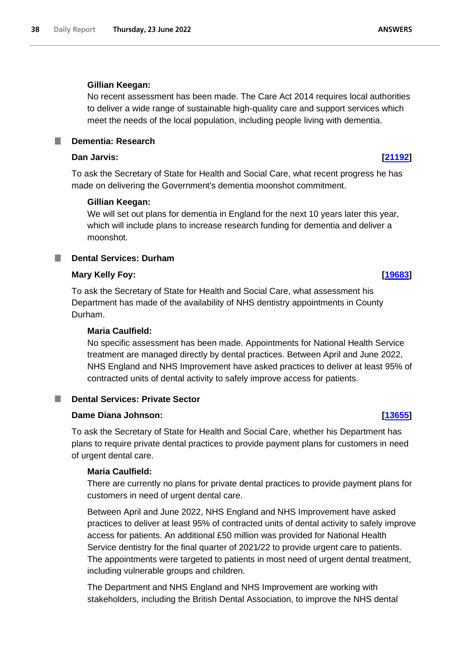### **Gillian Keegan:**

No recent assessment has been made. The Care Act 2014 requires local authorities to deliver a wide range of sustainable high-quality care and support services which meet the needs of the local population, including people living with dementia.

**Dementia: Research**

## **Dan Jarvis: [\[21192\]](http://www.parliament.uk/business/publications/written-questions-answers-statements/written-question/Commons/2022-06-20/21192)**

To ask the Secretary of State for Health and Social Care, what recent progress he has made on delivering the Government's dementia moonshot commitment.

### **Gillian Keegan:**

We will set out plans for dementia in England for the next 10 years later this year, which will include plans to increase research funding for dementia and deliver a moonshot.

**Dental Services: Durham**

### **Mary Kelly Foy: [\[19683\]](http://www.parliament.uk/business/publications/written-questions-answers-statements/written-question/Commons/2022-06-16/19683)**

To ask the Secretary of State for Health and Social Care, what assessment his Department has made of the availability of NHS dentistry appointments in County Durham.

### **Maria Caulfield:**

No specific assessment has been made. Appointments for National Health Service treatment are managed directly by dental practices. Between April and June 2022, NHS England and NHS Improvement have asked practices to deliver at least 95% of contracted units of dental activity to safely improve access for patients.

## **Dental Services: Private Sector**

## **Dame Diana Johnson: [\[13655\]](http://www.parliament.uk/business/publications/written-questions-answers-statements/written-question/Commons/2022-06-07/13655)**

To ask the Secretary of State for Health and Social Care, whether his Department has plans to require private dental practices to provide payment plans for customers in need of urgent dental care.

### **Maria Caulfield:**

There are currently no plans for private dental practices to provide payment plans for customers in need of urgent dental care.

Between April and June 2022, NHS England and NHS Improvement have asked practices to deliver at least 95% of contracted units of dental activity to safely improve access for patients. An additional £50 million was provided for National Health Service dentistry for the final quarter of 2021/22 to provide urgent care to patients. The appointments were targeted to patients in most need of urgent dental treatment, including vulnerable groups and children.

The Department and NHS England and NHS Improvement are working with stakeholders, including the British Dental Association, to improve the NHS dental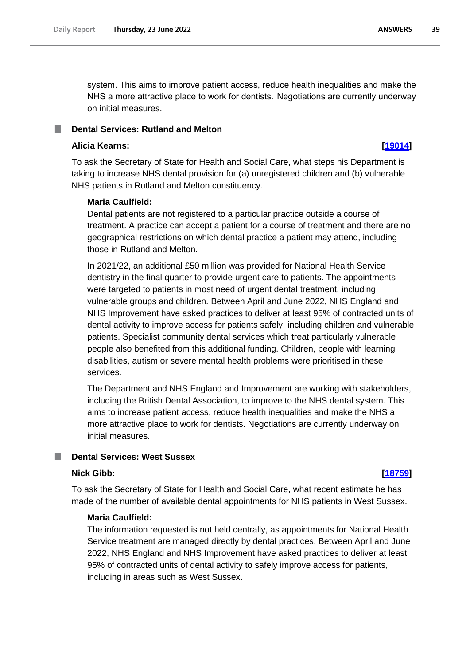system. This aims to improve patient access, reduce health inequalities and make the NHS a more attractive place to work for dentists.  Negotiations are currently underway on initial measures.

#### **Dental Services: Rutland and Melton** T.

#### **Alicia Kearns: [\[19014\]](http://www.parliament.uk/business/publications/written-questions-answers-statements/written-question/Commons/2022-06-15/19014)**

To ask the Secretary of State for Health and Social Care, what steps his Department is taking to increase NHS dental provision for (a) unregistered children and (b) vulnerable NHS patients in Rutland and Melton constituency.

#### **Maria Caulfield:**

Dental patients are not registered to a particular practice outside a course of treatment. A practice can accept a patient for a course of treatment and there are no geographical restrictions on which dental practice a patient may attend, including those in Rutland and Melton.

In 2021/22, an additional £50 million was provided for National Health Service dentistry in the final quarter to provide urgent care to patients. The appointments were targeted to patients in most need of urgent dental treatment, including vulnerable groups and children. Between April and June 2022, NHS England and NHS Improvement have asked practices to deliver at least 95% of contracted units of dental activity to improve access for patients safely, including children and vulnerable patients. Specialist community dental services which treat particularly vulnerable people also benefited from this additional funding. Children, people with learning disabilities, autism or severe mental health problems were prioritised in these services.

The Department and NHS England and Improvement are working with stakeholders, including the British Dental Association, to improve to the NHS dental system. This aims to increase patient access, reduce health inequalities and make the NHS a more attractive place to work for dentists. Negotiations are currently underway on initial measures.

### **Dental Services: West Sussex**

#### **Nick Gibb: [\[18759\]](http://www.parliament.uk/business/publications/written-questions-answers-statements/written-question/Commons/2022-06-15/18759)**

To ask the Secretary of State for Health and Social Care, what recent estimate he has made of the number of available dental appointments for NHS patients in West Sussex.

### **Maria Caulfield:**

The information requested is not held centrally, as appointments for National Health Service treatment are managed directly by dental practices. Between April and June 2022, NHS England and NHS Improvement have asked practices to deliver at least 95% of contracted units of dental activity to safely improve access for patients, including in areas such as West Sussex.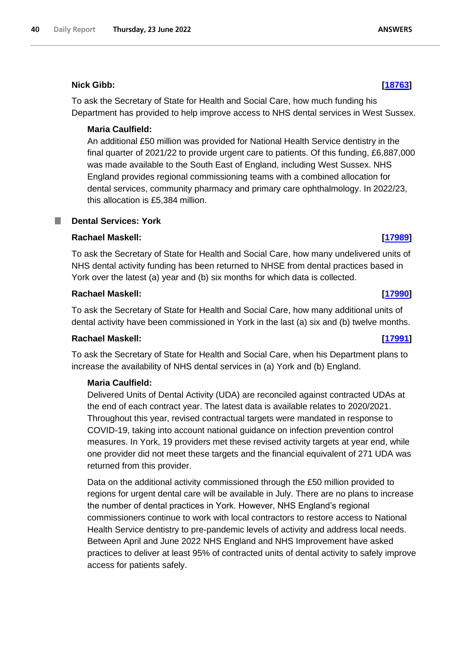## **Nick Gibb: [\[18763\]](http://www.parliament.uk/business/publications/written-questions-answers-statements/written-question/Commons/2022-06-15/18763)**

To ask the Secretary of State for Health and Social Care, how much funding his Department has provided to help improve access to NHS dental services in West Sussex.

## **Maria Caulfield:**

An additional £50 million was provided for National Health Service dentistry in the final quarter of 2021/22 to provide urgent care to patients. Of this funding, £6,887,000 was made available to the South East of England, including West Sussex. NHS England provides regional commissioning teams with a combined allocation for dental services, community pharmacy and primary care ophthalmology. In 2022/23, this allocation is £5,384 million.

#### . **Dental Services: York**

# **Rachael Maskell: [\[17989\]](http://www.parliament.uk/business/publications/written-questions-answers-statements/written-question/Commons/2022-06-14/17989)**

To ask the Secretary of State for Health and Social Care, how many undelivered units of NHS dental activity funding has been returned to NHSE from dental practices based in York over the latest (a) year and (b) six months for which data is collected.

## **Rachael Maskell: [\[17990\]](http://www.parliament.uk/business/publications/written-questions-answers-statements/written-question/Commons/2022-06-14/17990)**

To ask the Secretary of State for Health and Social Care, how many additional units of dental activity have been commissioned in York in the last (a) six and (b) twelve months.

## **Rachael Maskell: [\[17991\]](http://www.parliament.uk/business/publications/written-questions-answers-statements/written-question/Commons/2022-06-14/17991)**

To ask the Secretary of State for Health and Social Care, when his Department plans to increase the availability of NHS dental services in (a) York and (b) England.

## **Maria Caulfield:**

Delivered Units of Dental Activity (UDA) are reconciled against contracted UDAs at the end of each contract year. The latest data is available relates to 2020/2021. Throughout this year, revised contractual targets were mandated in response to COVID-19, taking into account national guidance on infection prevention control measures. In York, 19 providers met these revised activity targets at year end, while one provider did not meet these targets and the financial equivalent of 271 UDA was returned from this provider.

Data on the additional activity commissioned through the £50 million provided to regions for urgent dental care will be available in July. There are no plans to increase the number of dental practices in York. However, NHS England's regional commissioners continue to work with local contractors to restore access to National Health Service dentistry to pre-pandemic levels of activity and address local needs. Between April and June 2022 NHS England and NHS Improvement have asked practices to deliver at least 95% of contracted units of dental activity to safely improve access for patients safely.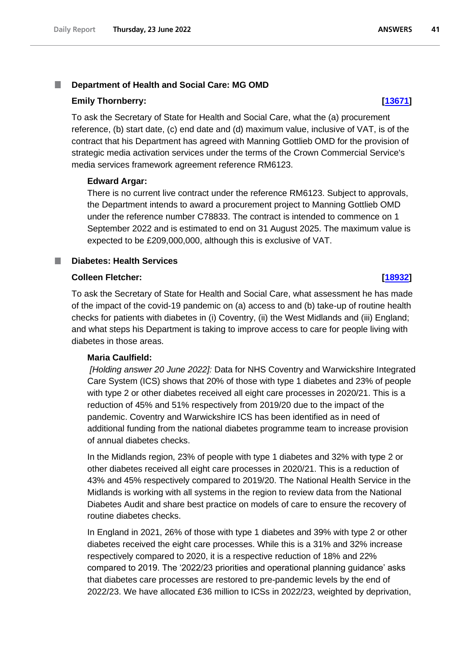#### T. **Department of Health and Social Care: MG OMD**

#### **Emily Thornberry: [\[13671\]](http://www.parliament.uk/business/publications/written-questions-answers-statements/written-question/Commons/2022-06-07/13671)**

To ask the Secretary of State for Health and Social Care, what the (a) procurement reference, (b) start date, (c) end date and (d) maximum value, inclusive of VAT, is of the contract that his Department has agreed with Manning Gottlieb OMD for the provision of strategic media activation services under the terms of the Crown Commercial Service's media services framework agreement reference RM6123.

#### **Edward Argar:**

There is no current live contract under the reference RM6123. Subject to approvals, the Department intends to award a procurement project to Manning Gottlieb OMD under the reference number C78833. The contract is intended to commence on 1 September 2022 and is estimated to end on 31 August 2025. The maximum value is expected to be £209,000,000, although this is exclusive of VAT.

#### **Diabetes: Health Services**

#### **Colleen Fletcher: [\[18932\]](http://www.parliament.uk/business/publications/written-questions-answers-statements/written-question/Commons/2022-06-15/18932)**

To ask the Secretary of State for Health and Social Care, what assessment he has made of the impact of the covid-19 pandemic on (a) access to and (b) take-up of routine health checks for patients with diabetes in (i) Coventry, (ii) the West Midlands and (iii) England; and what steps his Department is taking to improve access to care for people living with diabetes in those areas.

#### **Maria Caulfield:**

*[Holding answer 20 June 2022]:* Data for NHS Coventry and Warwickshire Integrated Care System (ICS) shows that 20% of those with type 1 diabetes and 23% of people with type 2 or other diabetes received all eight care processes in 2020/21. This is a reduction of 45% and 51% respectively from 2019/20 due to the impact of the pandemic. Coventry and Warwickshire ICS has been identified as in need of additional funding from the national diabetes programme team to increase provision of annual diabetes checks.

In the Midlands region, 23% of people with type 1 diabetes and 32% with type 2 or other diabetes received all eight care processes in 2020/21. This is a reduction of 43% and 45% respectively compared to 2019/20. The National Health Service in the Midlands is working with all systems in the region to review data from the National Diabetes Audit and share best practice on models of care to ensure the recovery of routine diabetes checks.

In England in 2021, 26% of those with type 1 diabetes and 39% with type 2 or other diabetes received the eight care processes. While this is a 31% and 32% increase respectively compared to 2020, it is a respective reduction of 18% and 22% compared to 2019. The '2022/23 priorities and operational planning guidance' asks that diabetes care processes are restored to pre-pandemic levels by the end of 2022/23. We have allocated £36 million to ICSs in 2022/23, weighted by deprivation,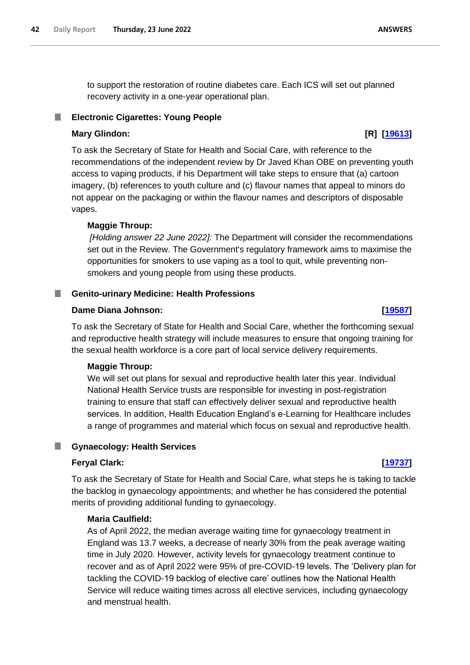to support the restoration of routine diabetes care. Each ICS will set out planned recovery activity in a one-year operational plan.

# **Electronic Cigarettes: Young People**

# **Mary Glindon: [R] [\[19613\]](http://www.parliament.uk/business/publications/written-questions-answers-statements/written-question/Commons/2022-06-16/19613)**

To ask the Secretary of State for Health and Social Care, with reference to the recommendations of the independent review by Dr Javed Khan OBE on preventing youth access to vaping products, if his Department will take steps to ensure that (a) cartoon imagery, (b) references to youth culture and (c) flavour names that appeal to minors do not appear on the packaging or within the flavour names and descriptors of disposable vapes.

# **Maggie Throup:**

*[Holding answer 22 June 2022]:* The Department will consider the recommendations set out in the Review. The Government's regulatory framework aims to maximise the opportunities for smokers to use vaping as a tool to quit, while preventing nonsmokers and young people from using these products.

# **Genito-urinary Medicine: Health Professions**

# **Dame Diana Johnson: [\[19587\]](http://www.parliament.uk/business/publications/written-questions-answers-statements/written-question/Commons/2022-06-16/19587)**

To ask the Secretary of State for Health and Social Care, whether the forthcoming sexual and reproductive health strategy will include measures to ensure that ongoing training for the sexual health workforce is a core part of local service delivery requirements.

# **Maggie Throup:**

We will set out plans for sexual and reproductive health later this year. Individual National Health Service trusts are responsible for investing in post-registration training to ensure that staff can effectively deliver sexual and reproductive health services. In addition, Health Education England's e-Learning for Healthcare includes a range of programmes and material which focus on sexual and reproductive health.

# **Gynaecology: Health Services**

# **Feryal Clark: [\[19737\]](http://www.parliament.uk/business/publications/written-questions-answers-statements/written-question/Commons/2022-06-16/19737)**

To ask the Secretary of State for Health and Social Care, what steps he is taking to tackle the backlog in gynaecology appointments; and whether he has considered the potential merits of providing additional funding to gynaecology.

# **Maria Caulfield:**

As of April 2022, the median average waiting time for gynaecology treatment in England was 13.7 weeks, a decrease of nearly 30% from the peak average waiting time in July 2020. However, activity levels for gynaecology treatment continue to recover and as of April 2022 were 95% of pre-COVID-19 levels. The 'Delivery plan for tackling the COVID-19 backlog of elective care' outlines how the National Health Service will reduce waiting times across all elective services, including gynaecology and menstrual health.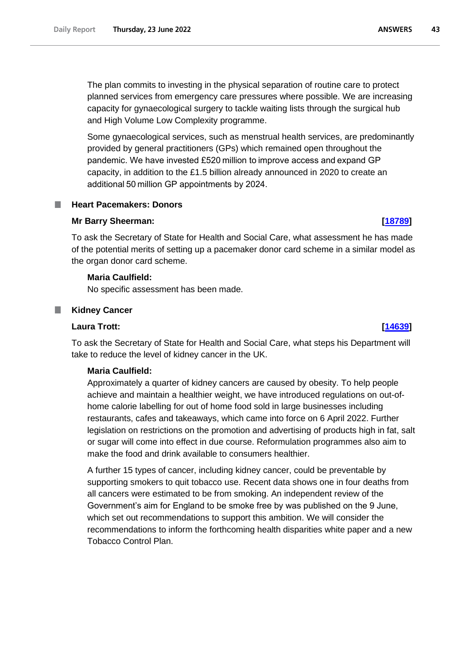The plan commits to investing in the physical separation of routine care to protect planned services from emergency care pressures where possible. We are increasing capacity for gynaecological surgery to tackle waiting lists through the surgical hub and High Volume Low Complexity programme.

Some gynaecological services, such as menstrual health services, are predominantly provided by general practitioners (GPs) which remained open throughout the pandemic. We have invested £520 million to improve access and expand GP capacity, in addition to the £1.5 billion already announced in 2020 to create an additional 50 million GP appointments by 2024.

#### **Heart Pacemakers: Donors** .

#### **Mr Barry Sheerman: [\[18789\]](http://www.parliament.uk/business/publications/written-questions-answers-statements/written-question/Commons/2022-06-15/18789)**

To ask the Secretary of State for Health and Social Care, what assessment he has made of the potential merits of setting up a pacemaker donor card scheme in a similar model as the organ donor card scheme.

#### **Maria Caulfield:**

No specific assessment has been made.

#### **Kidney Cancer**

#### **Laura Trott: [\[14639\]](http://www.parliament.uk/business/publications/written-questions-answers-statements/written-question/Commons/2022-06-08/14639)**

To ask the Secretary of State for Health and Social Care, what steps his Department will take to reduce the level of kidney cancer in the UK.

#### **Maria Caulfield:**

Approximately a quarter of kidney cancers are caused by obesity. To help people achieve and maintain a healthier weight, we have introduced regulations on out-ofhome calorie labelling for out of home food sold in large businesses including restaurants, cafes and takeaways, which came into force on 6 April 2022. Further legislation on restrictions on the promotion and advertising of products high in fat, salt or sugar will come into effect in due course. Reformulation programmes also aim to make the food and drink available to consumers healthier.

A further 15 types of cancer, including kidney cancer, could be preventable by supporting smokers to quit tobacco use. Recent data shows one in four deaths from all cancers were estimated to be from smoking. An independent review of the Government's aim for England to be smoke free by was published on the 9 June, which set out recommendations to support this ambition. We will consider the recommendations to inform the forthcoming health disparities white paper and a new Tobacco Control Plan.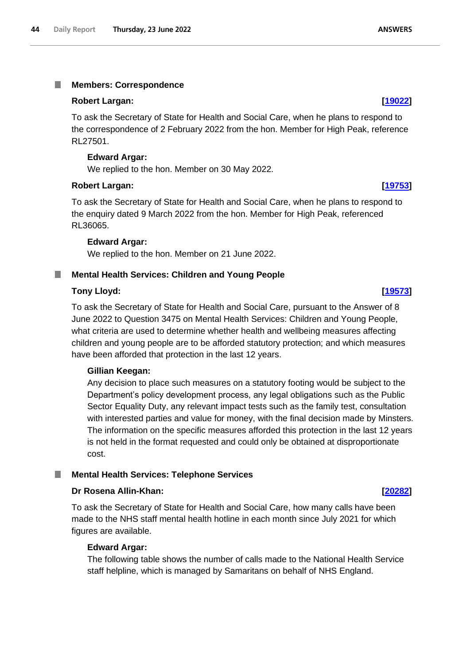#### I. **Members: Correspondence**

#### **Robert Largan: [\[19022\]](http://www.parliament.uk/business/publications/written-questions-answers-statements/written-question/Commons/2022-06-15/19022)**

To ask the Secretary of State for Health and Social Care, when he plans to respond to the correspondence of 2 February 2022 from the hon. Member for High Peak, reference RL27501.

#### **Edward Argar:**

We replied to the hon. Member on 30 May 2022.

#### **Robert Largan: [\[19753\]](http://www.parliament.uk/business/publications/written-questions-answers-statements/written-question/Commons/2022-06-16/19753)**

To ask the Secretary of State for Health and Social Care, when he plans to respond to the enquiry dated 9 March 2022 from the hon. Member for High Peak, referenced RL36065.

#### **Edward Argar:**

We replied to the hon. Member on 21 June 2022.

### **Mental Health Services: Children and Young People**

#### **Tony Lloyd: [\[19573\]](http://www.parliament.uk/business/publications/written-questions-answers-statements/written-question/Commons/2022-06-16/19573)**

To ask the Secretary of State for Health and Social Care, pursuant to the Answer of 8 June 2022 to Question 3475 on Mental Health Services: Children and Young People, what criteria are used to determine whether health and wellbeing measures affecting children and young people are to be afforded statutory protection; and which measures have been afforded that protection in the last 12 years.

#### **Gillian Keegan:**

Any decision to place such measures on a statutory footing would be subject to the Department's policy development process, any legal obligations such as the Public Sector Equality Duty, any relevant impact tests such as the family test, consultation with interested parties and value for money, with the final decision made by Minsters. The information on the specific measures afforded this protection in the last 12 years is not held in the format requested and could only be obtained at disproportionate cost.

### **Mental Health Services: Telephone Services**

#### **Dr Rosena Allin-Khan: [\[20282\]](http://www.parliament.uk/business/publications/written-questions-answers-statements/written-question/Commons/2022-06-17/20282)**

To ask the Secretary of State for Health and Social Care, how many calls have been made to the NHS staff mental health hotline in each month since July 2021 for which figures are available.

#### **Edward Argar:**

The following table shows the number of calls made to the National Health Service staff helpline, which is managed by Samaritans on behalf of NHS England.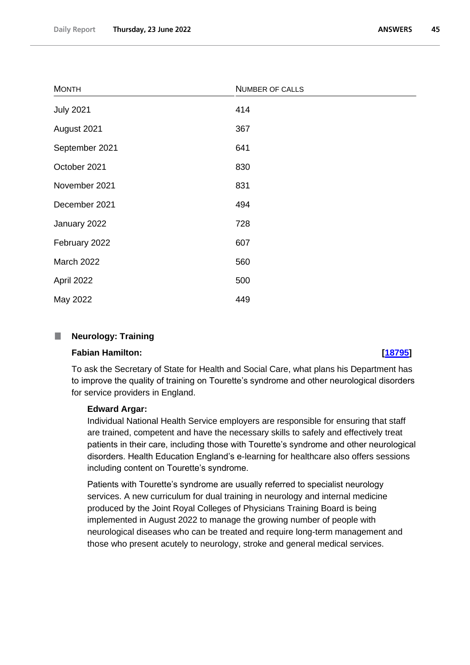| <b>MONTH</b>     | NUMBER OF CALLS |
|------------------|-----------------|
| <b>July 2021</b> | 414             |
| August 2021      | 367             |
| September 2021   | 641             |
| October 2021     | 830             |
| November 2021    | 831             |
| December 2021    | 494             |
| January 2022     | 728             |
| February 2022    | 607             |
| March 2022       | 560             |
| April 2022       | 500             |
| May 2022         | 449             |

#### $\mathbb{R}^n$ **Neurology: Training**

#### **Fabian Hamilton: [\[18795\]](http://www.parliament.uk/business/publications/written-questions-answers-statements/written-question/Commons/2022-06-15/18795)**

To ask the Secretary of State for Health and Social Care, what plans his Department has to improve the quality of training on Tourette's syndrome and other neurological disorders for service providers in England.

### **Edward Argar:**

Individual National Health Service employers are responsible for ensuring that staff are trained, competent and have the necessary skills to safely and effectively treat patients in their care, including those with Tourette's syndrome and other neurological disorders. Health Education England's e-learning for healthcare also offers sessions including content on Tourette's syndrome.

Patients with Tourette's syndrome are usually referred to specialist neurology services. A new curriculum for dual training in neurology and internal medicine produced by the Joint Royal Colleges of Physicians Training Board is being implemented in August 2022 to manage the growing number of people with neurological diseases who can be treated and require long-term management and those who present acutely to neurology, stroke and general medical services.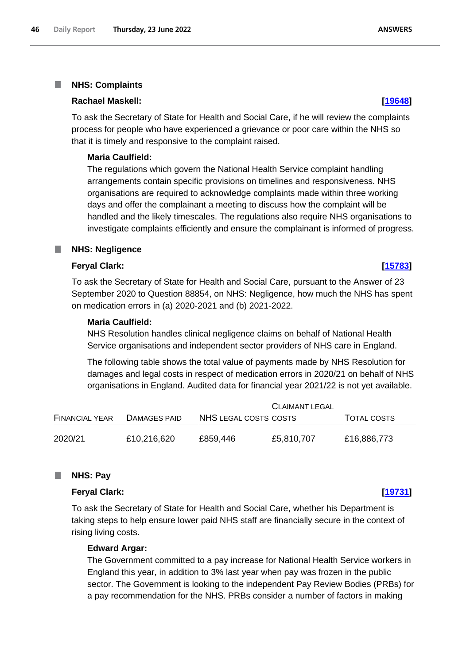#### I. **NHS: Complaints**

#### **Rachael Maskell: [\[19648\]](http://www.parliament.uk/business/publications/written-questions-answers-statements/written-question/Commons/2022-06-16/19648)**

To ask the Secretary of State for Health and Social Care, if he will review the complaints process for people who have experienced a grievance or poor care within the NHS so that it is timely and responsive to the complaint raised.

#### **Maria Caulfield:**

The regulations which govern the National Health Service complaint handling arrangements contain specific provisions on timelines and responsiveness. NHS organisations are required to acknowledge complaints made within three working days and offer the complainant a meeting to discuss how the complaint will be handled and the likely timescales. The regulations also require NHS organisations to investigate complaints efficiently and ensure the complainant is informed of progress.

#### **NHS: Negligence** ш

### **Feryal Clark: [\[15783\]](http://www.parliament.uk/business/publications/written-questions-answers-statements/written-question/Commons/2022-06-10/15783)**

To ask the Secretary of State for Health and Social Care, pursuant to the Answer of 23 September 2020 to Question 88854, on NHS: Negligence, how much the NHS has spent on medication errors in (a) 2020-2021 and (b) 2021-2022.

#### **Maria Caulfield:**

NHS Resolution handles clinical negligence claims on behalf of National Health Service organisations and independent sector providers of NHS care in England.

The following table shows the total value of payments made by NHS Resolution for damages and legal costs in respect of medication errors in 2020/21 on behalf of NHS organisations in England. Audited data for financial year 2021/22 is not yet available.

|                       |              |                       | <b>CLAIMANT LEGAL</b> |                    |
|-----------------------|--------------|-----------------------|-----------------------|--------------------|
| <b>FINANCIAL YEAR</b> | DAMAGES PAID | NHS LEGAL COSTS COSTS |                       | <b>TOTAL COSTS</b> |
| 2020/21               | £10,216,620  | £859,446              | £5,810,707            | £16,886,773        |

#### **NHS: Pay** ш

#### **Feryal Clark: [\[19731\]](http://www.parliament.uk/business/publications/written-questions-answers-statements/written-question/Commons/2022-06-16/19731)**

To ask the Secretary of State for Health and Social Care, whether his Department is taking steps to help ensure lower paid NHS staff are financially secure in the context of rising living costs.

### **Edward Argar:**

The Government committed to a pay increase for National Health Service workers in England this year, in addition to 3% last year when pay was frozen in the public sector. The Government is looking to the independent Pay Review Bodies (PRBs) for a pay recommendation for the NHS. PRBs consider a number of factors in making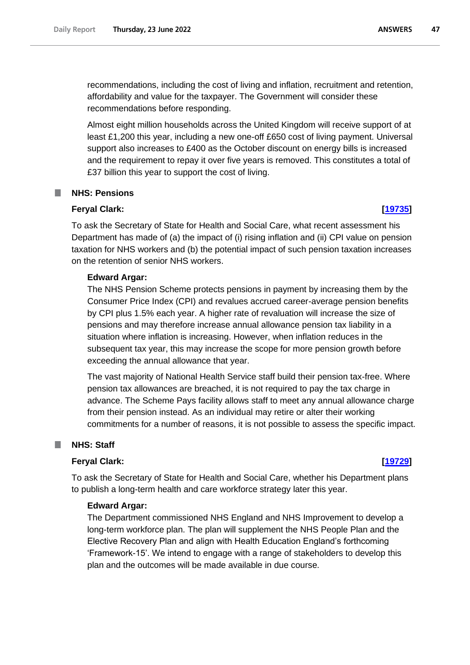recommendations, including the cost of living and inflation, recruitment and retention, affordability and value for the taxpayer. The Government will consider these recommendations before responding.

Almost eight million households across the United Kingdom will receive support of at least £1,200 this year, including a new one-off £650 cost of living payment. Universal support also increases to £400 as the October discount on energy bills is increased and the requirement to repay it over five years is removed. This constitutes a total of £37 billion this year to support the cost of living.

### **NHS: Pensions**

#### **Feryal Clark: [\[19735\]](http://www.parliament.uk/business/publications/written-questions-answers-statements/written-question/Commons/2022-06-16/19735)**

To ask the Secretary of State for Health and Social Care, what recent assessment his Department has made of (a) the impact of (i) rising inflation and (ii) CPI value on pension taxation for NHS workers and (b) the potential impact of such pension taxation increases on the retention of senior NHS workers.

#### **Edward Argar:**

The NHS Pension Scheme protects pensions in payment by increasing them by the Consumer Price Index (CPI) and revalues accrued career-average pension benefits by CPI plus 1.5% each year. A higher rate of revaluation will increase the size of pensions and may therefore increase annual allowance pension tax liability in a situation where inflation is increasing. However, when inflation reduces in the subsequent tax year, this may increase the scope for more pension growth before exceeding the annual allowance that year.

The vast majority of National Health Service staff build their pension tax-free. Where pension tax allowances are breached, it is not required to pay the tax charge in advance. The Scheme Pays facility allows staff to meet any annual allowance charge from their pension instead. As an individual may retire or alter their working commitments for a number of reasons, it is not possible to assess the specific impact.

#### **NHS: Staff** ш

#### **Feryal Clark: [\[19729\]](http://www.parliament.uk/business/publications/written-questions-answers-statements/written-question/Commons/2022-06-16/19729)**

To ask the Secretary of State for Health and Social Care, whether his Department plans to publish a long-term health and care workforce strategy later this year.

#### **Edward Argar:**

The Department commissioned NHS England and NHS Improvement to develop a long-term workforce plan. The plan will supplement the NHS People Plan and the Elective Recovery Plan and align with Health Education England's forthcoming 'Framework-15'. We intend to engage with a range of stakeholders to develop this plan and the outcomes will be made available in due course.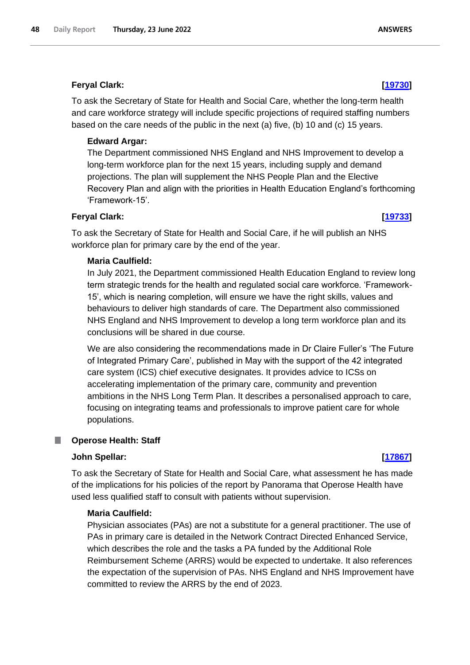## **Feryal Clark: [\[19730\]](http://www.parliament.uk/business/publications/written-questions-answers-statements/written-question/Commons/2022-06-16/19730)**

To ask the Secretary of State for Health and Social Care, whether the long-term health and care workforce strategy will include specific projections of required staffing numbers based on the care needs of the public in the next (a) five, (b) 10 and (c) 15 years.

## **Edward Argar:**

The Department commissioned NHS England and NHS Improvement to develop a long-term workforce plan for the next 15 years, including supply and demand projections. The plan will supplement the NHS People Plan and the Elective Recovery Plan and align with the priorities in Health Education England's forthcoming 'Framework-15'.

### **Feryal Clark: [\[19733\]](http://www.parliament.uk/business/publications/written-questions-answers-statements/written-question/Commons/2022-06-16/19733)**

To ask the Secretary of State for Health and Social Care, if he will publish an NHS workforce plan for primary care by the end of the year.

### **Maria Caulfield:**

In July 2021, the Department commissioned Health Education England to review long term strategic trends for the health and regulated social care workforce. 'Framework-15', which is nearing completion, will ensure we have the right skills, values and behaviours to deliver high standards of care. The Department also commissioned NHS England and NHS Improvement to develop a long term workforce plan and its conclusions will be shared in due course.

We are also considering the recommendations made in Dr Claire Fuller's 'The Future of Integrated Primary Care', published in May with the support of the 42 integrated care system (ICS) chief executive designates. It provides advice to ICSs on accelerating implementation of the primary care, community and prevention ambitions in the NHS Long Term Plan. It describes a personalised approach to care, focusing on integrating teams and professionals to improve patient care for whole populations.

### **Operose Health: Staff**

### **John Spellar: [\[17867\]](http://www.parliament.uk/business/publications/written-questions-answers-statements/written-question/Commons/2022-06-14/17867)**

To ask the Secretary of State for Health and Social Care, what assessment he has made of the implications for his policies of the report by Panorama that Operose Health have used less qualified staff to consult with patients without supervision.

### **Maria Caulfield:**

Physician associates (PAs) are not a substitute for a general practitioner. The use of PAs in primary care is detailed in the Network Contract Directed Enhanced Service, which describes the role and the tasks a PA funded by the Additional Role Reimbursement Scheme (ARRS) would be expected to undertake. It also references the expectation of the supervision of PAs. NHS England and NHS Improvement have committed to review the ARRS by the end of 2023.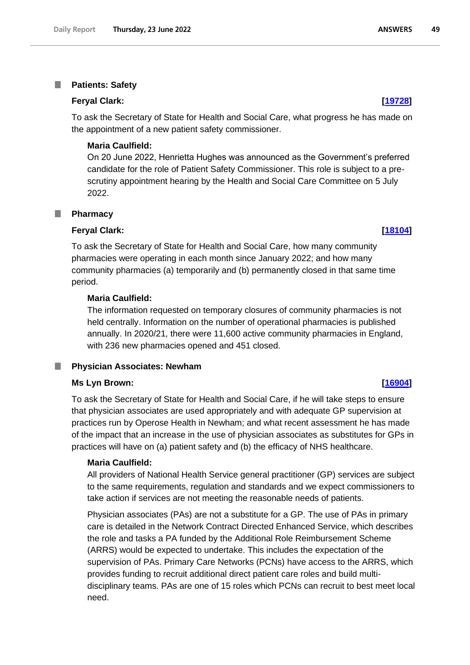#### T. **Patients: Safety**

#### **Feryal Clark: [\[19728\]](http://www.parliament.uk/business/publications/written-questions-answers-statements/written-question/Commons/2022-06-16/19728)**

To ask the Secretary of State for Health and Social Care, what progress he has made on the appointment of a new patient safety commissioner.

### **Maria Caulfield:**

On 20 June 2022, Henrietta Hughes was announced as the Government's preferred candidate for the role of Patient Safety Commissioner. This role is subject to a prescrutiny appointment hearing by the Health and Social Care Committee on 5 July 2022.

#### **Pharmacy** T.

#### **Feryal Clark: [\[18104\]](http://www.parliament.uk/business/publications/written-questions-answers-statements/written-question/Commons/2022-06-14/18104)**

To ask the Secretary of State for Health and Social Care, how many community pharmacies were operating in each month since January 2022; and how many community pharmacies (a) temporarily and (b) permanently closed in that same time period.

### **Maria Caulfield:**

The information requested on temporary closures of community pharmacies is not held centrally. Information on the number of operational pharmacies is published annually. In 2020/21, there were 11,600 active community pharmacies in England, with 236 new pharmacies opened and 451 closed.

#### **Physician Associates: Newham** ш

#### **Ms Lyn Brown: [\[16904\]](http://www.parliament.uk/business/publications/written-questions-answers-statements/written-question/Commons/2022-06-13/16904)**

To ask the Secretary of State for Health and Social Care, if he will take steps to ensure that physician associates are used appropriately and with adequate GP supervision at practices run by Operose Health in Newham; and what recent assessment he has made of the impact that an increase in the use of physician associates as substitutes for GPs in practices will have on (a) patient safety and (b) the efficacy of NHS healthcare.

#### **Maria Caulfield:**

All providers of National Health Service general practitioner (GP) services are subject to the same requirements, regulation and standards and we expect commissioners to take action if services are not meeting the reasonable needs of patients.

Physician associates (PAs) are not a substitute for a GP. The use of PAs in primary care is detailed in the Network Contract Directed Enhanced Service, which describes the role and tasks a PA funded by the Additional Role Reimbursement Scheme (ARRS) would be expected to undertake. This includes the expectation of the supervision of PAs. Primary Care Networks (PCNs) have access to the ARRS, which provides funding to recruit additional direct patient care roles and build multidisciplinary teams. PAs are one of 15 roles which PCNs can recruit to best meet local need.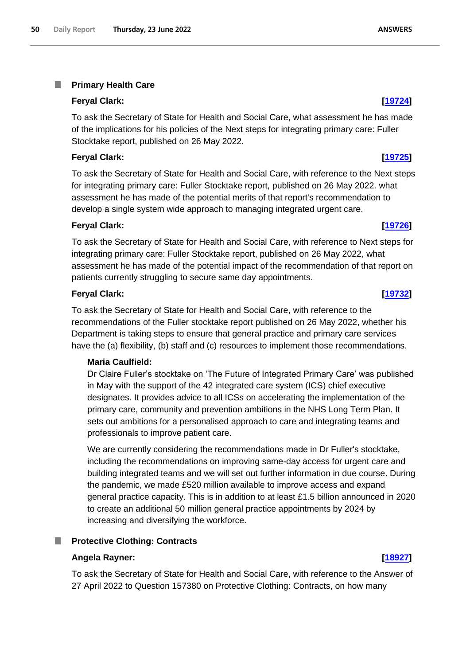#### T. **Primary Health Care**

# **Feryal Clark: [\[19724\]](http://www.parliament.uk/business/publications/written-questions-answers-statements/written-question/Commons/2022-06-16/19724)**

To ask the Secretary of State for Health and Social Care, what assessment he has made of the implications for his policies of the Next steps for integrating primary care: Fuller Stocktake report, published on 26 May 2022.

# **Feryal Clark: [\[19725\]](http://www.parliament.uk/business/publications/written-questions-answers-statements/written-question/Commons/2022-06-16/19725)**

To ask the Secretary of State for Health and Social Care, with reference to the Next steps for integrating primary care: Fuller Stocktake report, published on 26 May 2022. what assessment he has made of the potential merits of that report's recommendation to develop a single system wide approach to managing integrated urgent care.

# **Feryal Clark: [\[19726\]](http://www.parliament.uk/business/publications/written-questions-answers-statements/written-question/Commons/2022-06-16/19726)**

To ask the Secretary of State for Health and Social Care, with reference to Next steps for integrating primary care: Fuller Stocktake report, published on 26 May 2022, what assessment he has made of the potential impact of the recommendation of that report on patients currently struggling to secure same day appointments.

# **Feryal Clark: [\[19732\]](http://www.parliament.uk/business/publications/written-questions-answers-statements/written-question/Commons/2022-06-16/19732)**

To ask the Secretary of State for Health and Social Care, with reference to the recommendations of the Fuller stocktake report published on 26 May 2022, whether his Department is taking steps to ensure that general practice and primary care services have the (a) flexibility, (b) staff and (c) resources to implement those recommendations.

# **Maria Caulfield:**

Dr Claire Fuller's stocktake on 'The Future of Integrated Primary Care' was published in May with the support of the 42 integrated care system (ICS) chief executive designates. It provides advice to all ICSs on accelerating the implementation of the primary care, community and prevention ambitions in the NHS Long Term Plan. It sets out ambitions for a personalised approach to care and integrating teams and professionals to improve patient care.

We are currently considering the recommendations made in Dr Fuller's stocktake, including the recommendations on improving same-day access for urgent care and building integrated teams and we will set out further information in due course. During the pandemic, we made £520 million available to improve access and expand general practice capacity. This is in addition to at least £1.5 billion announced in 2020 to create an additional 50 million general practice appointments by 2024 by increasing and diversifying the workforce.

# **Protective Clothing: Contracts**

# **Angela Rayner: [\[18927\]](http://www.parliament.uk/business/publications/written-questions-answers-statements/written-question/Commons/2022-06-15/18927)**

To ask the Secretary of State for Health and Social Care, with reference to the Answer of 27 April 2022 to Question 157380 on Protective Clothing: Contracts, on how many

# **ANSWERS**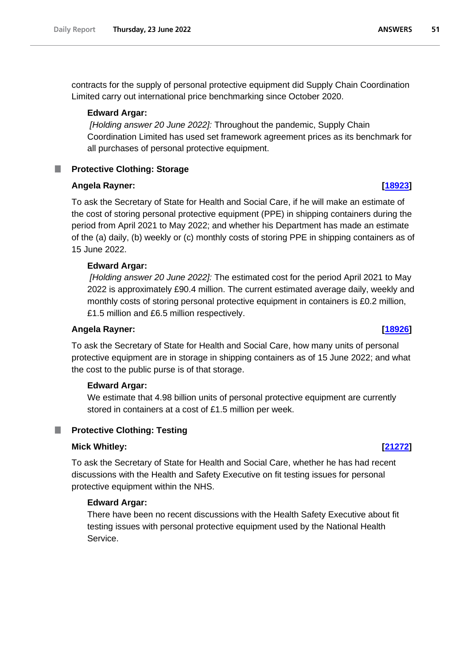contracts for the supply of personal protective equipment did Supply Chain Coordination Limited carry out international price benchmarking since October 2020.

### **Edward Argar:**

*[Holding answer 20 June 2022]:* Throughout the pandemic, Supply Chain Coordination Limited has used set framework agreement prices as its benchmark for all purchases of personal protective equipment.

## **Protective Clothing: Storage**

### **Angela Rayner: [\[18923\]](http://www.parliament.uk/business/publications/written-questions-answers-statements/written-question/Commons/2022-06-15/18923)**

To ask the Secretary of State for Health and Social Care, if he will make an estimate of the cost of storing personal protective equipment (PPE) in shipping containers during the period from April 2021 to May 2022; and whether his Department has made an estimate of the (a) daily, (b) weekly or (c) monthly costs of storing PPE in shipping containers as of 15 June 2022.

## **Edward Argar:**

*[Holding answer 20 June 2022]:* The estimated cost for the period April 2021 to May 2022 is approximately £90.4 million. The current estimated average daily, weekly and monthly costs of storing personal protective equipment in containers is £0.2 million, £1.5 million and £6.5 million respectively.

### **Angela Rayner: [\[18926\]](http://www.parliament.uk/business/publications/written-questions-answers-statements/written-question/Commons/2022-06-15/18926)**

To ask the Secretary of State for Health and Social Care, how many units of personal protective equipment are in storage in shipping containers as of 15 June 2022; and what the cost to the public purse is of that storage.

### **Edward Argar:**

We estimate that 4.98 billion units of personal protective equipment are currently stored in containers at a cost of £1.5 million per week.

## **Protective Clothing: Testing**

### **Mick Whitley: [\[21272\]](http://www.parliament.uk/business/publications/written-questions-answers-statements/written-question/Commons/2022-06-20/21272)**

To ask the Secretary of State for Health and Social Care, whether he has had recent discussions with the Health and Safety Executive on fit testing issues for personal protective equipment within the NHS.

## **Edward Argar:**

There have been no recent discussions with the Health Safety Executive about fit testing issues with personal protective equipment used by the National Health Service.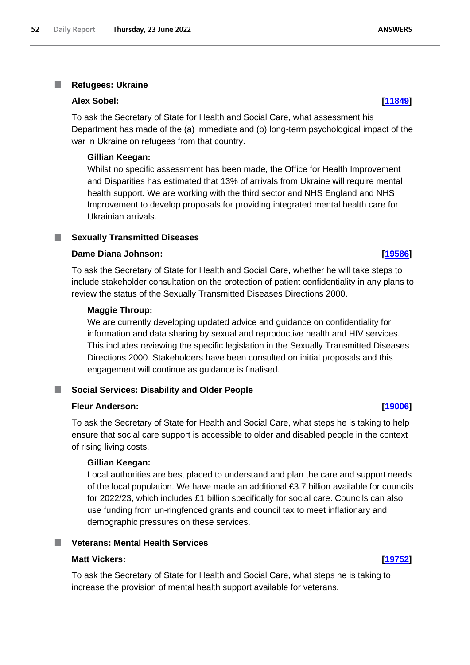#### I. **Refugees: Ukraine**

#### **Alex Sobel: [\[11849\]](http://www.parliament.uk/business/publications/written-questions-answers-statements/written-question/Commons/2022-06-01/11849)**

To ask the Secretary of State for Health and Social Care, what assessment his Department has made of the (a) immediate and (b) long-term psychological impact of the war in Ukraine on refugees from that country.

#### **Gillian Keegan:**

Whilst no specific assessment has been made, the Office for Health Improvement and Disparities has estimated that 13% of arrivals from Ukraine will require mental health support. We are working with the third sector and NHS England and NHS Improvement to develop proposals for providing integrated mental health care for Ukrainian arrivals.

#### **Sexually Transmitted Diseases** T.

### **Dame Diana Johnson: [\[19586\]](http://www.parliament.uk/business/publications/written-questions-answers-statements/written-question/Commons/2022-06-16/19586)**

To ask the Secretary of State for Health and Social Care, whether he will take steps to include stakeholder consultation on the protection of patient confidentiality in any plans to review the status of the Sexually Transmitted Diseases Directions 2000.

### **Maggie Throup:**

We are currently developing updated advice and guidance on confidentiality for information and data sharing by sexual and reproductive health and HIV services. This includes reviewing the specific legislation in the Sexually Transmitted Diseases Directions 2000. Stakeholders have been consulted on initial proposals and this engagement will continue as guidance is finalised.

## **Social Services: Disability and Older People**

### **Fleur Anderson: [\[19006\]](http://www.parliament.uk/business/publications/written-questions-answers-statements/written-question/Commons/2022-06-15/19006)**

To ask the Secretary of State for Health and Social Care, what steps he is taking to help ensure that social care support is accessible to older and disabled people in the context of rising living costs.

### **Gillian Keegan:**

Local authorities are best placed to understand and plan the care and support needs of the local population. We have made an additional £3.7 billion available for councils for 2022/23, which includes £1 billion specifically for social care. Councils can also use funding from un-ringfenced grants and council tax to meet inflationary and demographic pressures on these services.

### **Veterans: Mental Health Services**

#### **Matt Vickers: [\[19752\]](http://www.parliament.uk/business/publications/written-questions-answers-statements/written-question/Commons/2022-06-16/19752)**

To ask the Secretary of State for Health and Social Care, what steps he is taking to increase the provision of mental health support available for veterans.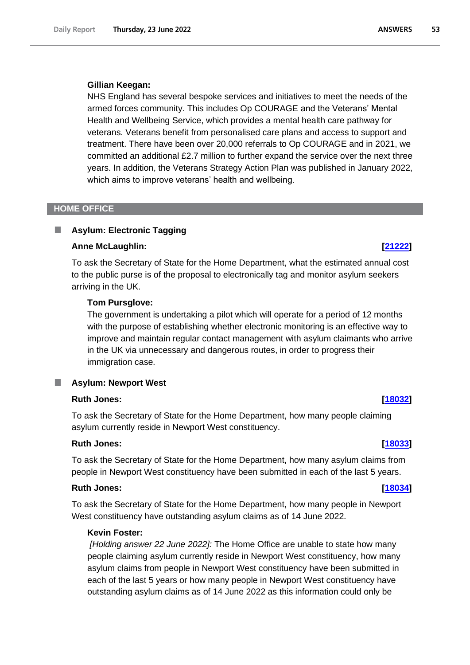#### **Gillian Keegan:**

NHS England has several bespoke services and initiatives to meet the needs of the armed forces community. This includes Op COURAGE and the Veterans' Mental Health and Wellbeing Service, which provides a mental health care pathway for veterans. Veterans benefit from personalised care plans and access to support and treatment. There have been over 20,000 referrals to Op COURAGE and in 2021, we committed an additional £2.7 million to further expand the service over the next three years. In addition, the Veterans Strategy Action Plan was published in January 2022, which aims to improve veterans' health and wellbeing.

#### **HOME OFFICE**

### **Asylum: Electronic Tagging**

#### **Anne McLaughlin: [\[21222\]](http://www.parliament.uk/business/publications/written-questions-answers-statements/written-question/Commons/2022-06-20/21222)**

To ask the Secretary of State for the Home Department, what the estimated annual cost to the public purse is of the proposal to electronically tag and monitor asylum seekers arriving in the UK.

#### **Tom Pursglove:**

The government is undertaking a pilot which will operate for a period of 12 months with the purpose of establishing whether electronic monitoring is an effective way to improve and maintain regular contact management with asylum claimants who arrive in the UK via unnecessary and dangerous routes, in order to progress their immigration case.

#### T. **Asylum: Newport West**

#### **Ruth Jones: [\[18032\]](http://www.parliament.uk/business/publications/written-questions-answers-statements/written-question/Commons/2022-06-14/18032)**

To ask the Secretary of State for the Home Department, how many people claiming asylum currently reside in Newport West constituency.

#### **Ruth Jones: [\[18033\]](http://www.parliament.uk/business/publications/written-questions-answers-statements/written-question/Commons/2022-06-14/18033)**

To ask the Secretary of State for the Home Department, how many asylum claims from people in Newport West constituency have been submitted in each of the last 5 years.

### **Ruth Jones: [\[18034\]](http://www.parliament.uk/business/publications/written-questions-answers-statements/written-question/Commons/2022-06-14/18034)**

To ask the Secretary of State for the Home Department, how many people in Newport West constituency have outstanding asylum claims as of 14 June 2022.

## **Kevin Foster:**

*[Holding answer 22 June 2022]:* The Home Office are unable to state how many people claiming asylum currently reside in Newport West constituency, how many asylum claims from people in Newport West constituency have been submitted in each of the last 5 years or how many people in Newport West constituency have outstanding asylum claims as of 14 June 2022 as this information could only be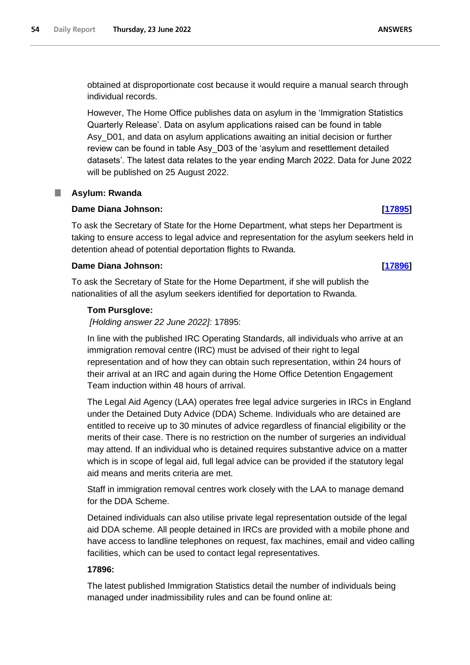obtained at disproportionate cost because it would require a manual search through individual records.

However, The Home Office publishes data on asylum in the 'Immigration Statistics Quarterly Release'. Data on asylum applications raised can be found in table Asy\_D01, and data on asylum applications awaiting an initial decision or further review can be found in table Asy\_D03 of the 'asylum and resettlement detailed datasets'. The latest data relates to the year ending March 2022. Data for June 2022 will be published on 25 August 2022.

## **Asylum: Rwanda**

## **Dame Diana Johnson: [\[17895\]](http://www.parliament.uk/business/publications/written-questions-answers-statements/written-question/Commons/2022-06-14/17895)**

To ask the Secretary of State for the Home Department, what steps her Department is taking to ensure access to legal advice and representation for the asylum seekers held in detention ahead of potential deportation flights to Rwanda.

## **Dame Diana Johnson: [\[17896\]](http://www.parliament.uk/business/publications/written-questions-answers-statements/written-question/Commons/2022-06-14/17896)**

To ask the Secretary of State for the Home Department, if she will publish the nationalities of all the asylum seekers identified for deportation to Rwanda.

## **Tom Pursglove:**

*[Holding answer 22 June 2022]:* 17895:

In line with the published IRC Operating Standards, all individuals who arrive at an immigration removal centre (IRC) must be advised of their right to legal representation and of how they can obtain such representation, within 24 hours of their arrival at an IRC and again during the Home Office Detention Engagement Team induction within 48 hours of arrival.

The Legal Aid Agency (LAA) operates free legal advice surgeries in IRCs in England under the Detained Duty Advice (DDA) Scheme. Individuals who are detained are entitled to receive up to 30 minutes of advice regardless of financial eligibility or the merits of their case. There is no restriction on the number of surgeries an individual may attend. If an individual who is detained requires substantive advice on a matter which is in scope of legal aid, full legal advice can be provided if the statutory legal aid means and merits criteria are met.

Staff in immigration removal centres work closely with the LAA to manage demand for the DDA Scheme.

Detained individuals can also utilise private legal representation outside of the legal aid DDA scheme. All people detained in IRCs are provided with a mobile phone and have access to landline telephones on request, fax machines, email and video calling facilities, which can be used to contact legal representatives.

## **17896:**

The latest published Immigration Statistics detail the number of individuals being managed under inadmissibility rules and can be found online at: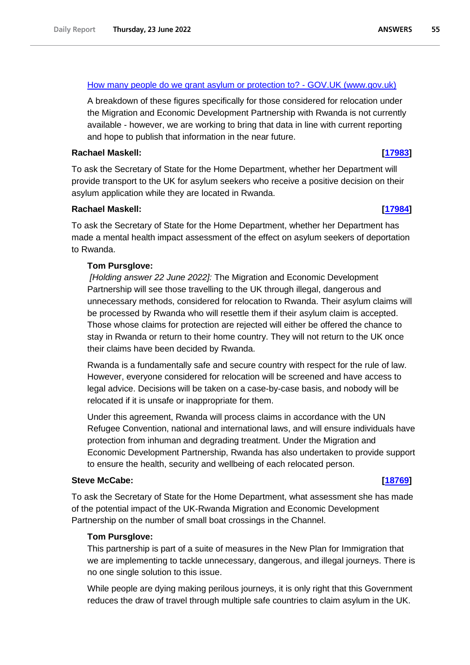### [How many people do we grant asylum or protection to? -](https://gbr01.safelinks.protection.outlook.com/?url=https%3A%2F%2Fwww.gov.uk%2Fgovernment%2Fstatistics%2Fimmigration-statistics-year-ending-march-2022%2Fhow-many-people-do-we-grant-asylum-or-protection-to&data=05%7C01%7CLucy.Hudson1%40homeoffice.gov.uk%7Ce73d3cff99a2458bd60408da546f947e%7Cf24d93ecb2914192a08af182245945c2%7C0%7C0%7C637915135447998817%7CUnknown%7CTWFpbGZsb3d8eyJWIjoiMC4wLjAwMDAiLCJQIjoiV2luMzIiLCJBTiI6Ik1haWwiLCJXVCI6Mn0%3D%7C3000%7C%7C%7C&sdata=nYLc46AMkYLJG07XWaM6FYtQtsUpP%2BF60jo9IZZfmrU%3D&reserved=0) GOV.UK (www.gov.uk)

A breakdown of these figures specifically for those considered for relocation under the Migration and Economic Development Partnership with Rwanda is not currently available - however, we are working to bring that data in line with current reporting and hope to publish that information in the near future.

### **Rachael Maskell: [\[17983\]](http://www.parliament.uk/business/publications/written-questions-answers-statements/written-question/Commons/2022-06-14/17983)**

To ask the Secretary of State for the Home Department, whether her Department will provide transport to the UK for asylum seekers who receive a positive decision on their asylum application while they are located in Rwanda.

## **Rachael Maskell: [\[17984\]](http://www.parliament.uk/business/publications/written-questions-answers-statements/written-question/Commons/2022-06-14/17984)**

To ask the Secretary of State for the Home Department, whether her Department has made a mental health impact assessment of the effect on asylum seekers of deportation to Rwanda.

### **Tom Pursglove:**

*[Holding answer 22 June 2022]:* The Migration and Economic Development Partnership will see those travelling to the UK through illegal, dangerous and unnecessary methods, considered for relocation to Rwanda. Their asylum claims will be processed by Rwanda who will resettle them if their asylum claim is accepted. Those whose claims for protection are rejected will either be offered the chance to stay in Rwanda or return to their home country. They will not return to the UK once their claims have been decided by Rwanda.

Rwanda is a fundamentally safe and secure country with respect for the rule of law. However, everyone considered for relocation will be screened and have access to legal advice. Decisions will be taken on a case-by-case basis, and nobody will be relocated if it is unsafe or inappropriate for them.

Under this agreement, Rwanda will process claims in accordance with the UN Refugee Convention, national and international laws, and will ensure individuals have protection from inhuman and degrading treatment. Under the Migration and Economic Development Partnership, Rwanda has also undertaken to provide support to ensure the health, security and wellbeing of each relocated person.

### **Steve McCabe: [\[18769\]](http://www.parliament.uk/business/publications/written-questions-answers-statements/written-question/Commons/2022-06-15/18769)**

To ask the Secretary of State for the Home Department, what assessment she has made of the potential impact of the UK-Rwanda Migration and Economic Development Partnership on the number of small boat crossings in the Channel.

## **Tom Pursglove:**

This partnership is part of a suite of measures in the New Plan for Immigration that we are implementing to tackle unnecessary, dangerous, and illegal journeys. There is no one single solution to this issue.

While people are dying making perilous journeys, it is only right that this Government reduces the draw of travel through multiple safe countries to claim asylum in the UK.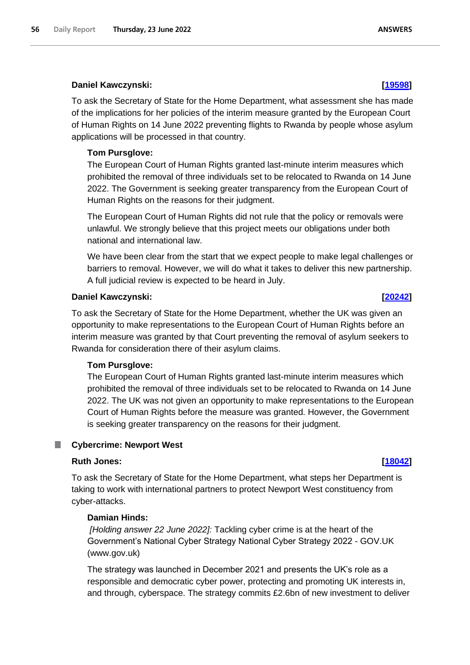### **Daniel Kawczynski: [\[19598\]](http://www.parliament.uk/business/publications/written-questions-answers-statements/written-question/Commons/2022-06-16/19598)**

To ask the Secretary of State for the Home Department, what assessment she has made of the implications for her policies of the interim measure granted by the European Court of Human Rights on 14 June 2022 preventing flights to Rwanda by people whose asylum applications will be processed in that country.

### **Tom Pursglove:**

The European Court of Human Rights granted last-minute interim measures which prohibited the removal of three individuals set to be relocated to Rwanda on 14 June 2022. The Government is seeking greater transparency from the European Court of Human Rights on the reasons for their judgment.

The European Court of Human Rights did not rule that the policy or removals were unlawful. We strongly believe that this project meets our obligations under both national and international law.

We have been clear from the start that we expect people to make legal challenges or barriers to removal. However, we will do what it takes to deliver this new partnership. A full judicial review is expected to be heard in July.

### **Daniel Kawczynski: [\[20242\]](http://www.parliament.uk/business/publications/written-questions-answers-statements/written-question/Commons/2022-06-17/20242)**

To ask the Secretary of State for the Home Department, whether the UK was given an opportunity to make representations to the European Court of Human Rights before an interim measure was granted by that Court preventing the removal of asylum seekers to Rwanda for consideration there of their asylum claims.

### **Tom Pursglove:**

The European Court of Human Rights granted last-minute interim measures which prohibited the removal of three individuals set to be relocated to Rwanda on 14 June 2022. The UK was not given an opportunity to make representations to the European Court of Human Rights before the measure was granted. However, the Government is seeking greater transparency on the reasons for their judgment.

#### ш **Cybercrime: Newport West**

### **Ruth Jones: [\[18042\]](http://www.parliament.uk/business/publications/written-questions-answers-statements/written-question/Commons/2022-06-14/18042)**

To ask the Secretary of State for the Home Department, what steps her Department is taking to work with international partners to protect Newport West constituency from cyber-attacks.

### **Damian Hinds:**

*[Holding answer 22 June 2022]:* Tackling cyber crime is at the heart of the Government's National Cyber Strategy National Cyber Strategy 2022 - GOV.UK (www.gov.uk)

The strategy was launched in December 2021 and presents the UK's role as a responsible and democratic cyber power, protecting and promoting UK interests in, and through, cyberspace. The strategy commits £2.6bn of new investment to deliver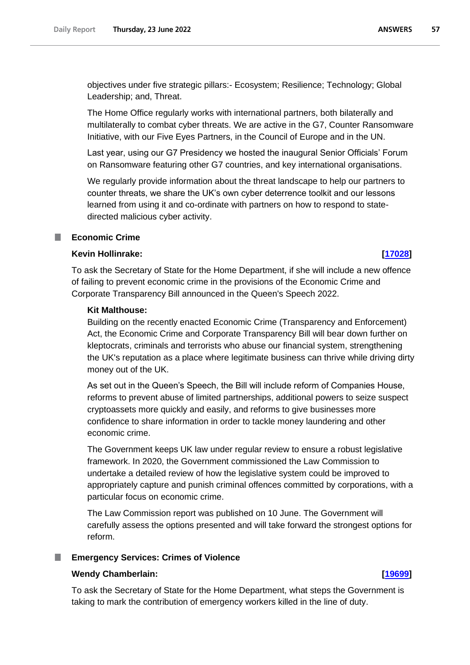objectives under five strategic pillars:- Ecosystem; Resilience; Technology; Global Leadership; and, Threat.

The Home Office regularly works with international partners, both bilaterally and multilaterally to combat cyber threats. We are active in the G7, Counter Ransomware Initiative, with our Five Eyes Partners, in the Council of Europe and in the UN.

Last year, using our G7 Presidency we hosted the inaugural Senior Officials' Forum on Ransomware featuring other G7 countries, and key international organisations.

We regularly provide information about the threat landscape to help our partners to counter threats, we share the UK's own cyber deterrence toolkit and our lessons learned from using it and co-ordinate with partners on how to respond to statedirected malicious cyber activity.

## **Economic Crime**

## **Kevin Hollinrake: [\[17028\]](http://www.parliament.uk/business/publications/written-questions-answers-statements/written-question/Commons/2022-06-13/17028)**

To ask the Secretary of State for the Home Department, if she will include a new offence of failing to prevent economic crime in the provisions of the Economic Crime and Corporate Transparency Bill announced in the Queen's Speech 2022.

### **Kit Malthouse:**

Building on the recently enacted Economic Crime (Transparency and Enforcement) Act, the Economic Crime and Corporate Transparency Bill will bear down further on kleptocrats, criminals and terrorists who abuse our financial system, strengthening the UK's reputation as a place where legitimate business can thrive while driving dirty money out of the UK.

As set out in the Queen's Speech, the Bill will include reform of Companies House, reforms to prevent abuse of limited partnerships, additional powers to seize suspect cryptoassets more quickly and easily, and reforms to give businesses more confidence to share information in order to tackle money laundering and other economic crime.

The Government keeps UK law under regular review to ensure a robust legislative framework. In 2020, the Government commissioned the Law Commission to undertake a detailed review of how the legislative system could be improved to appropriately capture and punish criminal offences committed by corporations, with a particular focus on economic crime.

The Law Commission report was published on 10 June. The Government will carefully assess the options presented and will take forward the strongest options for reform.

### **Emergency Services: Crimes of Violence**

### **Wendy Chamberlain: [\[19699\]](http://www.parliament.uk/business/publications/written-questions-answers-statements/written-question/Commons/2022-06-16/19699)**

To ask the Secretary of State for the Home Department, what steps the Government is taking to mark the contribution of emergency workers killed in the line of duty.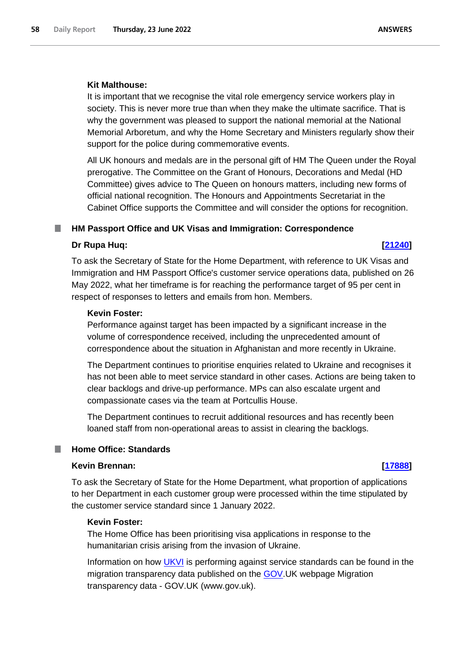#### **Kit Malthouse:**

It is important that we recognise the vital role emergency service workers play in society. This is never more true than when they make the ultimate sacrifice. That is why the government was pleased to support the national memorial at the National Memorial Arboretum, and why the Home Secretary and Ministers regularly show their support for the police during commemorative events.

All UK honours and medals are in the personal gift of HM The Queen under the Royal prerogative. The Committee on the Grant of Honours, Decorations and Medal (HD Committee) gives advice to The Queen on honours matters, including new forms of official national recognition. The Honours and Appointments Secretariat in the Cabinet Office supports the Committee and will consider the options for recognition.

### **HM Passport Office and UK Visas and Immigration: Correspondence**

#### **Dr Rupa Huq: [\[21240\]](http://www.parliament.uk/business/publications/written-questions-answers-statements/written-question/Commons/2022-06-20/21240)**

To ask the Secretary of State for the Home Department, with reference to UK Visas and Immigration and HM Passport Office's customer service operations data, published on 26 May 2022, what her timeframe is for reaching the performance target of 95 per cent in respect of responses to letters and emails from hon. Members.

#### **Kevin Foster:**

Performance against target has been impacted by a significant increase in the volume of correspondence received, including the unprecedented amount of correspondence about the situation in Afghanistan and more recently in Ukraine.

The Department continues to prioritise enquiries related to Ukraine and recognises it has not been able to meet service standard in other cases. Actions are being taken to clear backlogs and drive-up performance. MPs can also escalate urgent and compassionate cases via the team at Portcullis House.

The Department continues to recruit additional resources and has recently been loaned staff from non-operational areas to assist in clearing the backlogs.

#### **Home Office: Standards** a a

## **Kevin Brennan: [\[17888\]](http://www.parliament.uk/business/publications/written-questions-answers-statements/written-question/Commons/2022-06-14/17888)**

To ask the Secretary of State for the Home Department, what proportion of applications to her Department in each customer group were processed within the time stipulated by the customer service standard since 1 January 2022.

### **Kevin Foster:**

The Home Office has been prioritising visa applications in response to the humanitarian crisis arising from the invasion of Ukraine.

Information on how [UKVI](https://gbr01.safelinks.protection.outlook.com/?url=https%3A%2F%2Fen.wikipedia.org%2Fwiki%2FUKVI&data=05%7C01%7CVSIDirectorsOffice%40homeoffice.gov.uk%7Cd6943c3c333243409f9208da4f8fd42e%7Cf24d93ecb2914192a08af182245945c2%7C0%7C0%7C637909776391826203%7CUnknown%7CTWFpbGZsb3d8eyJWIjoiMC4wLjAwMDAiLCJQIjoiV2luMzIiLCJBTiI6Ik1haWwiLCJXVCI6Mn0%3D%7C3000%7C%7C%7C&sdata=2HqbKO5qZzisX%2FDd5596Y0IMXvhKHSdVJjm6Noe44Rk%3D&reserved=0) is performing against service standards can be found in the migration transparency data published on the **GOV.UK** webpage Migration transparency data - GOV.UK (www.gov.uk).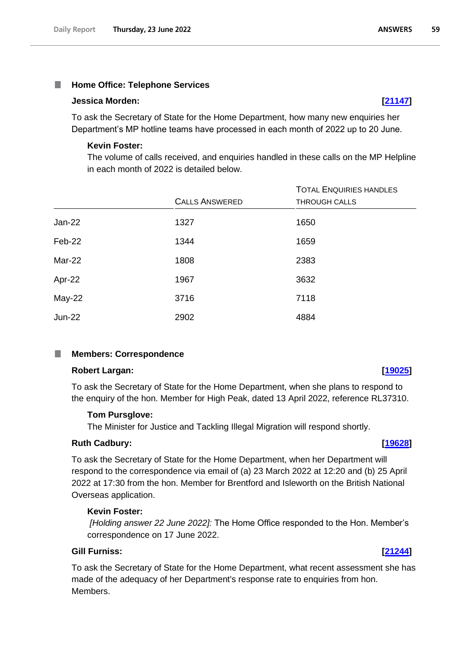#### **Home Office: Telephone Services** T.

#### **Jessica Morden: [\[21147\]](http://www.parliament.uk/business/publications/written-questions-answers-statements/written-question/Commons/2022-06-20/21147)**

To ask the Secretary of State for the Home Department, how many new enquiries her Department's MP hotline teams have processed in each month of 2022 up to 20 June.

#### **Kevin Foster:**

The volume of calls received, and enquiries handled in these calls on the MP Helpline in each month of 2022 is detailed below.

|               |                       | <b>TOTAL ENQUIRIES HANDLES</b> |
|---------------|-----------------------|--------------------------------|
|               | <b>CALLS ANSWERED</b> | <b>THROUGH CALLS</b>           |
| <b>Jan-22</b> | 1327                  | 1650                           |
| Feb-22        | 1344                  | 1659                           |
| Mar-22        | 1808                  | 2383                           |
| Apr-22        | 1967                  | 3632                           |
| May-22        | 3716                  | 7118                           |
| <b>Jun-22</b> | 2902                  | 4884                           |

#### **Members: Correspondence** ш

### **Robert Largan: [\[19025\]](http://www.parliament.uk/business/publications/written-questions-answers-statements/written-question/Commons/2022-06-15/19025)**

To ask the Secretary of State for the Home Department, when she plans to respond to the enquiry of the hon. Member for High Peak, dated 13 April 2022, reference RL37310.

### **Tom Pursglove:**

The Minister for Justice and Tackling Illegal Migration will respond shortly.

#### **Ruth Cadbury: [\[19628\]](http://www.parliament.uk/business/publications/written-questions-answers-statements/written-question/Commons/2022-06-16/19628)**

To ask the Secretary of State for the Home Department, when her Department will respond to the correspondence via email of (a) 23 March 2022 at 12:20 and (b) 25 April 2022 at 17:30 from the hon. Member for Brentford and Isleworth on the British National Overseas application.

#### **Kevin Foster:**

*[Holding answer 22 June 2022]:* The Home Office responded to the Hon. Member's correspondence on 17 June 2022.

# **Gill Furniss: [\[21244\]](http://www.parliament.uk/business/publications/written-questions-answers-statements/written-question/Commons/2022-06-20/21244)**

To ask the Secretary of State for the Home Department, what recent assessment she has made of the adequacy of her Department's response rate to enquiries from hon. Members.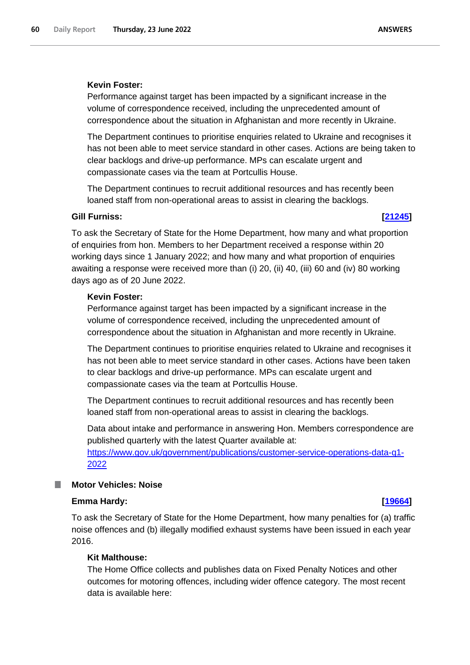#### **Kevin Foster:**

Performance against target has been impacted by a significant increase in the volume of correspondence received, including the unprecedented amount of correspondence about the situation in Afghanistan and more recently in Ukraine.

The Department continues to prioritise enquiries related to Ukraine and recognises it has not been able to meet service standard in other cases. Actions are being taken to clear backlogs and drive-up performance. MPs can escalate urgent and compassionate cases via the team at Portcullis House.

The Department continues to recruit additional resources and has recently been loaned staff from non-operational areas to assist in clearing the backlogs.

#### **Gill Furniss: [\[21245\]](http://www.parliament.uk/business/publications/written-questions-answers-statements/written-question/Commons/2022-06-20/21245)**

To ask the Secretary of State for the Home Department, how many and what proportion of enquiries from hon. Members to her Department received a response within 20 working days since 1 January 2022; and how many and what proportion of enquiries awaiting a response were received more than (i) 20, (ii) 40, (iii) 60 and (iv) 80 working days ago as of 20 June 2022.

#### **Kevin Foster:**

Performance against target has been impacted by a significant increase in the volume of correspondence received, including the unprecedented amount of correspondence about the situation in Afghanistan and more recently in Ukraine.

The Department continues to prioritise enquiries related to Ukraine and recognises it has not been able to meet service standard in other cases. Actions have been taken to clear backlogs and drive-up performance. MPs can escalate urgent and compassionate cases via the team at Portcullis House.

The Department continues to recruit additional resources and has recently been loaned staff from non-operational areas to assist in clearing the backlogs.

Data about intake and performance in answering Hon. Members correspondence are published quarterly with the latest Quarter available at:

[https://www.gov.uk/government/publications/customer-service-operations-data-q1-](https://www.gov.uk/government/publications/customer-service-operations-data-q1-2022) [2022](https://www.gov.uk/government/publications/customer-service-operations-data-q1-2022)

### **Motor Vehicles: Noise**

#### **Emma Hardy: [\[19664\]](http://www.parliament.uk/business/publications/written-questions-answers-statements/written-question/Commons/2022-06-16/19664)**

To ask the Secretary of State for the Home Department, how many penalties for (a) traffic noise offences and (b) illegally modified exhaust systems have been issued in each year 2016.

# **Kit Malthouse:**

The Home Office collects and publishes data on Fixed Penalty Notices and other outcomes for motoring offences, including wider offence category. The most recent data is available here: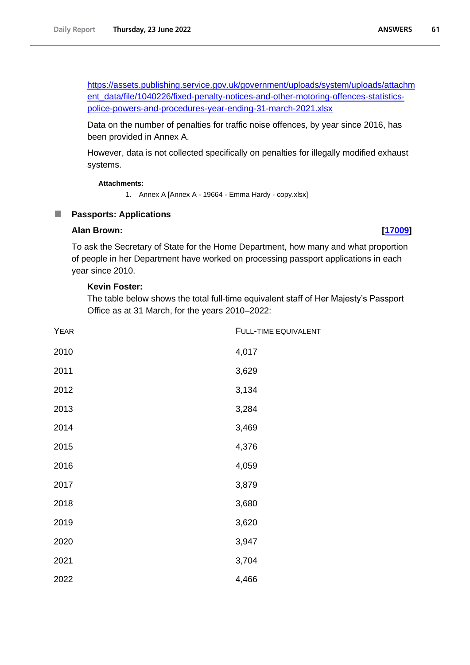[https://assets.publishing.service.gov.uk/government/uploads/system/uploads/attachm](https://assets.publishing.service.gov.uk/government/uploads/system/uploads/attachment_data/file/1040226/fixed-penalty-notices-and-other-motoring-offences-statistics-police-powers-and-procedures-year-ending-31-march-2021.xlsx) [ent\\_data/file/1040226/fixed-penalty-notices-and-other-motoring-offences-statistics](https://assets.publishing.service.gov.uk/government/uploads/system/uploads/attachment_data/file/1040226/fixed-penalty-notices-and-other-motoring-offences-statistics-police-powers-and-procedures-year-ending-31-march-2021.xlsx)[police-powers-and-procedures-year-ending-31-march-2021.xlsx](https://assets.publishing.service.gov.uk/government/uploads/system/uploads/attachment_data/file/1040226/fixed-penalty-notices-and-other-motoring-offences-statistics-police-powers-and-procedures-year-ending-31-march-2021.xlsx)

Data on the number of penalties for traffic noise offences, by year since 2016, has been provided in Annex A.

However, data is not collected specifically on penalties for illegally modified exhaust systems.

#### **Attachments:**

1. Annex A [Annex A - 19664 - Emma Hardy - copy.xlsx]

#### ш **Passports: Applications**

#### **Alan Brown: [\[17009\]](http://www.parliament.uk/business/publications/written-questions-answers-statements/written-question/Commons/2022-06-13/17009)**

To ask the Secretary of State for the Home Department, how many and what proportion of people in her Department have worked on processing passport applications in each year since 2010.

### **Kevin Foster:**

The table below shows the total full-time equivalent staff of Her Majesty's Passport Office as at 31 March, for the years 2010–2022:

| YEAR | FULL-TIME EQUIVALENT |
|------|----------------------|
| 2010 | 4,017                |
| 2011 | 3,629                |
| 2012 | 3,134                |
| 2013 | 3,284                |
| 2014 | 3,469                |
| 2015 | 4,376                |
| 2016 | 4,059                |
| 2017 | 3,879                |
| 2018 | 3,680                |
| 2019 | 3,620                |
| 2020 | 3,947                |
| 2021 | 3,704                |
| 2022 | 4,466                |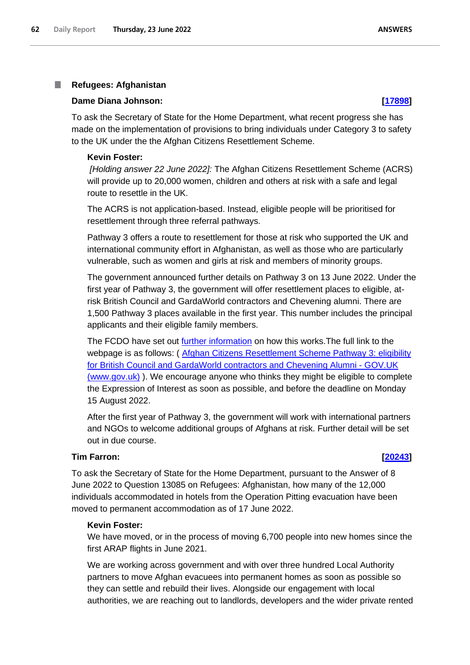#### T. **Refugees: Afghanistan**

#### **Dame Diana Johnson: [\[17898\]](http://www.parliament.uk/business/publications/written-questions-answers-statements/written-question/Commons/2022-06-14/17898)**

To ask the Secretary of State for the Home Department, what recent progress she has made on the implementation of provisions to bring individuals under Category 3 to safety to the UK under the the Afghan Citizens Resettlement Scheme.

#### **Kevin Foster:**

*[Holding answer 22 June 2022]:* The Afghan Citizens Resettlement Scheme (ACRS) will provide up to 20,000 women, children and others at risk with a safe and legal route to resettle in the UK.

The ACRS is not application-based. Instead, eligible people will be prioritised for resettlement through three referral pathways.

Pathway 3 offers a route to resettlement for those at risk who supported the UK and international community effort in Afghanistan, as well as those who are particularly vulnerable, such as women and girls at risk and members of minority groups.

The government announced further details on Pathway 3 on 13 June 2022. Under the first year of Pathway 3, the government will offer resettlement places to eligible, atrisk British Council and GardaWorld contractors and Chevening alumni. There are 1,500 Pathway 3 places available in the first year. This number includes the principal applicants and their eligible family members.

The FCDO have set out [further information](https://www.gov.uk/guidance/afghan-citizens-resettlement-scheme-pathway-3-eligibility-for-british-council-and-gardaworld-contractors-and-chevening-alumni) on how this works.The full link to the webpage is as follows: ( [Afghan Citizens Resettlement Scheme Pathway 3: eligibility](https://www.gov.uk/guidance/afghan-citizens-resettlement-scheme-pathway-3-eligibility-for-british-council-and-gardaworld-contractors-and-chevening-alumni)  [for British Council and GardaWorld contractors and Chevening Alumni -](https://www.gov.uk/guidance/afghan-citizens-resettlement-scheme-pathway-3-eligibility-for-british-council-and-gardaworld-contractors-and-chevening-alumni) GOV.UK [\(www.gov.uk\)](https://www.gov.uk/guidance/afghan-citizens-resettlement-scheme-pathway-3-eligibility-for-british-council-and-gardaworld-contractors-and-chevening-alumni) ). We encourage anyone who thinks they might be eligible to complete the Expression of Interest as soon as possible, and before the deadline on Monday 15 August 2022.

After the first year of Pathway 3, the government will work with international partners and NGOs to welcome additional groups of Afghans at risk. Further detail will be set out in due course.

### **Tim Farron: [\[20243\]](http://www.parliament.uk/business/publications/written-questions-answers-statements/written-question/Commons/2022-06-17/20243)**

To ask the Secretary of State for the Home Department, pursuant to the Answer of 8 June 2022 to Question 13085 on Refugees: Afghanistan, how many of the 12,000 individuals accommodated in hotels from the Operation Pitting evacuation have been moved to permanent accommodation as of 17 June 2022.

### **Kevin Foster:**

We have moved, or in the process of moving 6,700 people into new homes since the first ARAP flights in June 2021.

We are working across government and with over three hundred Local Authority partners to move Afghan evacuees into permanent homes as soon as possible so they can settle and rebuild their lives. Alongside our engagement with local authorities, we are reaching out to landlords, developers and the wider private rented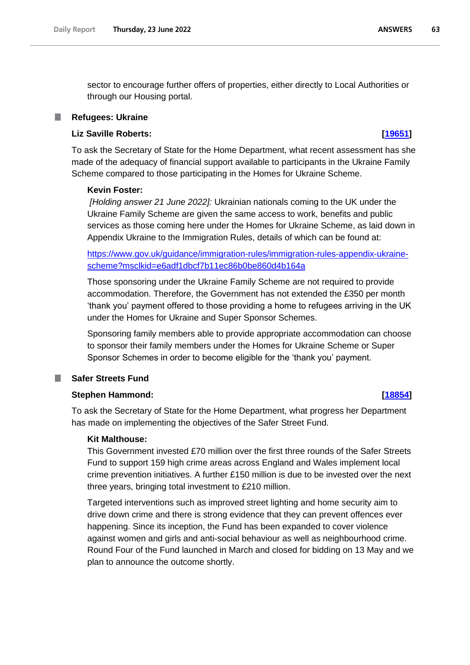sector to encourage further offers of properties, either directly to Local Authorities or through our Housing portal.

### **Refugees: Ukraine**

### **Liz Saville Roberts: [\[19651\]](http://www.parliament.uk/business/publications/written-questions-answers-statements/written-question/Commons/2022-06-16/19651)**

To ask the Secretary of State for the Home Department, what recent assessment has she made of the adequacy of financial support available to participants in the Ukraine Family Scheme compared to those participating in the Homes for Ukraine Scheme.

### **Kevin Foster:**

*[Holding answer 21 June 2022]:* Ukrainian nationals coming to the UK under the Ukraine Family Scheme are given the same access to work, benefits and public services as those coming here under the Homes for Ukraine Scheme, as laid down in Appendix Ukraine to the Immigration Rules, details of which can be found at:

[https://www.gov.uk/guidance/immigration-rules/immigration-rules-appendix-ukraine](https://www.gov.uk/guidance/immigration-rules/immigration-rules-appendix-ukraine-scheme?msclkid=e6adf1dbcf7b11ec86b0be860d4b164a)[scheme?msclkid=e6adf1dbcf7b11ec86b0be860d4b164a](https://www.gov.uk/guidance/immigration-rules/immigration-rules-appendix-ukraine-scheme?msclkid=e6adf1dbcf7b11ec86b0be860d4b164a)

Those sponsoring under the Ukraine Family Scheme are not required to provide accommodation. Therefore, the Government has not extended the £350 per month 'thank you' payment offered to those providing a home to refugees arriving in the UK under the Homes for Ukraine and Super Sponsor Schemes.

Sponsoring family members able to provide appropriate accommodation can choose to sponsor their family members under the Homes for Ukraine Scheme or Super Sponsor Schemes in order to become eligible for the 'thank you' payment.

## **Safer Streets Fund**

## **Stephen Hammond: [\[18854\]](http://www.parliament.uk/business/publications/written-questions-answers-statements/written-question/Commons/2022-06-15/18854)**

To ask the Secretary of State for the Home Department, what progress her Department has made on implementing the objectives of the Safer Street Fund.

### **Kit Malthouse:**

This Government invested £70 million over the first three rounds of the Safer Streets Fund to support 159 high crime areas across England and Wales implement local crime prevention initiatives. A further £150 million is due to be invested over the next three years, bringing total investment to £210 million.

Targeted interventions such as improved street lighting and home security aim to drive down crime and there is strong evidence that they can prevent offences ever happening. Since its inception, the Fund has been expanded to cover violence against women and girls and anti-social behaviour as well as neighbourhood crime. Round Four of the Fund launched in March and closed for bidding on 13 May and we plan to announce the outcome shortly.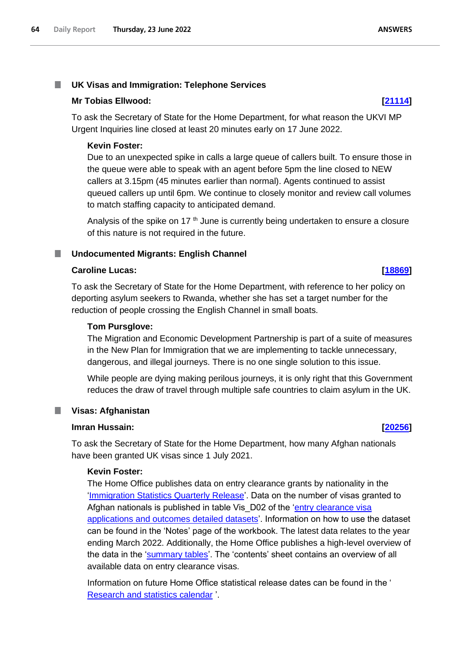#### T. **UK Visas and Immigration: Telephone Services**

### **Mr Tobias Ellwood: [\[21114\]](http://www.parliament.uk/business/publications/written-questions-answers-statements/written-question/Commons/2022-06-20/21114)**

To ask the Secretary of State for the Home Department, for what reason the UKVI MP Urgent Inquiries line closed at least 20 minutes early on 17 June 2022.

## **Kevin Foster:**

Due to an unexpected spike in calls a large queue of callers built. To ensure those in the queue were able to speak with an agent before 5pm the line closed to NEW callers at 3.15pm (45 minutes earlier than normal). Agents continued to assist queued callers up until 6pm. We continue to closely monitor and review call volumes to match staffing capacity to anticipated demand.

Analysis of the spike on 17<sup>th</sup> June is currently being undertaken to ensure a closure of this nature is not required in the future.

#### **Undocumented Migrants: English Channel** L.

### **Caroline Lucas: [\[18869\]](http://www.parliament.uk/business/publications/written-questions-answers-statements/written-question/Commons/2022-06-15/18869)**

To ask the Secretary of State for the Home Department, with reference to her policy on deporting asylum seekers to Rwanda, whether she has set a target number for the reduction of people crossing the English Channel in small boats.

### **Tom Pursglove:**

The Migration and Economic Development Partnership is part of a suite of measures in the New Plan for Immigration that we are implementing to tackle unnecessary, dangerous, and illegal journeys. There is no one single solution to this issue.

While people are dying making perilous journeys, it is only right that this Government reduces the draw of travel through multiple safe countries to claim asylum in the UK.

### ш

# **Visas: Afghanistan Imran Hussain: [\[20256\]](http://www.parliament.uk/business/publications/written-questions-answers-statements/written-question/Commons/2022-06-17/20256)**

To ask the Secretary of State for the Home Department, how many Afghan nationals have been granted UK visas since 1 July 2021.

## **Kevin Foster:**

The Home Office publishes data on entry clearance grants by nationality in the 'Immigration Statistics Quarterly Release'. Data on the number of visas granted to Afghan nationals is published in table Vis D02 of the 'entry clearance visa applications and outcomes detailed datasets'. Information on how to use the dataset can be found in the 'Notes' page of the workbook. The latest data relates to the year ending March 2022. Additionally, the Home Office publishes a high-level overview of the data in the 'summary tables'. The 'contents' sheet contains an overview of all available data on entry clearance visas.

Information on future Home Office statistical release dates can be found in the ' [Research and statistics calendar](https://www.gov.uk/search/research-and-statistics?keywords=immigration&content_store_document_type=upcoming_statistics&organisations%5B%5D=home-office&order=relevance) '.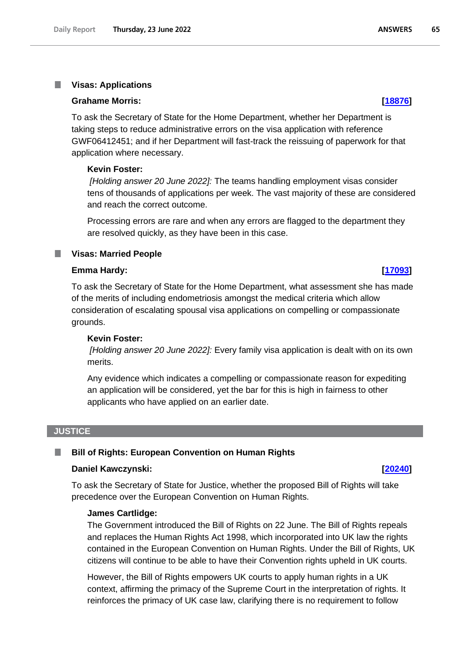#### **Visas: Applications** T.

#### **Grahame Morris: [\[18876\]](http://www.parliament.uk/business/publications/written-questions-answers-statements/written-question/Commons/2022-06-15/18876)**

To ask the Secretary of State for the Home Department, whether her Department is taking steps to reduce administrative errors on the visa application with reference GWF06412451; and if her Department will fast-track the reissuing of paperwork for that application where necessary.

#### **Kevin Foster:**

*[Holding answer 20 June 2022]:* The teams handling employment visas consider tens of thousands of applications per week. The vast majority of these are considered and reach the correct outcome.

Processing errors are rare and when any errors are flagged to the department they are resolved quickly, as they have been in this case.

### **Visas: Married People**

#### **Emma Hardy: [\[17093\]](http://www.parliament.uk/business/publications/written-questions-answers-statements/written-question/Commons/2022-06-13/17093)**

To ask the Secretary of State for the Home Department, what assessment she has made of the merits of including endometriosis amongst the medical criteria which allow consideration of escalating spousal visa applications on compelling or compassionate grounds.

#### **Kevin Foster:**

*[Holding answer 20 June 2022]:* Every family visa application is dealt with on its own merits.

Any evidence which indicates a compelling or compassionate reason for expediting an application will be considered, yet the bar for this is high in fairness to other applicants who have applied on an earlier date.

#### **JUSTICE**

#### **Bill of Rights: European Convention on Human Rights** L.

#### **Daniel Kawczynski: [\[20240\]](http://www.parliament.uk/business/publications/written-questions-answers-statements/written-question/Commons/2022-06-17/20240)**

To ask the Secretary of State for Justice, whether the proposed Bill of Rights will take precedence over the European Convention on Human Rights.

#### **James Cartlidge:**

The Government introduced the Bill of Rights on 22 June. The Bill of Rights repeals and replaces the Human Rights Act 1998, which incorporated into UK law the rights contained in the European Convention on Human Rights. Under the Bill of Rights, UK citizens will continue to be able to have their Convention rights upheld in UK courts.

However, the Bill of Rights empowers UK courts to apply human rights in a UK context, affirming the primacy of the Supreme Court in the interpretation of rights. It reinforces the primacy of UK case law, clarifying there is no requirement to follow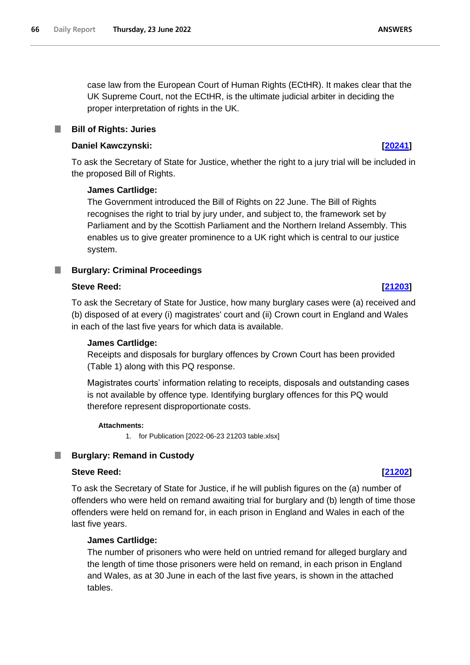case law from the European Court of Human Rights (ECtHR). It makes clear that the UK Supreme Court, not the ECtHR, is the ultimate judicial arbiter in deciding the proper interpretation of rights in the UK.

#### **Bill of Rights: Juries** L.

## **Daniel Kawczynski: [\[20241\]](http://www.parliament.uk/business/publications/written-questions-answers-statements/written-question/Commons/2022-06-17/20241)**

To ask the Secretary of State for Justice, whether the right to a jury trial will be included in the proposed Bill of Rights.

### **James Cartlidge:**

The Government introduced the Bill of Rights on 22 June. The Bill of Rights recognises the right to trial by jury under, and subject to, the framework set by Parliament and by the Scottish Parliament and the Northern Ireland Assembly. This enables us to give greater prominence to a UK right which is central to our justice system.

## **Burglary: Criminal Proceedings**

### **Steve Reed: [\[21203\]](http://www.parliament.uk/business/publications/written-questions-answers-statements/written-question/Commons/2022-06-20/21203)**

To ask the Secretary of State for Justice, how many burglary cases were (a) received and (b) disposed of at every (i) magistrates' court and (ii) Crown court in England and Wales in each of the last five years for which data is available.

### **James Cartlidge:**

Receipts and disposals for burglary offences by Crown Court has been provided (Table 1) along with this PQ response.

Magistrates courts' information relating to receipts, disposals and outstanding cases is not available by offence type. Identifying burglary offences for this PQ would therefore represent disproportionate costs.

#### **Attachments:**

1. for Publication [2022-06-23 21203 table.xlsx]

#### ш **Burglary: Remand in Custody**

### **Steve Reed: [\[21202\]](http://www.parliament.uk/business/publications/written-questions-answers-statements/written-question/Commons/2022-06-20/21202)**

To ask the Secretary of State for Justice, if he will publish figures on the (a) number of offenders who were held on remand awaiting trial for burglary and (b) length of time those offenders were held on remand for, in each prison in England and Wales in each of the last five years.

### **James Cartlidge:**

The number of prisoners who were held on untried remand for alleged burglary and the length of time those prisoners were held on remand, in each prison in England and Wales, as at 30 June in each of the last five years, is shown in the attached tables.

**ANSWERS**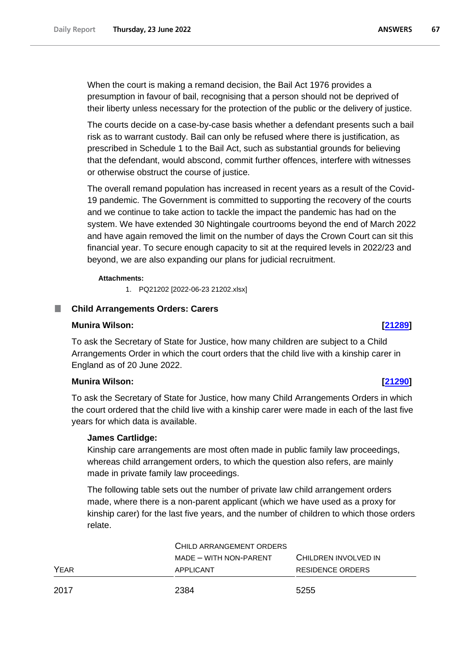When the court is making a remand decision, the Bail Act 1976 provides a presumption in favour of bail, recognising that a person should not be deprived of their liberty unless necessary for the protection of the public or the delivery of justice.

The courts decide on a case-by-case basis whether a defendant presents such a bail risk as to warrant custody. Bail can only be refused where there is justification, as prescribed in Schedule 1 to the Bail Act, such as substantial grounds for believing that the defendant, would abscond, commit further offences, interfere with witnesses or otherwise obstruct the course of justice.

The overall remand population has increased in recent years as a result of the Covid-19 pandemic. The Government is committed to supporting the recovery of the courts and we continue to take action to tackle the impact the pandemic has had on the system. We have extended 30 Nightingale courtrooms beyond the end of March 2022 and have again removed the limit on the number of days the Crown Court can sit this financial year. To secure enough capacity to sit at the required levels in 2022/23 and beyond, we are also expanding our plans for judicial recruitment.

#### **Attachments:**

1. PQ21202 [2022-06-23 21202.xlsx]

#### п **Child Arrangements Orders: Carers**

#### **Munira Wilson: [\[21289\]](http://www.parliament.uk/business/publications/written-questions-answers-statements/written-question/Commons/2022-06-20/21289)**

To ask the Secretary of State for Justice, how many children are subject to a Child Arrangements Order in which the court orders that the child live with a kinship carer in England as of 20 June 2022.

### **Munira Wilson: [\[21290\]](http://www.parliament.uk/business/publications/written-questions-answers-statements/written-question/Commons/2022-06-20/21290)**

To ask the Secretary of State for Justice, how many Child Arrangements Orders in which the court ordered that the child live with a kinship carer were made in each of the last five years for which data is available.

### **James Cartlidge:**

Kinship care arrangements are most often made in public family law proceedings, whereas child arrangement orders, to which the question also refers, are mainly made in private family law proceedings.

The following table sets out the number of private law child arrangement orders made, where there is a non-parent applicant (which we have used as a proxy for kinship carer) for the last five years, and the number of children to which those orders relate.

|      | CHILD ARRANGEMENT ORDERS |                      |  |  |
|------|--------------------------|----------------------|--|--|
|      | MADE - WITH NON-PARENT   | CHILDREN INVOLVED IN |  |  |
| YEAR | APPLICANT                | RESIDENCE ORDERS     |  |  |
| 2017 | 2384                     | 5255                 |  |  |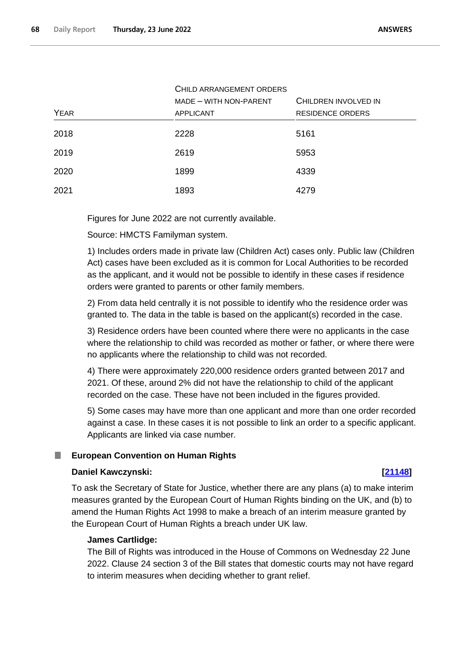|             | CHILD ARRANGEMENT ORDERS |                         |  |  |
|-------------|--------------------------|-------------------------|--|--|
|             | MADE - WITH NON-PARENT   | CHILDREN INVOLVED IN    |  |  |
| <b>YEAR</b> | <b>APPLICANT</b>         | <b>RESIDENCE ORDERS</b> |  |  |
| 2018        | 2228                     | 5161                    |  |  |
| 2019        | 2619                     | 5953                    |  |  |
| 2020        | 1899                     | 4339                    |  |  |
| 2021        | 1893                     | 4279                    |  |  |

Figures for June 2022 are not currently available.

Source: HMCTS Familyman system.

1) Includes orders made in private law (Children Act) cases only. Public law (Children Act) cases have been excluded as it is common for Local Authorities to be recorded as the applicant, and it would not be possible to identify in these cases if residence orders were granted to parents or other family members.

2) From data held centrally it is not possible to identify who the residence order was granted to. The data in the table is based on the applicant(s) recorded in the case.

3) Residence orders have been counted where there were no applicants in the case where the relationship to child was recorded as mother or father, or where there were no applicants where the relationship to child was not recorded.

4) There were approximately 220,000 residence orders granted between 2017 and 2021. Of these, around 2% did not have the relationship to child of the applicant recorded on the case. These have not been included in the figures provided.

5) Some cases may have more than one applicant and more than one order recorded against a case. In these cases it is not possible to link an order to a specific applicant. Applicants are linked via case number.

#### **European Convention on Human Rights** .

### **Daniel Kawczynski: [\[21148\]](http://www.parliament.uk/business/publications/written-questions-answers-statements/written-question/Commons/2022-06-20/21148)**

To ask the Secretary of State for Justice, whether there are any plans (a) to make interim measures granted by the European Court of Human Rights binding on the UK, and (b) to amend the Human Rights Act 1998 to make a breach of an interim measure granted by the European Court of Human Rights a breach under UK law.

## **James Cartlidge:**

The Bill of Rights was introduced in the House of Commons on Wednesday 22 June 2022. Clause 24 section 3 of the Bill states that domestic courts may not have regard to interim measures when deciding whether to grant relief.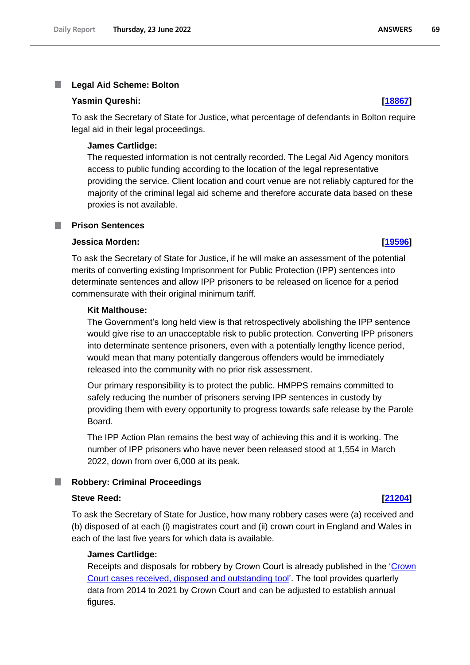#### T. **Legal Aid Scheme: Bolton**

#### **Yasmin Qureshi: [\[18867\]](http://www.parliament.uk/business/publications/written-questions-answers-statements/written-question/Commons/2022-06-15/18867)**

To ask the Secretary of State for Justice, what percentage of defendants in Bolton require legal aid in their legal proceedings.

#### **James Cartlidge:**

The requested information is not centrally recorded. The Legal Aid Agency monitors access to public funding according to the location of the legal representative providing the service. Client location and court venue are not reliably captured for the majority of the criminal legal aid scheme and therefore accurate data based on these proxies is not available.

#### **Prison Sentences**

## **Jessica Morden: [\[19596\]](http://www.parliament.uk/business/publications/written-questions-answers-statements/written-question/Commons/2022-06-16/19596)**

To ask the Secretary of State for Justice, if he will make an assessment of the potential merits of converting existing Imprisonment for Public Protection (IPP) sentences into determinate sentences and allow IPP prisoners to be released on licence for a period commensurate with their original minimum tariff.

#### **Kit Malthouse:**

The Government's long held view is that retrospectively abolishing the IPP sentence would give rise to an unacceptable risk to public protection. Converting IPP prisoners into determinate sentence prisoners, even with a potentially lengthy licence period, would mean that many potentially dangerous offenders would be immediately released into the community with no prior risk assessment.

Our primary responsibility is to protect the public. HMPPS remains committed to safely reducing the number of prisoners serving IPP sentences in custody by providing them with every opportunity to progress towards safe release by the Parole Board.

The IPP Action Plan remains the best way of achieving this and it is working. The number of IPP prisoners who have never been released stood at 1,554 in March 2022, down from over 6,000 at its peak.

#### **Robbery: Criminal Proceedings** a an

#### **Steve Reed: [\[21204\]](http://www.parliament.uk/business/publications/written-questions-answers-statements/written-question/Commons/2022-06-20/21204)**

To ask the Secretary of State for Justice, how many robbery cases were (a) received and (b) disposed of at each (i) magistrates court and (ii) crown court in England and Wales in each of the last five years for which data is available.

#### **James Cartlidge:**

Receipts and disposals for robbery by Crown Court is already published in the 'Crown' Court cases received, disposed and outstanding tool'. The tool provides quarterly data from 2014 to 2021 by Crown Court and can be adjusted to establish annual figures.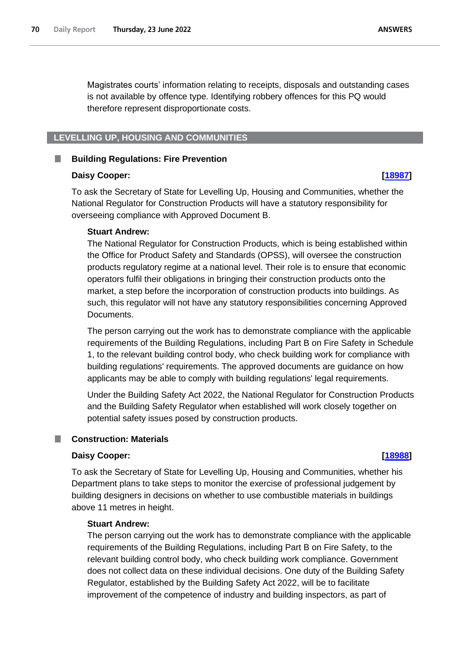Magistrates courts' information relating to receipts, disposals and outstanding cases is not available by offence type. Identifying robbery offences for this PQ would therefore represent disproportionate costs.

#### **LEVELLING UP, HOUSING AND COMMUNITIES**

#### **Building Regulations: Fire Prevention**

#### **Daisy Cooper: [\[18987\]](http://www.parliament.uk/business/publications/written-questions-answers-statements/written-question/Commons/2022-06-15/18987)**

To ask the Secretary of State for Levelling Up, Housing and Communities, whether the National Regulator for Construction Products will have a statutory responsibility for overseeing compliance with Approved Document B.

#### **Stuart Andrew:**

The National Regulator for Construction Products, which is being established within the Office for Product Safety and Standards (OPSS), will oversee the construction products regulatory regime at a national level. Their role is to ensure that economic operators fulfil their obligations in bringing their construction products onto the market, a step before the incorporation of construction products into buildings. As such, this regulator will not have any statutory responsibilities concerning Approved Documents.

The person carrying out the work has to demonstrate compliance with the applicable requirements of the Building Regulations, including Part B on Fire Safety in Schedule 1, to the relevant building control body, who check building work for compliance with building regulations' requirements. The approved documents are guidance on how applicants may be able to comply with building regulations' legal requirements.

Under the Building Safety Act 2022, the National Regulator for Construction Products and the Building Safety Regulator when established will work closely together on potential safety issues posed by construction products.

#### **Construction: Materials**

#### **Daisy Cooper: [\[18988\]](http://www.parliament.uk/business/publications/written-questions-answers-statements/written-question/Commons/2022-06-15/18988)**

To ask the Secretary of State for Levelling Up, Housing and Communities, whether his Department plans to take steps to monitor the exercise of professional judgement by building designers in decisions on whether to use combustible materials in buildings above 11 metres in height.

### **Stuart Andrew:**

The person carrying out the work has to demonstrate compliance with the applicable requirements of the Building Regulations, including Part B on Fire Safety, to the relevant building control body, who check building work compliance. Government does not collect data on these individual decisions. One duty of the Building Safety Regulator, established by the Building Safety Act 2022, will be to facilitate improvement of the competence of industry and building inspectors, as part of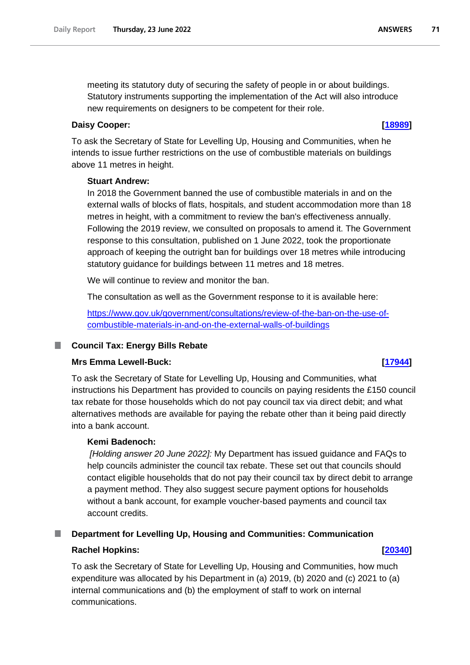meeting its statutory duty of securing the safety of people in or about buildings. Statutory instruments supporting the implementation of the Act will also introduce new requirements on designers to be competent for their role.

### **Daisy Cooper: [\[18989\]](http://www.parliament.uk/business/publications/written-questions-answers-statements/written-question/Commons/2022-06-15/18989)**

To ask the Secretary of State for Levelling Up, Housing and Communities, when he intends to issue further restrictions on the use of combustible materials on buildings above 11 metres in height.

### **Stuart Andrew:**

In 2018 the Government banned the use of combustible materials in and on the external walls of blocks of flats, hospitals, and student accommodation more than 18 metres in height, with a commitment to review the ban's effectiveness annually. Following the 2019 review, we consulted on proposals to amend it. The Government response to this consultation, published on 1 June 2022, took the proportionate approach of keeping the outright ban for buildings over 18 metres while introducing statutory guidance for buildings between 11 metres and 18 metres.

We will continue to review and monitor the ban.

The consultation as well as the Government response to it is available here:

[https://www.gov.uk/government/consultations/review-of-the-ban-on-the-use-of](https://gbr01.safelinks.protection.outlook.com/?url=https%3A%2F%2Fwww.gov.uk%2Fgovernment%2Fconsultations%2Freview-of-the-ban-on-the-use-of-combustible-materials-in-and-on-the-external-walls-of-buildings&data=05%7C01%7CParliamentary%40levellingup.gov.uk%7C40d1a47a4c0645bc052908da54676a05%7Cbf3468109c7d43dea87224a2ef3995a8%7C0%7C0%7C637915100368895141%7CUnknown%7CTWFpbGZsb3d8eyJWIjoiMC4wLjAwMDAiLCJQIjoiV2luMzIiLCJBTiI6Ik1haWwiLCJXVCI6Mn0%3D%7C3000%7C%7C%7C&sdata=3VP8MkQIXy5Si4scwBki%2Fj86NKLGv6ko7UmBuWbxc%2FE%3D&reserved=0)[combustible-materials-in-and-on-the-external-walls-of-buildings](https://gbr01.safelinks.protection.outlook.com/?url=https%3A%2F%2Fwww.gov.uk%2Fgovernment%2Fconsultations%2Freview-of-the-ban-on-the-use-of-combustible-materials-in-and-on-the-external-walls-of-buildings&data=05%7C01%7CParliamentary%40levellingup.gov.uk%7C40d1a47a4c0645bc052908da54676a05%7Cbf3468109c7d43dea87224a2ef3995a8%7C0%7C0%7C637915100368895141%7CUnknown%7CTWFpbGZsb3d8eyJWIjoiMC4wLjAwMDAiLCJQIjoiV2luMzIiLCJBTiI6Ik1haWwiLCJXVCI6Mn0%3D%7C3000%7C%7C%7C&sdata=3VP8MkQIXy5Si4scwBki%2Fj86NKLGv6ko7UmBuWbxc%2FE%3D&reserved=0)

## **Council Tax: Energy Bills Rebate**

## **Mrs Emma Lewell-Buck: [\[17944\]](http://www.parliament.uk/business/publications/written-questions-answers-statements/written-question/Commons/2022-06-14/17944)**

To ask the Secretary of State for Levelling Up, Housing and Communities, what instructions his Department has provided to councils on paying residents the £150 council tax rebate for those households which do not pay council tax via direct debit; and what alternatives methods are available for paying the rebate other than it being paid directly into a bank account.

## **Kemi Badenoch:**

*[Holding answer 20 June 2022]:* My Department has issued guidance and FAQs to help councils administer the council tax rebate. These set out that councils should contact eligible households that do not pay their council tax by direct debit to arrange a payment method. They also suggest secure payment options for households without a bank account, for example voucher-based payments and council tax account credits.

## **Department for Levelling Up, Housing and Communities: Communication**

### **Rachel Hopkins: [\[20340\]](http://www.parliament.uk/business/publications/written-questions-answers-statements/written-question/Commons/2022-06-17/20340)**

To ask the Secretary of State for Levelling Up, Housing and Communities, how much expenditure was allocated by his Department in (a) 2019, (b) 2020 and (c) 2021 to (a) internal communications and (b) the employment of staff to work on internal communications.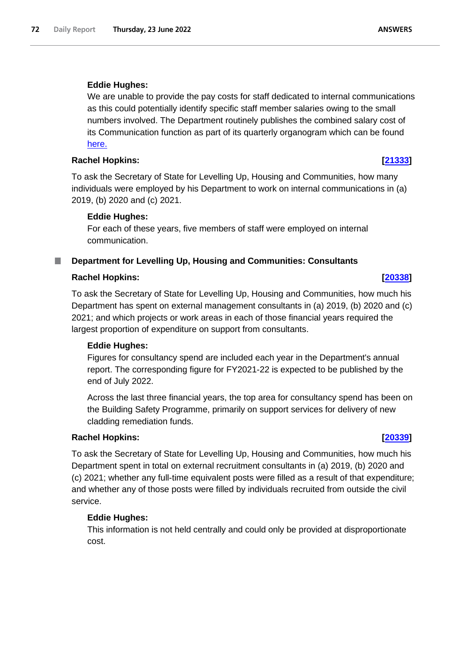## **Eddie Hughes:**

We are unable to provide the pay costs for staff dedicated to internal communications as this could potentially identify specific staff member salaries owing to the small numbers involved. The Department routinely publishes the combined salary cost of its Communication function as part of its quarterly organogram which can be found here.

### **Rachel Hopkins: [\[21333\]](http://www.parliament.uk/business/publications/written-questions-answers-statements/written-question/Commons/2022-06-20/21333)**

To ask the Secretary of State for Levelling Up, Housing and Communities, how many individuals were employed by his Department to work on internal communications in (a) 2019, (b) 2020 and (c) 2021.

### **Eddie Hughes:**

For each of these years, five members of staff were employed on internal communication.

## **Department for Levelling Up, Housing and Communities: Consultants**

### **Rachel Hopkins: [\[20338\]](http://www.parliament.uk/business/publications/written-questions-answers-statements/written-question/Commons/2022-06-17/20338)**

To ask the Secretary of State for Levelling Up, Housing and Communities, how much his Department has spent on external management consultants in (a) 2019, (b) 2020 and (c) 2021; and which projects or work areas in each of those financial years required the largest proportion of expenditure on support from consultants.

### **Eddie Hughes:**

Figures for consultancy spend are included each year in the Department's annual report. The corresponding figure for FY2021-22 is expected to be published by the end of July 2022.

Across the last three financial years, the top area for consultancy spend has been on the Building Safety Programme, primarily on support services for delivery of new cladding remediation funds.

### **Rachel Hopkins: [\[20339\]](http://www.parliament.uk/business/publications/written-questions-answers-statements/written-question/Commons/2022-06-17/20339)**

To ask the Secretary of State for Levelling Up, Housing and Communities, how much his Department spent in total on external recruitment consultants in (a) 2019, (b) 2020 and (c) 2021; whether any full-time equivalent posts were filled as a result of that expenditure; and whether any of those posts were filled by individuals recruited from outside the civil service.

## **Eddie Hughes:**

This information is not held centrally and could only be provided at disproportionate cost.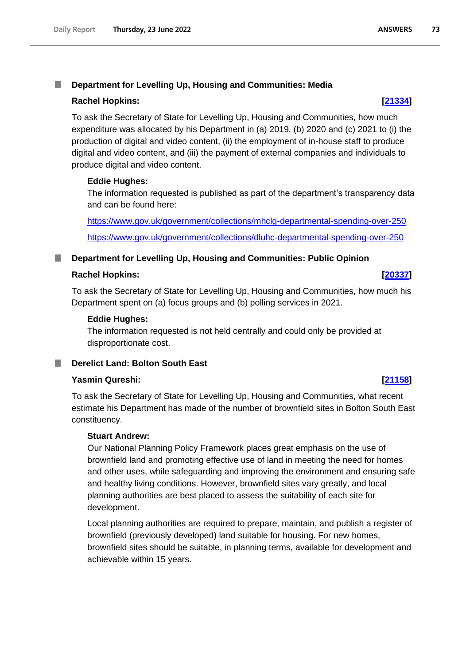#### T. **Department for Levelling Up, Housing and Communities: Media**

# **Rachel Hopkins: [\[21334\]](http://www.parliament.uk/business/publications/written-questions-answers-statements/written-question/Commons/2022-06-20/21334)**

To ask the Secretary of State for Levelling Up, Housing and Communities, how much expenditure was allocated by his Department in (a) 2019, (b) 2020 and (c) 2021 to (i) the production of digital and video content, (ii) the employment of in-house staff to produce digital and video content, and (iii) the payment of external companies and individuals to produce digital and video content.

# **Eddie Hughes:**

The information requested is published as part of the department's transparency data and can be found here:

[https://www.gov.uk/government/collections/mhclg-departmental-spending-over-250](https://gbr01.safelinks.protection.outlook.com/?url=https%3A%2F%2Fwww.gov.uk%2Fgovernment%2Fcollections%2Fmhclg-departmental-spending-over-250&data=05%7C01%7CParliamentary%40levellingup.gov.uk%7C7bd0518281724c833cbe08da5533544d%7Cbf3468109c7d43dea87224a2ef3995a8%7C0%7C0%7C637915976182081688%7CUnknown%7CTWFpbGZsb3d8eyJWIjoiMC4wLjAwMDAiLCJQIjoiV2luMzIiLCJBTiI6Ik1haWwiLCJXVCI6Mn0%3D%7C3000%7C%7C%7C&sdata=4xZwvvkdFlwkiFB81AdE2e8DOLSEuI1HWQKm8M%2F2GpA%3D&reserved=0) [https://www.gov.uk/government/collections/dluhc-departmental-spending-over-250](https://gbr01.safelinks.protection.outlook.com/?url=https%3A%2F%2Fwww.gov.uk%2Fgovernment%2Fcollections%2Fdluhc-departmental-spending-over-250&data=05%7C01%7CParliamentary%40levellingup.gov.uk%7C7bd0518281724c833cbe08da5533544d%7Cbf3468109c7d43dea87224a2ef3995a8%7C0%7C0%7C637915976182081688%7CUnknown%7CTWFpbGZsb3d8eyJWIjoiMC4wLjAwMDAiLCJQIjoiV2luMzIiLCJBTiI6Ik1haWwiLCJXVCI6Mn0%3D%7C3000%7C%7C%7C&sdata=lzerKngTMMvgmK%2BeyptOHX0m7hNKeYazs0q2br%2B7RIk%3D&reserved=0)

#### **Department for Levelling Up, Housing and Communities: Public Opinion** a a s

# **Rachel Hopkins: [\[20337\]](http://www.parliament.uk/business/publications/written-questions-answers-statements/written-question/Commons/2022-06-17/20337)**

To ask the Secretary of State for Levelling Up, Housing and Communities, how much his Department spent on (a) focus groups and (b) polling services in 2021.

## **Eddie Hughes:**

The information requested is not held centrally and could only be provided at disproportionate cost.

# **Derelict Land: Bolton South East**

# **Yasmin Qureshi: [\[21158\]](http://www.parliament.uk/business/publications/written-questions-answers-statements/written-question/Commons/2022-06-20/21158)**

To ask the Secretary of State for Levelling Up, Housing and Communities, what recent estimate his Department has made of the number of brownfield sites in Bolton South East constituency.

## **Stuart Andrew:**

Our National Planning Policy Framework places great emphasis on the use of brownfield land and promoting effective use of land in meeting the need for homes and other uses, while safeguarding and improving the environment and ensuring safe and healthy living conditions. However, brownfield sites vary greatly, and local planning authorities are best placed to assess the suitability of each site for development.

Local planning authorities are required to prepare, maintain, and publish a register of brownfield (previously developed) land suitable for housing. For new homes, brownfield sites should be suitable, in planning terms, available for development and achievable within 15 years.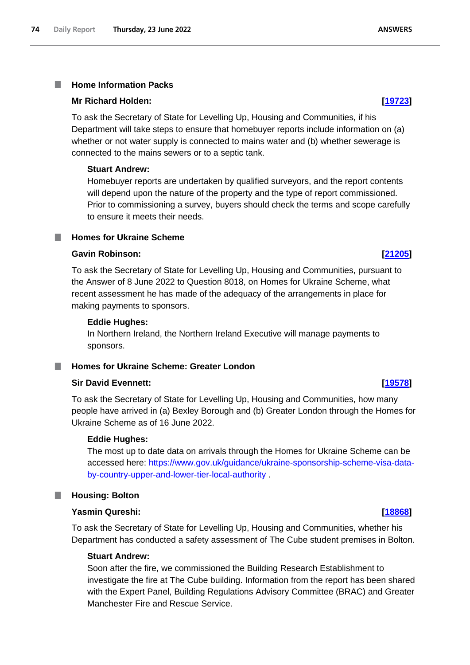# **Home Information Packs**

# **Mr Richard Holden: [\[19723\]](http://www.parliament.uk/business/publications/written-questions-answers-statements/written-question/Commons/2022-06-16/19723)**

To ask the Secretary of State for Levelling Up, Housing and Communities, if his Department will take steps to ensure that homebuyer reports include information on (a) whether or not water supply is connected to mains water and (b) whether sewerage is connected to the mains sewers or to a septic tank.

# **Stuart Andrew:**

Homebuyer reports are undertaken by qualified surveyors, and the report contents will depend upon the nature of the property and the type of report commissioned. Prior to commissioning a survey, buyers should check the terms and scope carefully to ensure it meets their needs.

# **Homes for Ukraine Scheme**

# **Gavin Robinson: [\[21205\]](http://www.parliament.uk/business/publications/written-questions-answers-statements/written-question/Commons/2022-06-20/21205)**

To ask the Secretary of State for Levelling Up, Housing and Communities, pursuant to the Answer of 8 June 2022 to Question 8018, on Homes for Ukraine Scheme, what recent assessment he has made of the adequacy of the arrangements in place for making payments to sponsors.

# **Eddie Hughes:**

In Northern Ireland, the Northern Ireland Executive will manage payments to sponsors.

# **Homes for Ukraine Scheme: Greater London**

# **Sir David Evennett: [\[19578\]](http://www.parliament.uk/business/publications/written-questions-answers-statements/written-question/Commons/2022-06-16/19578)**

To ask the Secretary of State for Levelling Up, Housing and Communities, how many people have arrived in (a) Bexley Borough and (b) Greater London through the Homes for Ukraine Scheme as of 16 June 2022.

# **Eddie Hughes:**

The most up to date data on arrivals through the Homes for Ukraine Scheme can be accessed here: https://www.gov.uk/guidance/ukraine-sponsorship-scheme-visa-databy-country-upper-and-lower-tier-local-authority .

# **Housing: Bolton**

# **Yasmin Qureshi: [\[18868\]](http://www.parliament.uk/business/publications/written-questions-answers-statements/written-question/Commons/2022-06-15/18868)**

To ask the Secretary of State for Levelling Up, Housing and Communities, whether his Department has conducted a safety assessment of The Cube student premises in Bolton.

# **Stuart Andrew:**

Soon after the fire, we commissioned the Building Research Establishment to investigate the fire at The Cube building. Information from the report has been shared with the Expert Panel, Building Regulations Advisory Committee (BRAC) and Greater Manchester Fire and Rescue Service.

**ANSWERS**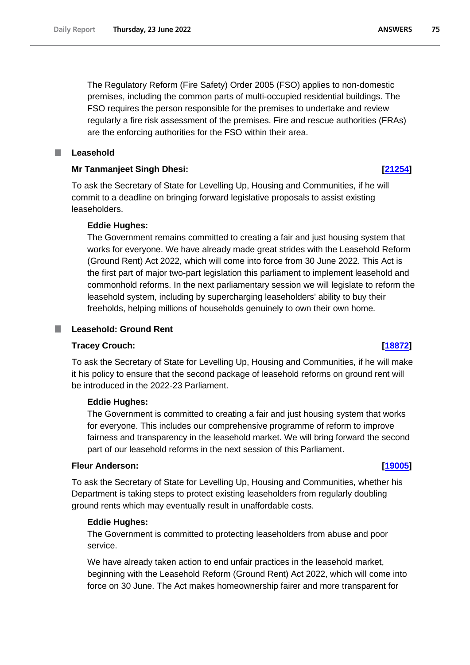The Regulatory Reform (Fire Safety) Order 2005 (FSO) applies to non-domestic premises, including the common parts of multi-occupied residential buildings. The FSO requires the person responsible for the premises to undertake and review regularly a fire risk assessment of the premises. Fire and rescue authorities (FRAs) are the enforcing authorities for the FSO within their area.

#### П **Leasehold**

# **Mr Tanmanjeet Singh Dhesi: [\[21254\]](http://www.parliament.uk/business/publications/written-questions-answers-statements/written-question/Commons/2022-06-20/21254)**

To ask the Secretary of State for Levelling Up, Housing and Communities, if he will commit to a deadline on bringing forward legislative proposals to assist existing leaseholders.

# **Eddie Hughes:**

The Government remains committed to creating a fair and just housing system that works for everyone. We have already made great strides with the Leasehold Reform (Ground Rent) Act 2022, which will come into force from 30 June 2022. This Act is the first part of major two-part legislation this parliament to implement leasehold and commonhold reforms. In the next parliamentary session we will legislate to reform the leasehold system, including by supercharging leaseholders' ability to buy their freeholds, helping millions of households genuinely to own their own home.

## **Leasehold: Ground Rent**

## **Tracey Crouch: [\[18872\]](http://www.parliament.uk/business/publications/written-questions-answers-statements/written-question/Commons/2022-06-15/18872)**

.

To ask the Secretary of State for Levelling Up, Housing and Communities, if he will make it his policy to ensure that the second package of leasehold reforms on ground rent will be introduced in the 2022-23 Parliament.

## **Eddie Hughes:**

The Government is committed to creating a fair and just housing system that works for everyone. This includes our comprehensive programme of reform to improve fairness and transparency in the leasehold market. We will bring forward the second part of our leasehold reforms in the next session of this Parliament.

# **Fleur Anderson: [\[19005\]](http://www.parliament.uk/business/publications/written-questions-answers-statements/written-question/Commons/2022-06-15/19005)**

To ask the Secretary of State for Levelling Up, Housing and Communities, whether his Department is taking steps to protect existing leaseholders from regularly doubling ground rents which may eventually result in unaffordable costs.

## **Eddie Hughes:**

The Government is committed to protecting leaseholders from abuse and poor service.

We have already taken action to end unfair practices in the leasehold market, beginning with the Leasehold Reform (Ground Rent) Act 2022, which will come into force on 30 June. The Act makes homeownership fairer and more transparent for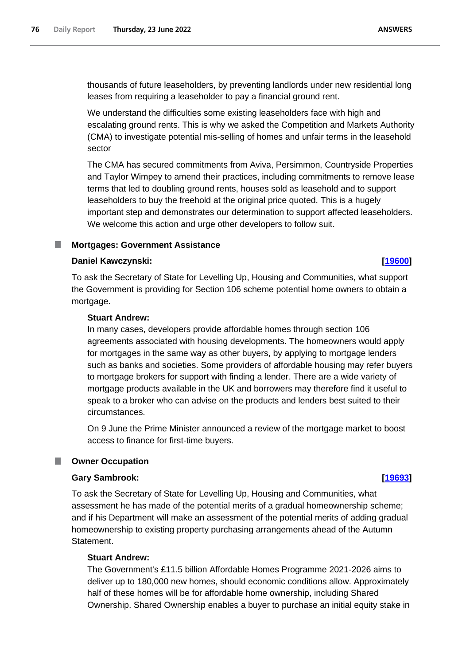thousands of future leaseholders, by preventing landlords under new residential long leases from requiring a leaseholder to pay a financial ground rent.

We understand the difficulties some existing leaseholders face with high and escalating ground rents. This is why we asked the Competition and Markets Authority (CMA) to investigate potential mis-selling of homes and unfair terms in the leasehold sector

The CMA has secured commitments from Aviva, Persimmon, Countryside Properties and Taylor Wimpey to amend their practices, including commitments to remove lease terms that led to doubling ground rents, houses sold as leasehold and to support leaseholders to buy the freehold at the original price quoted. This is a hugely important step and demonstrates our determination to support affected leaseholders. We welcome this action and urge other developers to follow suit.

## **Mortgages: Government Assistance**

# **Daniel Kawczynski: [\[19600\]](http://www.parliament.uk/business/publications/written-questions-answers-statements/written-question/Commons/2022-06-16/19600)**

To ask the Secretary of State for Levelling Up, Housing and Communities, what support the Government is providing for Section 106 scheme potential home owners to obtain a mortgage.

# **Stuart Andrew:**

In many cases, developers provide affordable homes through section 106 agreements associated with housing developments. The homeowners would apply for mortgages in the same way as other buyers, by applying to mortgage lenders such as banks and societies. Some providers of affordable housing may refer buyers to mortgage brokers for support with finding a lender. There are a wide variety of mortgage products available in the UK and borrowers may therefore find it useful to speak to a broker who can advise on the products and lenders best suited to their circumstances.

On 9 June the Prime Minister announced a review of the mortgage market to boost access to finance for first-time buyers.

# **Owner Occupation**

## **Gary Sambrook: [\[19693\]](http://www.parliament.uk/business/publications/written-questions-answers-statements/written-question/Commons/2022-06-16/19693)**

To ask the Secretary of State for Levelling Up, Housing and Communities, what assessment he has made of the potential merits of a gradual homeownership scheme; and if his Department will make an assessment of the potential merits of adding gradual homeownership to existing property purchasing arrangements ahead of the Autumn Statement.

# **Stuart Andrew:**

The Government's £11.5 billion Affordable Homes Programme 2021-2026 aims to deliver up to 180,000 new homes, should economic conditions allow. Approximately half of these homes will be for affordable home ownership, including Shared Ownership. Shared Ownership enables a buyer to purchase an initial equity stake in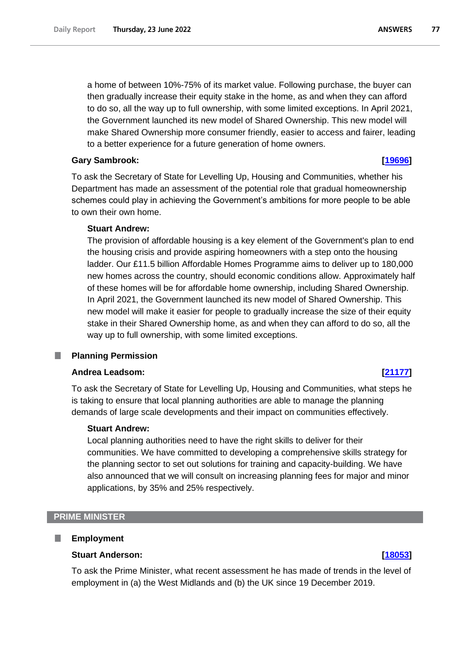the Government launched its new model of Shared Ownership. This new model will make Shared Ownership more consumer friendly, easier to access and fairer, leading to a better experience for a future generation of home owners.

# **Gary Sambrook: [\[19696\]](http://www.parliament.uk/business/publications/written-questions-answers-statements/written-question/Commons/2022-06-16/19696)**

To ask the Secretary of State for Levelling Up, Housing and Communities, whether his Department has made an assessment of the potential role that gradual homeownership schemes could play in achieving the Government's ambitions for more people to be able to own their own home.

# **Stuart Andrew:**

The provision of affordable housing is a key element of the Government's plan to end the housing crisis and provide aspiring homeowners with a step onto the housing ladder. Our £11.5 billion Affordable Homes Programme aims to deliver up to 180,000 new homes across the country, should economic conditions allow. Approximately half of these homes will be for affordable home ownership, including Shared Ownership. In April 2021, the Government launched its new model of Shared Ownership. This new model will make it easier for people to gradually increase the size of their equity stake in their Shared Ownership home, as and when they can afford to do so, all the way up to full ownership, with some limited exceptions.

#### ш **Planning Permission**

# **Andrea Leadsom: [\[21177\]](http://www.parliament.uk/business/publications/written-questions-answers-statements/written-question/Commons/2022-06-20/21177)**

To ask the Secretary of State for Levelling Up, Housing and Communities, what steps he is taking to ensure that local planning authorities are able to manage the planning demands of large scale developments and their impact on communities effectively.

# **Stuart Andrew:**

Local planning authorities need to have the right skills to deliver for their communities. We have committed to developing a comprehensive skills strategy for the planning sector to set out solutions for training and capacity-building. We have also announced that we will consult on increasing planning fees for major and minor applications, by 35% and 25% respectively.

## **PRIME MINISTER**

#### П **Employment**

## **Stuart Anderson: [\[18053\]](http://www.parliament.uk/business/publications/written-questions-answers-statements/written-question/Commons/2022-06-14/18053)**

To ask the Prime Minister, what recent assessment he has made of trends in the level of employment in (a) the West Midlands and (b) the UK since 19 December 2019.

#### **ANSWERS** 77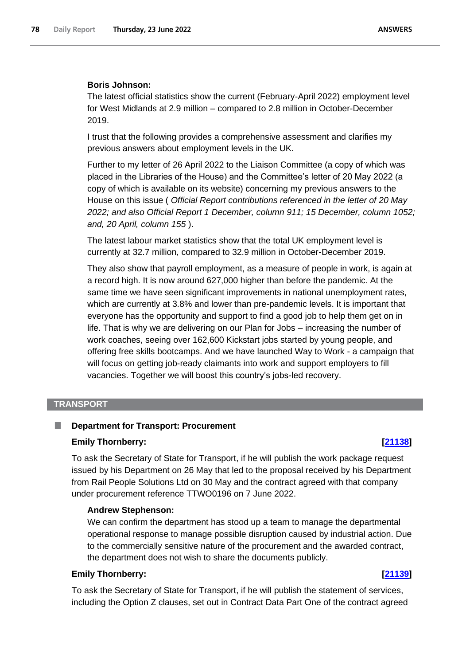## **Boris Johnson:**

The latest official statistics show the current (February-April 2022) employment level for West Midlands at 2.9 million – compared to 2.8 million in October-December 2019.

I trust that the following provides a comprehensive assessment and clarifies my previous answers about employment levels in the UK.

Further to my letter of 26 April 2022 to the Liaison Committee (a copy of which was placed in the Libraries of the House) and the Committee's letter of 20 May 2022 (a copy of which is available on its website) concerning my previous answers to the House on this issue ( *Official Report contributions referenced in the letter of 20 May 2022; and also Official Report 1 December, column 911; 15 December, column 1052; and, 20 April, column 155* ).

The latest labour market statistics show that the total UK employment level is currently at 32.7 million, compared to 32.9 million in October-December 2019.

They also show that payroll employment, as a measure of people in work, is again at a record high. It is now around 627,000 higher than before the pandemic. At the same time we have seen significant improvements in national unemployment rates, which are currently at 3.8% and lower than pre-pandemic levels. It is important that everyone has the opportunity and support to find a good job to help them get on in life. That is why we are delivering on our Plan for Jobs – increasing the number of work coaches, seeing over 162,600 Kickstart jobs started by young people, and offering free skills bootcamps. And we have launched Way to Work - a campaign that will focus on getting job-ready claimants into work and support employers to fill vacancies. Together we will boost this country's jobs-led recovery.

# **TRANSPORT**

#### **Department for Transport: Procurement**

#### **Emily Thornberry: [\[21138\]](http://www.parliament.uk/business/publications/written-questions-answers-statements/written-question/Commons/2022-06-20/21138)**

To ask the Secretary of State for Transport, if he will publish the work package request issued by his Department on 26 May that led to the proposal received by his Department from Rail People Solutions Ltd on 30 May and the contract agreed with that company under procurement reference TTWO0196 on 7 June 2022.

#### **Andrew Stephenson:**

We can confirm the department has stood up a team to manage the departmental operational response to manage possible disruption caused by industrial action. Due to the commercially sensitive nature of the procurement and the awarded contract, the department does not wish to share the documents publicly.

### **Emily Thornberry: [\[21139\]](http://www.parliament.uk/business/publications/written-questions-answers-statements/written-question/Commons/2022-06-20/21139)**

To ask the Secretary of State for Transport, if he will publish the statement of services, including the Option Z clauses, set out in Contract Data Part One of the contract agreed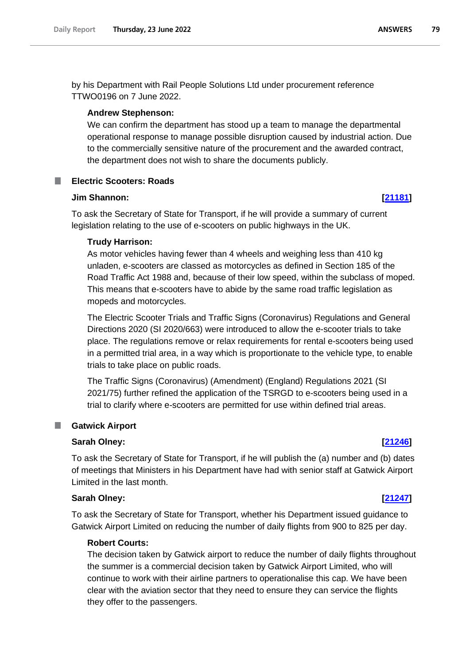by his Department with Rail People Solutions Ltd under procurement reference TTWO0196 on 7 June 2022.

#### **Andrew Stephenson:**

We can confirm the department has stood up a team to manage the departmental operational response to manage possible disruption caused by industrial action. Due to the commercially sensitive nature of the procurement and the awarded contract, the department does not wish to share the documents publicly.

### **Electric Scooters: Roads**

#### **Jim Shannon: [\[21181\]](http://www.parliament.uk/business/publications/written-questions-answers-statements/written-question/Commons/2022-06-20/21181)**

To ask the Secretary of State for Transport, if he will provide a summary of current legislation relating to the use of e-scooters on public highways in the UK.

#### **Trudy Harrison:**

As motor vehicles having fewer than 4 wheels and weighing less than 410 kg unladen, e-scooters are classed as motorcycles as defined in Section 185 of the Road Traffic Act 1988 and, because of their low speed, within the subclass of moped. This means that e-scooters have to abide by the same road traffic legislation as mopeds and motorcycles.

The Electric Scooter Trials and Traffic Signs (Coronavirus) Regulations and General Directions 2020 (SI 2020/663) were introduced to allow the e-scooter trials to take place. The regulations remove or relax requirements for rental e-scooters being used in a permitted trial area, in a way which is proportionate to the vehicle type, to enable trials to take place on public roads.

The Traffic Signs (Coronavirus) (Amendment) (England) Regulations 2021 (SI 2021/75) further refined the application of the TSRGD to e-scooters being used in a trial to clarify where e-scooters are permitted for use within defined trial areas.

#### **E** Gatwick Airport

### **Sarah Olney: [\[21246\]](http://www.parliament.uk/business/publications/written-questions-answers-statements/written-question/Commons/2022-06-20/21246)**

To ask the Secretary of State for Transport, if he will publish the (a) number and (b) dates of meetings that Ministers in his Department have had with senior staff at Gatwick Airport Limited in the last month.

#### **Sarah Olney: [\[21247\]](http://www.parliament.uk/business/publications/written-questions-answers-statements/written-question/Commons/2022-06-20/21247)**

To ask the Secretary of State for Transport, whether his Department issued guidance to Gatwick Airport Limited on reducing the number of daily flights from 900 to 825 per day.

### **Robert Courts:**

The decision taken by Gatwick airport to reduce the number of daily flights throughout the summer is a commercial decision taken by Gatwick Airport Limited, who will continue to work with their airline partners to operationalise this cap. We have been clear with the aviation sector that they need to ensure they can service the flights they offer to the passengers.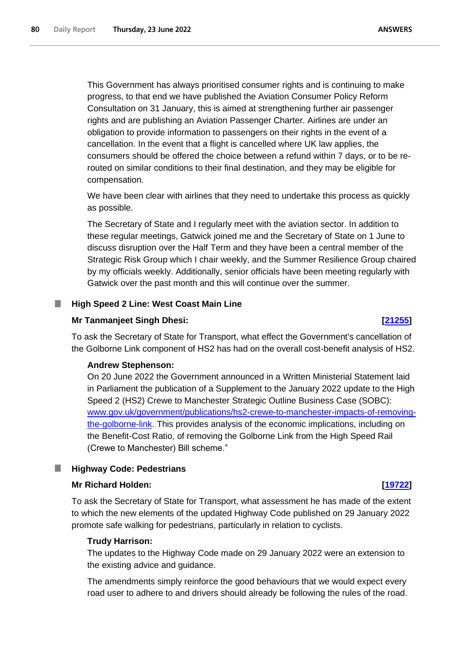This Government has always prioritised consumer rights and is continuing to make progress, to that end we have published the Aviation Consumer Policy Reform Consultation on 31 January, this is aimed at strengthening further air passenger rights and are publishing an Aviation Passenger Charter. Airlines are under an obligation to provide information to passengers on their rights in the event of a cancellation. In the event that a flight is cancelled where UK law applies, the consumers should be offered the choice between a refund within 7 days, or to be rerouted on similar conditions to their final destination, and they may be eligible for compensation.

We have been clear with airlines that they need to undertake this process as quickly as possible.

The Secretary of State and I regularly meet with the aviation sector. In addition to these regular meetings, Gatwick joined me and the Secretary of State on 1 June to discuss disruption over the Half Term and they have been a central member of the Strategic Risk Group which I chair weekly, and the Summer Resilience Group chaired by my officials weekly. Additionally, senior officials have been meeting regularly with Gatwick over the past month and this will continue over the summer.

### **High Speed 2 Line: West Coast Main Line**

#### **Mr Tanmanjeet Singh Dhesi: [\[21255\]](http://www.parliament.uk/business/publications/written-questions-answers-statements/written-question/Commons/2022-06-20/21255)**

To ask the Secretary of State for Transport, what effect the Government's cancellation of the Golborne Link component of HS2 has had on the overall cost-benefit analysis of HS2.

#### **Andrew Stephenson:**

On 20 June 2022 the Government announced in a Written Ministerial Statement laid in Parliament the publication of a Supplement to the January 2022 update to the High Speed 2 (HS2) Crewe to Manchester Strategic Outline Business Case (SOBC): www.gov.uk/government/publications/hs2-crewe-to-manchester-impacts-of-removingthe-golborne-link. This provides analysis of the economic implications, including on the Benefit-Cost Ratio, of removing the Golborne Link from the High Speed Rail (Crewe to Manchester) Bill scheme."

#### **Highway Code: Pedestrians**

#### **Mr Richard Holden: [\[19722\]](http://www.parliament.uk/business/publications/written-questions-answers-statements/written-question/Commons/2022-06-16/19722)**

To ask the Secretary of State for Transport, what assessment he has made of the extent to which the new elements of the updated Highway Code published on 29 January 2022 promote safe walking for pedestrians, particularly in relation to cyclists.

#### **Trudy Harrison:**

The updates to the Highway Code made on 29 January 2022 were an extension to the existing advice and guidance.

The amendments simply reinforce the good behaviours that we would expect every road user to adhere to and drivers should already be following the rules of the road.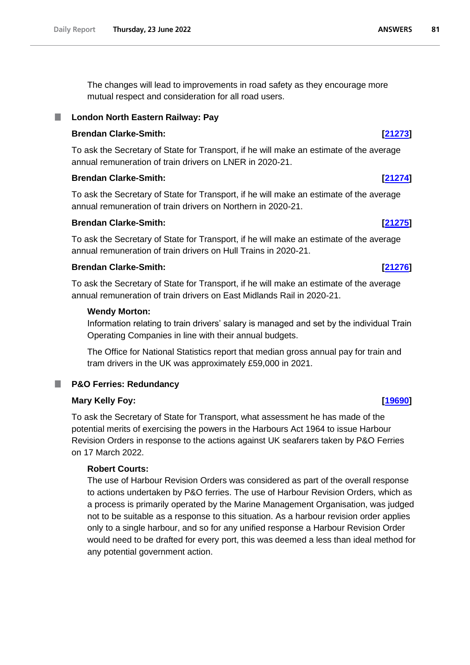The changes will lead to improvements in road safety as they encourage more mutual respect and consideration for all road users.

# **London North Eastern Railway: Pay**

## **Brendan Clarke-Smith: [\[21273\]](http://www.parliament.uk/business/publications/written-questions-answers-statements/written-question/Commons/2022-06-20/21273)**

To ask the Secretary of State for Transport, if he will make an estimate of the average annual remuneration of train drivers on LNER in 2020-21.

# **Brendan Clarke-Smith: [\[21274\]](http://www.parliament.uk/business/publications/written-questions-answers-statements/written-question/Commons/2022-06-20/21274)**

To ask the Secretary of State for Transport, if he will make an estimate of the average annual remuneration of train drivers on Northern in 2020-21.

# **Brendan Clarke-Smith: [\[21275\]](http://www.parliament.uk/business/publications/written-questions-answers-statements/written-question/Commons/2022-06-20/21275)**

To ask the Secretary of State for Transport, if he will make an estimate of the average annual remuneration of train drivers on Hull Trains in 2020-21.

# **Brendan Clarke-Smith: [\[21276\]](http://www.parliament.uk/business/publications/written-questions-answers-statements/written-question/Commons/2022-06-20/21276)**

To ask the Secretary of State for Transport, if he will make an estimate of the average annual remuneration of train drivers on East Midlands Rail in 2020-21.

## **Wendy Morton:**

Information relating to train drivers' salary is managed and set by the individual Train Operating Companies in line with their annual budgets.

The Office for National Statistics report that median gross annual pay for train and tram drivers in the UK was approximately £59,000 in 2021.

# **P&O Ferries: Redundancy**

## **Mary Kelly Foy: [\[19690\]](http://www.parliament.uk/business/publications/written-questions-answers-statements/written-question/Commons/2022-06-16/19690)**

To ask the Secretary of State for Transport, what assessment he has made of the potential merits of exercising the powers in the Harbours Act 1964 to issue Harbour Revision Orders in response to the actions against UK seafarers taken by P&O Ferries on 17 March 2022.

# **Robert Courts:**

The use of Harbour Revision Orders was considered as part of the overall response to actions undertaken by P&O ferries. The use of Harbour Revision Orders, which as a process is primarily operated by the Marine Management Organisation, was judged not to be suitable as a response to this situation. As a harbour revision order applies only to a single harbour, and so for any unified response a Harbour Revision Order would need to be drafted for every port, this was deemed a less than ideal method for any potential government action.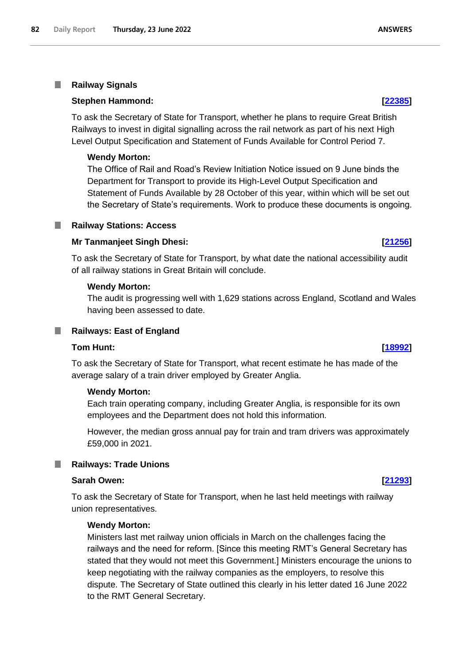#### **Railway Signals** I.

### **Stephen Hammond: [\[22385\]](http://www.parliament.uk/business/publications/written-questions-answers-statements/written-question/Commons/2022-06-21/22385)**

To ask the Secretary of State for Transport, whether he plans to require Great British Railways to invest in digital signalling across the rail network as part of his next High Level Output Specification and Statement of Funds Available for Control Period 7.

## **Wendy Morton:**

The Office of Rail and Road's Review Initiation Notice issued on 9 June binds the Department for Transport to provide its High-Level Output Specification and Statement of Funds Available by 28 October of this year, within which will be set out the Secretary of State's requirements. Work to produce these documents is ongoing.

## **Railway Stations: Access**

### **Mr Tanmanjeet Singh Dhesi: [\[21256\]](http://www.parliament.uk/business/publications/written-questions-answers-statements/written-question/Commons/2022-06-20/21256)**

To ask the Secretary of State for Transport, by what date the national accessibility audit of all railway stations in Great Britain will conclude.

### **Wendy Morton:**

The audit is progressing well with 1,629 stations across England, Scotland and Wales having been assessed to date.

#### $\Box$ **Railways: East of England**

### **Tom Hunt: [\[18992\]](http://www.parliament.uk/business/publications/written-questions-answers-statements/written-question/Commons/2022-06-15/18992)**

To ask the Secretary of State for Transport, what recent estimate he has made of the average salary of a train driver employed by Greater Anglia.

#### **Wendy Morton:**

Each train operating company, including Greater Anglia, is responsible for its own employees and the Department does not hold this information.

However, the median gross annual pay for train and tram drivers was approximately £59,000 in 2021.

#### **Railways: Trade Unions** ш

#### **Sarah Owen: [\[21293\]](http://www.parliament.uk/business/publications/written-questions-answers-statements/written-question/Commons/2022-06-20/21293)**

To ask the Secretary of State for Transport, when he last held meetings with railway union representatives.

#### **Wendy Morton:**

Ministers last met railway union officials in March on the challenges facing the railways and the need for reform. [Since this meeting RMT's General Secretary has stated that they would not meet this Government.] Ministers encourage the unions to keep negotiating with the railway companies as the employers, to resolve this dispute. The Secretary of State outlined this clearly in his letter dated 16 June 2022 to the RMT General Secretary.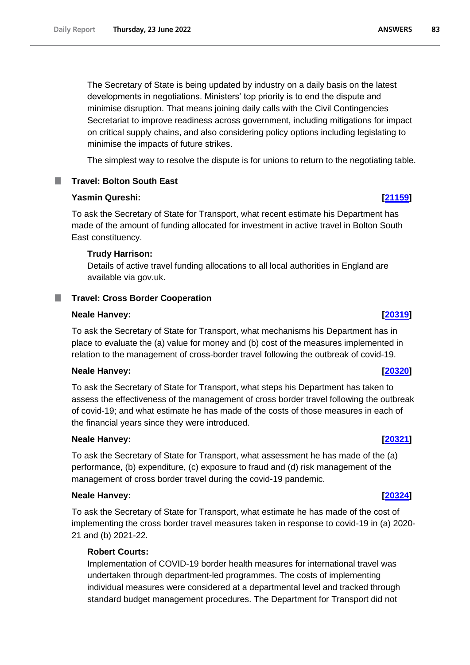The Secretary of State is being updated by industry on a daily basis on the latest developments in negotiations. Ministers' top priority is to end the dispute and minimise disruption. That means joining daily calls with the Civil Contingencies Secretariat to improve readiness across government, including mitigations for impact on critical supply chains, and also considering policy options including legislating to minimise the impacts of future strikes.

The simplest way to resolve the dispute is for unions to return to the negotiating table.

# **Travel: Bolton South East**

# **Yasmin Qureshi: [\[21159\]](http://www.parliament.uk/business/publications/written-questions-answers-statements/written-question/Commons/2022-06-20/21159)**

To ask the Secretary of State for Transport, what recent estimate his Department has made of the amount of funding allocated for investment in active travel in Bolton South East constituency.

# **Trudy Harrison:**

Details of active travel funding allocations to all local authorities in England are available via gov.uk.

# **Travel: Cross Border Cooperation**

## **Neale Hanvey: [\[20319\]](http://www.parliament.uk/business/publications/written-questions-answers-statements/written-question/Commons/2022-06-17/20319)**

To ask the Secretary of State for Transport, what mechanisms his Department has in place to evaluate the (a) value for money and (b) cost of the measures implemented in relation to the management of cross-border travel following the outbreak of covid-19.

## **Neale Hanvey: [\[20320\]](http://www.parliament.uk/business/publications/written-questions-answers-statements/written-question/Commons/2022-06-17/20320)**

To ask the Secretary of State for Transport, what steps his Department has taken to assess the effectiveness of the management of cross border travel following the outbreak of covid-19; and what estimate he has made of the costs of those measures in each of the financial years since they were introduced.

## **Neale Hanvey: [\[20321\]](http://www.parliament.uk/business/publications/written-questions-answers-statements/written-question/Commons/2022-06-17/20321)**

To ask the Secretary of State for Transport, what assessment he has made of the (a) performance, (b) expenditure, (c) exposure to fraud and (d) risk management of the management of cross border travel during the covid-19 pandemic.

## **Neale Hanvey: [\[20324\]](http://www.parliament.uk/business/publications/written-questions-answers-statements/written-question/Commons/2022-06-17/20324)**

To ask the Secretary of State for Transport, what estimate he has made of the cost of implementing the cross border travel measures taken in response to covid-19 in (a) 2020- 21 and (b) 2021-22.

## **Robert Courts:**

Implementation of COVID-19 border health measures for international travel was undertaken through department-led programmes. The costs of implementing individual measures were considered at a departmental level and tracked through standard budget management procedures. The Department for Transport did not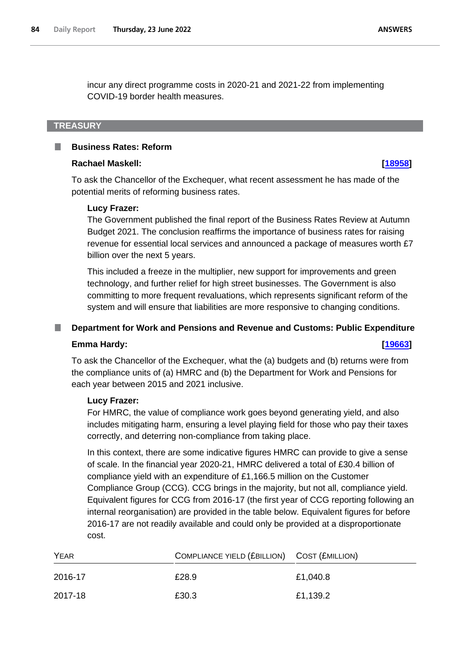incur any direct programme costs in 2020-21 and 2021-22 from implementing COVID-19 border health measures.

# **TREASURY**

#### **Business Rates: Reform** п

### **Rachael Maskell: [\[18958\]](http://www.parliament.uk/business/publications/written-questions-answers-statements/written-question/Commons/2022-06-15/18958)**

To ask the Chancellor of the Exchequer, what recent assessment he has made of the potential merits of reforming business rates.

#### **Lucy Frazer:**

The Government published the final report of the Business Rates Review at Autumn Budget 2021. The conclusion reaffirms the importance of business rates for raising revenue for essential local services and announced a package of measures worth £7 billion over the next 5 years.

This included a freeze in the multiplier, new support for improvements and green technology, and further relief for high street businesses. The Government is also committing to more frequent revaluations, which represents significant reform of the system and will ensure that liabilities are more responsive to changing conditions.

#### **Department for Work and Pensions and Revenue and Customs: Public Expenditure**

#### **Emma Hardy: [\[19663\]](http://www.parliament.uk/business/publications/written-questions-answers-statements/written-question/Commons/2022-06-16/19663)**

To ask the Chancellor of the Exchequer, what the (a) budgets and (b) returns were from the compliance units of (a) HMRC and (b) the Department for Work and Pensions for each year between 2015 and 2021 inclusive.

#### **Lucy Frazer:**

For HMRC, the value of compliance work goes beyond generating yield, and also includes mitigating harm, ensuring a level playing field for those who pay their taxes correctly, and deterring non-compliance from taking place.

In this context, there are some indicative figures HMRC can provide to give a sense of scale. In the financial year 2020-21, HMRC delivered a total of £30.4 billion of compliance yield with an expenditure of £1,166.5 million on the Customer Compliance Group (CCG). CCG brings in the majority, but not all, compliance yield. Equivalent figures for CCG from 2016-17 (the first year of CCG reporting following an internal reorganisation) are provided in the table below. Equivalent figures for before 2016-17 are not readily available and could only be provided at a disproportionate cost.

| <b>YEAR</b> | COMPLIANCE YIELD (£BILLION) COST (£MILLION) |          |
|-------------|---------------------------------------------|----------|
| 2016-17     | £28.9                                       | £1,040.8 |
| 2017-18     | £30.3                                       | £1,139.2 |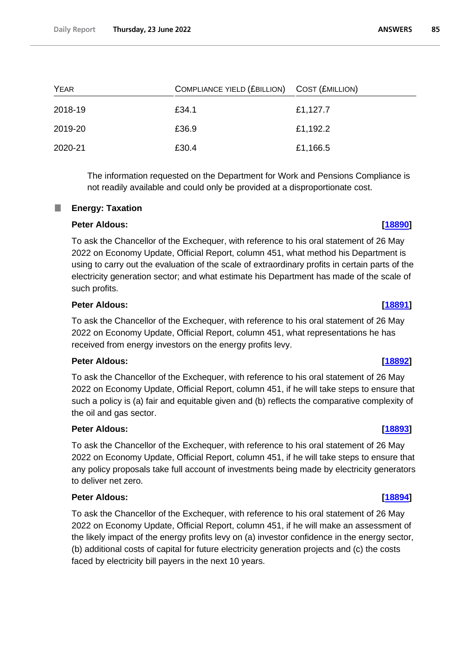| YEAR    | COMPLIANCE YIELD (£BILLION) COST (£MILLION) |          |
|---------|---------------------------------------------|----------|
| 2018-19 | £34.1                                       | £1,127.7 |
| 2019-20 | £36.9                                       | £1,192.2 |
| 2020-21 | £30.4                                       | £1,166.5 |

The information requested on the Department for Work and Pensions Compliance is not readily available and could only be provided at a disproportionate cost.

# **Energy: Taxation**

# **Peter Aldous: [\[18890\]](http://www.parliament.uk/business/publications/written-questions-answers-statements/written-question/Commons/2022-06-15/18890)**

To ask the Chancellor of the Exchequer, with reference to his oral statement of 26 May 2022 on Economy Update, Official Report, column 451, what method his Department is using to carry out the evaluation of the scale of extraordinary profits in certain parts of the electricity generation sector; and what estimate his Department has made of the scale of such profits.

# **Peter Aldous: [\[18891\]](http://www.parliament.uk/business/publications/written-questions-answers-statements/written-question/Commons/2022-06-15/18891)**

To ask the Chancellor of the Exchequer, with reference to his oral statement of 26 May 2022 on Economy Update, Official Report, column 451, what representations he has received from energy investors on the energy profits levy.

## **Peter Aldous: [\[18892\]](http://www.parliament.uk/business/publications/written-questions-answers-statements/written-question/Commons/2022-06-15/18892)**

To ask the Chancellor of the Exchequer, with reference to his oral statement of 26 May 2022 on Economy Update, Official Report, column 451, if he will take steps to ensure that such a policy is (a) fair and equitable given and (b) reflects the comparative complexity of the oil and gas sector.

# **Peter Aldous: [\[18893\]](http://www.parliament.uk/business/publications/written-questions-answers-statements/written-question/Commons/2022-06-15/18893)**

To ask the Chancellor of the Exchequer, with reference to his oral statement of 26 May 2022 on Economy Update, Official Report, column 451, if he will take steps to ensure that any policy proposals take full account of investments being made by electricity generators to deliver net zero.

# **Peter Aldous: [\[18894\]](http://www.parliament.uk/business/publications/written-questions-answers-statements/written-question/Commons/2022-06-15/18894)**

To ask the Chancellor of the Exchequer, with reference to his oral statement of 26 May 2022 on Economy Update, Official Report, column 451, if he will make an assessment of the likely impact of the energy profits levy on (a) investor confidence in the energy sector, (b) additional costs of capital for future electricity generation projects and (c) the costs faced by electricity bill payers in the next 10 years.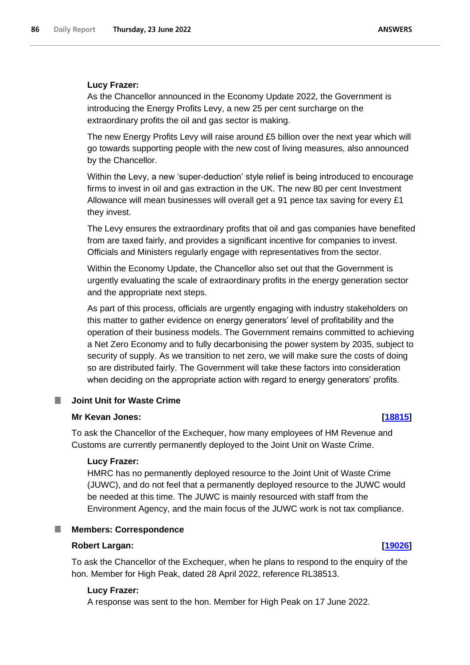# **Lucy Frazer:**

As the Chancellor announced in the Economy Update 2022, the Government is introducing the Energy Profits Levy, a new 25 per cent surcharge on the extraordinary profits the oil and gas sector is making.

The new Energy Profits Levy will raise around £5 billion over the next year which will go towards supporting people with the new cost of living measures, also announced by the Chancellor.

Within the Levy, a new 'super-deduction' style relief is being introduced to encourage firms to invest in oil and gas extraction in the UK. The new 80 per cent Investment Allowance will mean businesses will overall get a 91 pence tax saving for every £1 they invest.

The Levy ensures the extraordinary profits that oil and gas companies have benefited from are taxed fairly, and provides a significant incentive for companies to invest. Officials and Ministers regularly engage with representatives from the sector.

Within the Economy Update, the Chancellor also set out that the Government is urgently evaluating the scale of extraordinary profits in the energy generation sector and the appropriate next steps.

As part of this process, officials are urgently engaging with industry stakeholders on this matter to gather evidence on energy generators' level of profitability and the operation of their business models. The Government remains committed to achieving a Net Zero Economy and to fully decarbonising the power system by 2035, subject to security of supply. As we transition to net zero, we will make sure the costs of doing so are distributed fairly. The Government will take these factors into consideration when deciding on the appropriate action with regard to energy generators' profits.

#### **Joint Unit for Waste Crime** .

## **Mr Kevan Jones: [\[18815\]](http://www.parliament.uk/business/publications/written-questions-answers-statements/written-question/Commons/2022-06-15/18815)**

To ask the Chancellor of the Exchequer, how many employees of HM Revenue and Customs are currently permanently deployed to the Joint Unit on Waste Crime.

## **Lucy Frazer:**

HMRC has no permanently deployed resource to the Joint Unit of Waste Crime (JUWC), and do not feel that a permanently deployed resource to the JUWC would be needed at this time. The JUWC is mainly resourced with staff from the Environment Agency, and the main focus of the JUWC work is not tax compliance.

# **Members: Correspondence**

## **Robert Largan: [\[19026\]](http://www.parliament.uk/business/publications/written-questions-answers-statements/written-question/Commons/2022-06-15/19026)**

To ask the Chancellor of the Exchequer, when he plans to respond to the enquiry of the hon. Member for High Peak, dated 28 April 2022, reference RL38513.

## **Lucy Frazer:**

A response was sent to the hon. Member for High Peak on 17 June 2022.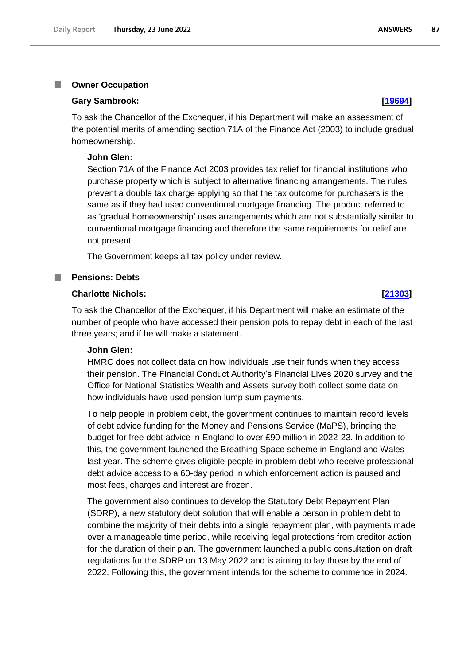#### T. **Owner Occupation**

#### **Gary Sambrook: [\[19694\]](http://www.parliament.uk/business/publications/written-questions-answers-statements/written-question/Commons/2022-06-16/19694)**

To ask the Chancellor of the Exchequer, if his Department will make an assessment of the potential merits of amending section 71A of the Finance Act (2003) to include gradual homeownership.

#### **John Glen:**

Section 71A of the Finance Act 2003 provides tax relief for financial institutions who purchase property which is subject to alternative financing arrangements. The rules prevent a double tax charge applying so that the tax outcome for purchasers is the same as if they had used conventional mortgage financing. The product referred to as 'gradual homeownership' uses arrangements which are not substantially similar to conventional mortgage financing and therefore the same requirements for relief are not present.

The Government keeps all tax policy under review.

#### **Pensions: Debts**

## **Charlotte Nichols: [\[21303\]](http://www.parliament.uk/business/publications/written-questions-answers-statements/written-question/Commons/2022-06-20/21303)**

To ask the Chancellor of the Exchequer, if his Department will make an estimate of the number of people who have accessed their pension pots to repay debt in each of the last three years; and if he will make a statement.

#### **John Glen:**

HMRC does not collect data on how individuals use their funds when they access their pension. The Financial Conduct Authority's Financial Lives 2020 survey and the Office for National Statistics Wealth and Assets survey both collect some data on how individuals have used pension lump sum payments.

To help people in problem debt, the government continues to maintain record levels of debt advice funding for the Money and Pensions Service (MaPS), bringing the budget for free debt advice in England to over £90 million in 2022-23. In addition to this, the government launched the Breathing Space scheme in England and Wales last year. The scheme gives eligible people in problem debt who receive professional debt advice access to a 60-day period in which enforcement action is paused and most fees, charges and interest are frozen.

The government also continues to develop the Statutory Debt Repayment Plan (SDRP), a new statutory debt solution that will enable a person in problem debt to combine the majority of their debts into a single repayment plan, with payments made over a manageable time period, while receiving legal protections from creditor action for the duration of their plan. The government launched a public consultation on draft regulations for the SDRP on 13 May 2022 and is aiming to lay those by the end of 2022. Following this, the government intends for the scheme to commence in 2024.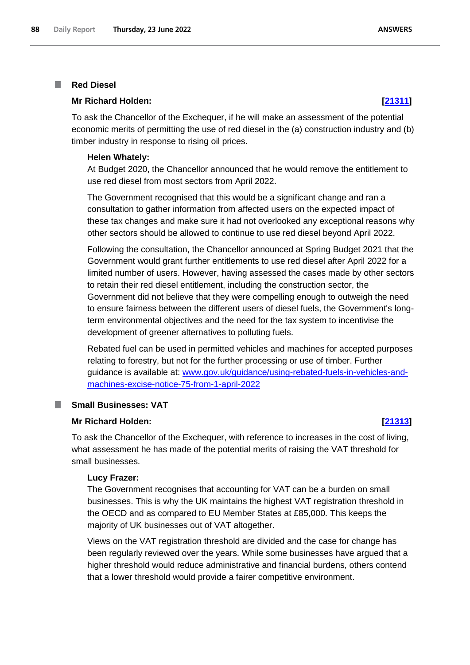#### **Red Diesel** T.

## **Mr Richard Holden: [\[21311\]](http://www.parliament.uk/business/publications/written-questions-answers-statements/written-question/Commons/2022-06-20/21311)**

To ask the Chancellor of the Exchequer, if he will make an assessment of the potential economic merits of permitting the use of red diesel in the (a) construction industry and (b) timber industry in response to rising oil prices.

#### **Helen Whately:**

At Budget 2020, the Chancellor announced that he would remove the entitlement to use red diesel from most sectors from April 2022.

The Government recognised that this would be a significant change and ran a consultation to gather information from affected users on the expected impact of these tax changes and make sure it had not overlooked any exceptional reasons why other sectors should be allowed to continue to use red diesel beyond April 2022.

Following the consultation, the Chancellor announced at Spring Budget 2021 that the Government would grant further entitlements to use red diesel after April 2022 for a limited number of users. However, having assessed the cases made by other sectors to retain their red diesel entitlement, including the construction sector, the Government did not believe that they were compelling enough to outweigh the need to ensure fairness between the different users of diesel fuels, the Government's longterm environmental objectives and the need for the tax system to incentivise the development of greener alternatives to polluting fuels.

Rebated fuel can be used in permitted vehicles and machines for accepted purposes relating to forestry, but not for the further processing or use of timber. Further guidance is available at: [www.gov.uk/guidance/using-rebated-fuels-in-vehicles-and](http://www.gov.uk/guidance/using-rebated-fuels-in-vehicles-and-machines-excise-notice-75-from-1-april-2022)[machines-excise-notice-75-from-1-april-2022](http://www.gov.uk/guidance/using-rebated-fuels-in-vehicles-and-machines-excise-notice-75-from-1-april-2022)

#### **Small Businesses: VAT** T.

## **Mr Richard Holden: [\[21313\]](http://www.parliament.uk/business/publications/written-questions-answers-statements/written-question/Commons/2022-06-20/21313)**

To ask the Chancellor of the Exchequer, with reference to increases in the cost of living, what assessment he has made of the potential merits of raising the VAT threshold for small businesses.

#### **Lucy Frazer:**

The Government recognises that accounting for VAT can be a burden on small businesses. This is why the UK maintains the highest VAT registration threshold in the OECD and as compared to EU Member States at £85,000. This keeps the majority of UK businesses out of VAT altogether.

Views on the VAT registration threshold are divided and the case for change has been regularly reviewed over the years. While some businesses have argued that a higher threshold would reduce administrative and financial burdens, others contend that a lower threshold would provide a fairer competitive environment.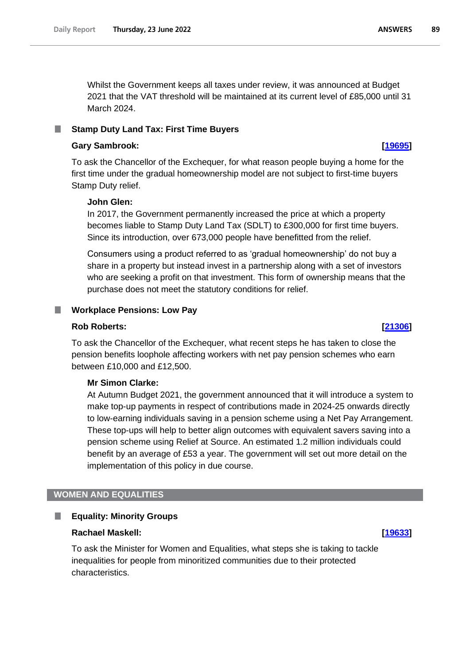Whilst the Government keeps all taxes under review, it was announced at Budget 2021 that the VAT threshold will be maintained at its current level of £85,000 until 31 March 2024.

# **Stamp Duty Land Tax: First Time Buyers**

## **Gary Sambrook: [\[19695\]](http://www.parliament.uk/business/publications/written-questions-answers-statements/written-question/Commons/2022-06-16/19695)**

To ask the Chancellor of the Exchequer, for what reason people buying a home for the first time under the gradual homeownership model are not subject to first-time buyers Stamp Duty relief.

## **John Glen:**

In 2017, the Government permanently increased the price at which a property becomes liable to Stamp Duty Land Tax (SDLT) to £300,000 for first time buyers. Since its introduction, over 673,000 people have benefitted from the relief.

Consumers using a product referred to as 'gradual homeownership' do not buy a share in a property but instead invest in a partnership along with a set of investors who are seeking a profit on that investment. This form of ownership means that the purchase does not meet the statutory conditions for relief.

# **Workplace Pensions: Low Pay**

## **Rob Roberts: [\[21306\]](http://www.parliament.uk/business/publications/written-questions-answers-statements/written-question/Commons/2022-06-20/21306)**

To ask the Chancellor of the Exchequer, what recent steps he has taken to close the pension benefits loophole affecting workers with net pay pension schemes who earn between £10,000 and £12,500.

## **Mr Simon Clarke:**

At Autumn Budget 2021, the government announced that it will introduce a system to make top-up payments in respect of contributions made in 2024-25 onwards directly to low-earning individuals saving in a pension scheme using a Net Pay Arrangement. These top-ups will help to better align outcomes with equivalent savers saving into a pension scheme using Relief at Source. An estimated 1.2 million individuals could benefit by an average of £53 a year. The government will set out more detail on the implementation of this policy in due course.

# **WOMEN AND EQUALITIES**

#### L. **Equality: Minority Groups**

#### **Rachael Maskell: [\[19633\]](http://www.parliament.uk/business/publications/written-questions-answers-statements/written-question/Commons/2022-06-16/19633)**

To ask the Minister for Women and Equalities, what steps she is taking to tackle inequalities for people from minoritized communities due to their protected characteristics.

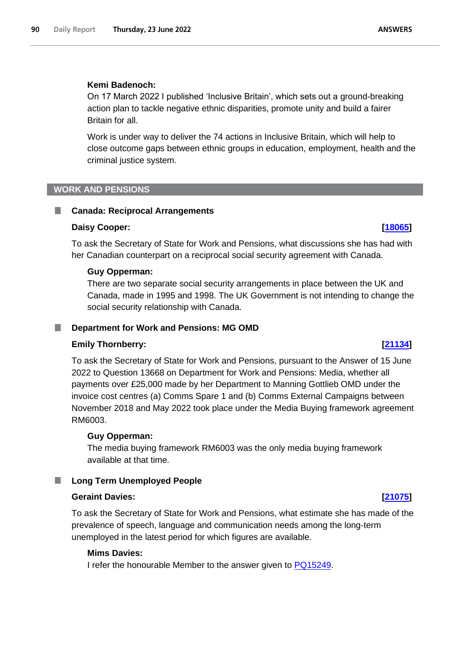### **Kemi Badenoch:**

On 17 March 2022 I published 'Inclusive Britain', which sets out a ground-breaking action plan to tackle negative ethnic disparities, promote unity and build a fairer Britain for all.

Work is under way to deliver the 74 actions in Inclusive Britain, which will help to close outcome gaps between ethnic groups in education, employment, health and the criminal justice system.

### **WORK AND PENSIONS**

## **Canada: Reciprocal Arrangements**

#### **Daisy Cooper: [\[18065\]](http://www.parliament.uk/business/publications/written-questions-answers-statements/written-question/Commons/2022-06-14/18065)**

To ask the Secretary of State for Work and Pensions, what discussions she has had with her Canadian counterpart on a reciprocal social security agreement with Canada.

#### **Guy Opperman:**

There are two separate social security arrangements in place between the UK and Canada, made in 1995 and 1998. The UK Government is not intending to change the social security relationship with Canada.

#### **Department for Work and Pensions: MG OMD**

### **Emily Thornberry: [\[21134\]](http://www.parliament.uk/business/publications/written-questions-answers-statements/written-question/Commons/2022-06-20/21134)**

To ask the Secretary of State for Work and Pensions, pursuant to the Answer of 15 June 2022 to Question 13668 on Department for Work and Pensions: Media, whether all payments over £25,000 made by her Department to Manning Gottlieb OMD under the invoice cost centres (a) Comms Spare 1 and (b) Comms External Campaigns between November 2018 and May 2022 took place under the Media Buying framework agreement RM6003.

#### **Guy Opperman:**

The media buying framework RM6003 was the only media buying framework available at that time.

### **Long Term Unemployed People**

## **Geraint Davies: [\[21075\]](http://www.parliament.uk/business/publications/written-questions-answers-statements/written-question/Commons/2022-06-20/21075)**

To ask the Secretary of State for Work and Pensions, what estimate she has made of the prevalence of speech, language and communication needs among the long-term unemployed in the latest period for which figures are available.

## **Mims Davies:**

I refer the honourable Member to the answer given to PQ15249.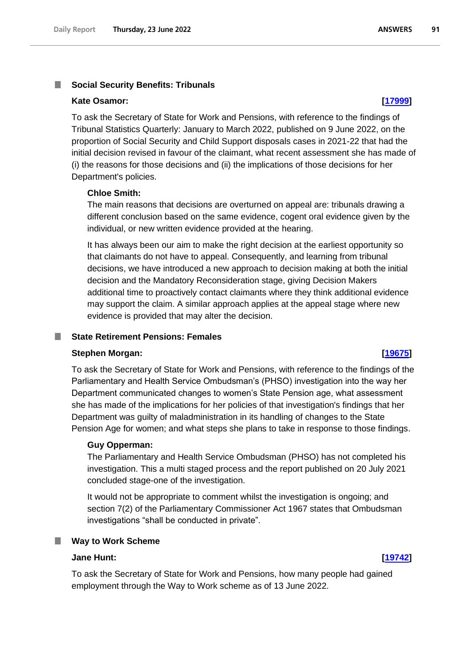#### T. **Social Security Benefits: Tribunals**

#### **Kate Osamor: [\[17999\]](http://www.parliament.uk/business/publications/written-questions-answers-statements/written-question/Commons/2022-06-14/17999)**

To ask the Secretary of State for Work and Pensions, with reference to the findings of Tribunal Statistics Quarterly: January to March 2022, published on 9 June 2022, on the proportion of Social Security and Child Support disposals cases in 2021-22 that had the initial decision revised in favour of the claimant, what recent assessment she has made of (i) the reasons for those decisions and (ii) the implications of those decisions for her Department's policies.

#### **Chloe Smith:**

The main reasons that decisions are overturned on appeal are: tribunals drawing a different conclusion based on the same evidence, cogent oral evidence given by the individual, or new written evidence provided at the hearing.

It has always been our aim to make the right decision at the earliest opportunity so that claimants do not have to appeal. Consequently, and learning from tribunal decisions, we have introduced a new approach to decision making at both the initial decision and the Mandatory Reconsideration stage, giving Decision Makers additional time to proactively contact claimants where they think additional evidence may support the claim. A similar approach applies at the appeal stage where new evidence is provided that may alter the decision.

### **State Retirement Pensions: Females**

#### **Stephen Morgan: [\[19675\]](http://www.parliament.uk/business/publications/written-questions-answers-statements/written-question/Commons/2022-06-16/19675)**

To ask the Secretary of State for Work and Pensions, with reference to the findings of the Parliamentary and Health Service Ombudsman's (PHSO) investigation into the way her Department communicated changes to women's State Pension age, what assessment she has made of the implications for her policies of that investigation's findings that her Department was guilty of maladministration in its handling of changes to the State Pension Age for women; and what steps she plans to take in response to those findings.

### **Guy Opperman:**

The Parliamentary and Health Service Ombudsman (PHSO) has not completed his investigation. This a multi staged process and the report published on 20 July 2021 concluded stage-one of the investigation.

It would not be appropriate to comment whilst the investigation is ongoing; and section 7(2) of the Parliamentary Commissioner Act 1967 states that Ombudsman investigations "shall be conducted in private".

# **Way to Work Scheme**

## **Jane Hunt: [\[19742\]](http://www.parliament.uk/business/publications/written-questions-answers-statements/written-question/Commons/2022-06-16/19742)**

To ask the Secretary of State for Work and Pensions, how many people had gained employment through the Way to Work scheme as of 13 June 2022.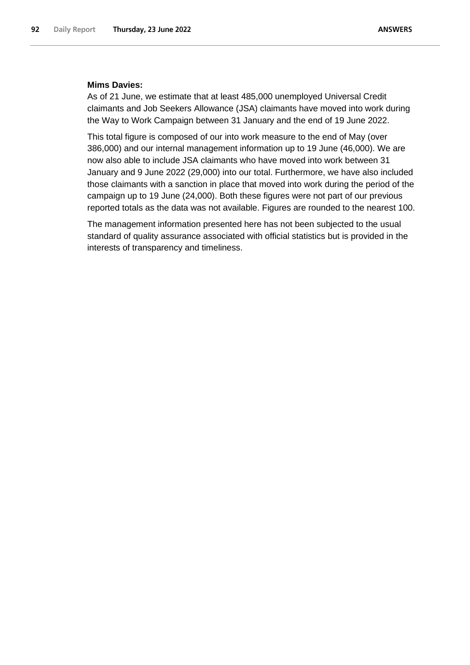### **Mims Davies:**

As of 21 June, we estimate that at least 485,000 unemployed Universal Credit claimants and Job Seekers Allowance (JSA) claimants have moved into work during the Way to Work Campaign between 31 January and the end of 19 June 2022.

This total figure is composed of our into work measure to the end of May (over 386,000) and our internal management information up to 19 June (46,000). We are now also able to include JSA claimants who have moved into work between 31 January and 9 June 2022 (29,000) into our total. Furthermore, we have also included those claimants with a sanction in place that moved into work during the period of the campaign up to 19 June (24,000). Both these figures were not part of our previous reported totals as the data was not available. Figures are rounded to the nearest 100.

The management information presented here has not been subjected to the usual standard of quality assurance associated with official statistics but is provided in the interests of transparency and timeliness.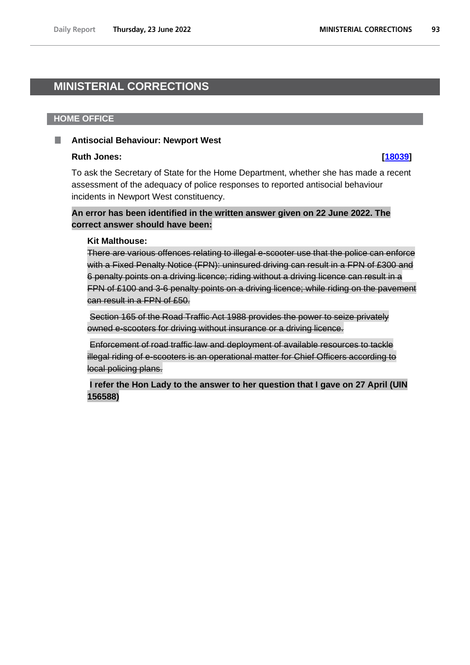# **MINISTERIAL CORRECTIONS**

## **HOME OFFICE**

#### **Antisocial Behaviour: Newport West** п

## **Ruth Jones: [\[18039\]](http://www.parliament.uk/business/publications/written-questions-answers-statements/written-question/Commons/2022-06-14/18039)**

To ask the Secretary of State for the Home Department, whether she has made a recent assessment of the adequacy of police responses to reported antisocial behaviour incidents in Newport West constituency.

# **An error has been identified in the written answer given on 22 June 2022. The correct answer should have been:**

## **Kit Malthouse:**

There are various offences relating to illegal e-scooter use that the police can enforce with a Fixed Penalty Notice (FPN): uninsured driving can result in a FPN of £300 and 6 penalty points on a driving licence; riding without a driving licence can result in a FPN of £100 and 3-6 penalty points on a driving licence; while riding on the pavement can result in a FPN of £50.

Section 165 of the Road Traffic Act 1988 provides the power to seize privately owned e-scooters for driving without insurance or a driving licence.

Enforcement of road traffic law and deployment of available resources to tackle illegal riding of e-scooters is an operational matter for Chief Officers according to local policing plans.

**I refer the Hon Lady to the answer to her question that I gave on 27 April (UIN 156588)**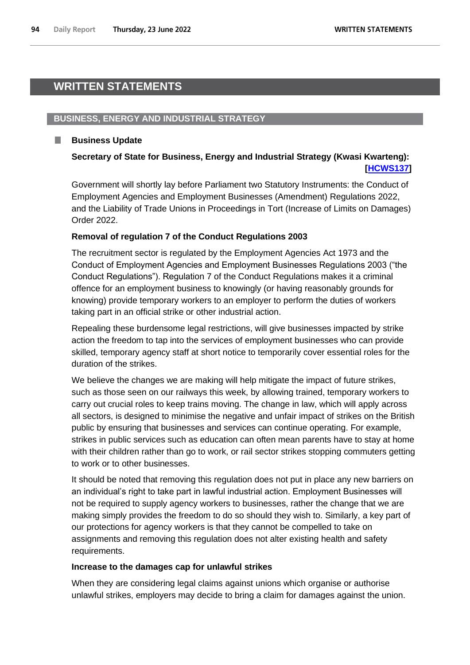# **WRITTEN STATEMENTS**

# **BUSINESS, ENERGY AND INDUSTRIAL STRATEGY**

# **Business Update**

ш

# **Secretary of State for Business, Energy and Industrial Strategy (Kwasi Kwarteng):  [\[HCWS137\]](http://www.parliament.uk/business/publications/written-questions-answers-statements/written-statement/Commons/2022-06-23/HCWS137/)**

Government will shortly lay before Parliament two Statutory Instruments: the Conduct of Employment Agencies and Employment Businesses (Amendment) Regulations 2022, and the Liability of Trade Unions in Proceedings in Tort (Increase of Limits on Damages) Order 2022.

# **Removal of regulation 7 of the Conduct Regulations 2003**

The recruitment sector is regulated by the Employment Agencies Act 1973 and the Conduct of Employment Agencies and Employment Businesses Regulations 2003 ("the Conduct Regulations"). Regulation 7 of the Conduct Regulations makes it a criminal offence for an employment business to knowingly (or having reasonably grounds for knowing) provide temporary workers to an employer to perform the duties of workers taking part in an official strike or other industrial action.

Repealing these burdensome legal restrictions, will give businesses impacted by strike action the freedom to tap into the services of employment businesses who can provide skilled, temporary agency staff at short notice to temporarily cover essential roles for the duration of the strikes.

We believe the changes we are making will help mitigate the impact of future strikes, such as those seen on our railways this week, by allowing trained, temporary workers to carry out crucial roles to keep trains moving. The change in law, which will apply across all sectors, is designed to minimise the negative and unfair impact of strikes on the British public by ensuring that businesses and services can continue operating. For example, strikes in public services such as education can often mean parents have to stay at home with their children rather than go to work, or rail sector strikes stopping commuters getting to work or to other businesses.

It should be noted that removing this regulation does not put in place any new barriers on an individual's right to take part in lawful industrial action. Employment Businesses will not be required to supply agency workers to businesses, rather the change that we are making simply provides the freedom to do so should they wish to. Similarly, a key part of our protections for agency workers is that they cannot be compelled to take on assignments and removing this regulation does not alter existing health and safety requirements.

# **Increase to the damages cap for unlawful strikes**

When they are considering legal claims against unions which organise or authorise unlawful strikes, employers may decide to bring a claim for damages against the union.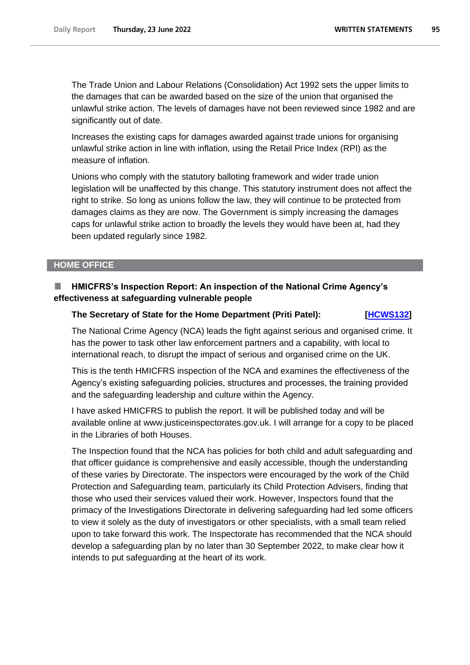The Trade Union and Labour Relations (Consolidation) Act 1992 sets the upper limits to the damages that can be awarded based on the size of the union that organised the unlawful strike action. The levels of damages have not been reviewed since 1982 and are significantly out of date.

Increases the existing caps for damages awarded against trade unions for organising unlawful strike action in line with inflation, using the Retail Price Index (RPI) as the measure of inflation.

Unions who comply with the statutory balloting framework and wider trade union legislation will be unaffected by this change. This statutory instrument does not affect the right to strike. So long as unions follow the law, they will continue to be protected from damages claims as they are now. The Government is simply increasing the damages caps for unlawful strike action to broadly the levels they would have been at, had they been updated regularly since 1982.

## **HOME OFFICE**

# **HMICFRS's Inspection Report: An inspection of the National Crime Agency's effectiveness at safeguarding vulnerable people**

### **The Secretary of State for the Home Department (Priti Patel): [\[HCWS132\]](http://www.parliament.uk/business/publications/written-questions-answers-statements/written-statement/Commons/2022-06-23/HCWS132/)**

The National Crime Agency (NCA) leads the fight against serious and organised crime. It has the power to task other law enforcement partners and a capability, with local to international reach, to disrupt the impact of serious and organised crime on the UK.

This is the tenth HMICFRS inspection of the NCA and examines the effectiveness of the Agency's existing safeguarding policies, structures and processes, the training provided and the safeguarding leadership and culture within the Agency.

I have asked HMICFRS to publish the report. It will be published today and will be available online at www.justiceinspectorates.gov.uk. I will arrange for a copy to be placed in the Libraries of both Houses.

The Inspection found that the NCA has policies for both child and adult safeguarding and that officer guidance is comprehensive and easily accessible, though the understanding of these varies by Directorate. The inspectors were encouraged by the work of the Child Protection and Safeguarding team, particularly its Child Protection Advisers, finding that those who used their services valued their work. However, Inspectors found that the primacy of the Investigations Directorate in delivering safeguarding had led some officers to view it solely as the duty of investigators or other specialists, with a small team relied upon to take forward this work. The Inspectorate has recommended that the NCA should develop a safeguarding plan by no later than 30 September 2022, to make clear how it intends to put safeguarding at the heart of its work.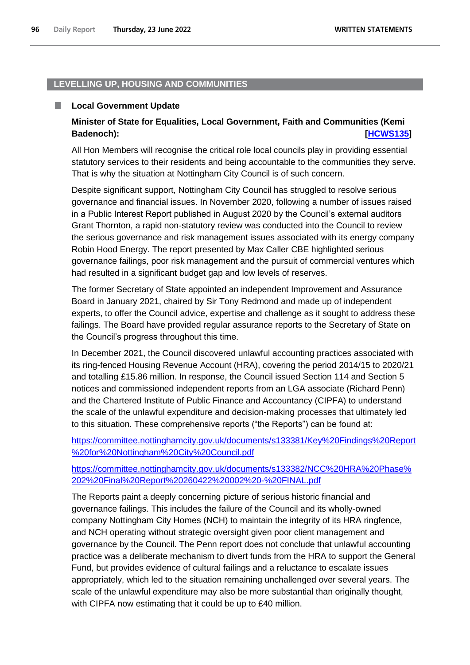## **LEVELLING UP, HOUSING AND COMMUNITIES**

#### . **Local Government Update**

# **Minister of State for Equalities, Local Government, Faith and Communities (Kemi Badenoch): [\[HCWS135\]](http://www.parliament.uk/business/publications/written-questions-answers-statements/written-statement/Commons/2022-06-23/HCWS135/)**

All Hon Members will recognise the critical role local councils play in providing essential statutory services to their residents and being accountable to the communities they serve. That is why the situation at Nottingham City Council is of such concern.

Despite significant support, Nottingham City Council has struggled to resolve serious governance and financial issues. In November 2020, following a number of issues raised in a Public Interest Report published in August 2020 by the Council's external auditors Grant Thornton, a rapid non-statutory review was conducted into the Council to review the serious governance and risk management issues associated with its energy company Robin Hood Energy. The report presented by Max Caller CBE highlighted serious governance failings, poor risk management and the pursuit of commercial ventures which had resulted in a significant budget gap and low levels of reserves.

The former Secretary of State appointed an independent Improvement and Assurance Board in January 2021, chaired by Sir Tony Redmond and made up of independent experts, to offer the Council advice, expertise and challenge as it sought to address these failings. The Board have provided regular assurance reports to the Secretary of State on the Council's progress throughout this time.

In December 2021, the Council discovered unlawful accounting practices associated with its ring-fenced Housing Revenue Account (HRA), covering the period 2014/15 to 2020/21 and totalling £15.86 million. In response, the Council issued Section 114 and Section 5 notices and commissioned independent reports from an LGA associate (Richard Penn) and the Chartered Institute of Public Finance and Accountancy (CIPFA) to understand the scale of the unlawful expenditure and decision-making processes that ultimately led to this situation. These comprehensive reports ("the Reports") can be found at:

[https://committee.nottinghamcity.gov.uk/documents/s133381/Key%20Findings%20Report](https://committee.nottinghamcity.gov.uk/documents/s133381/Key%20Findings%20Report%20for%20Nottingham%20City%20Council.pdf) [%20for%20Nottingham%20City%20Council.pdf](https://committee.nottinghamcity.gov.uk/documents/s133381/Key%20Findings%20Report%20for%20Nottingham%20City%20Council.pdf)

# [https://committee.nottinghamcity.gov.uk/documents/s133382/NCC%20HRA%20Phase%](https://committee.nottinghamcity.gov.uk/documents/s133382/NCC%20HRA%20Phase%202%20Final%20Report%20260422%20002%20-%20FINAL.pdf) [202%20Final%20Report%20260422%20002%20-%20FINAL.pdf](https://committee.nottinghamcity.gov.uk/documents/s133382/NCC%20HRA%20Phase%202%20Final%20Report%20260422%20002%20-%20FINAL.pdf)

The Reports paint a deeply concerning picture of serious historic financial and governance failings. This includes the failure of the Council and its wholly-owned company Nottingham City Homes (NCH) to maintain the integrity of its HRA ringfence, and NCH operating without strategic oversight given poor client management and governance by the Council. The Penn report does not conclude that unlawful accounting practice was a deliberate mechanism to divert funds from the HRA to support the General Fund, but provides evidence of cultural failings and a reluctance to escalate issues appropriately, which led to the situation remaining unchallenged over several years. The scale of the unlawful expenditure may also be more substantial than originally thought, with CIPFA now estimating that it could be up to £40 million.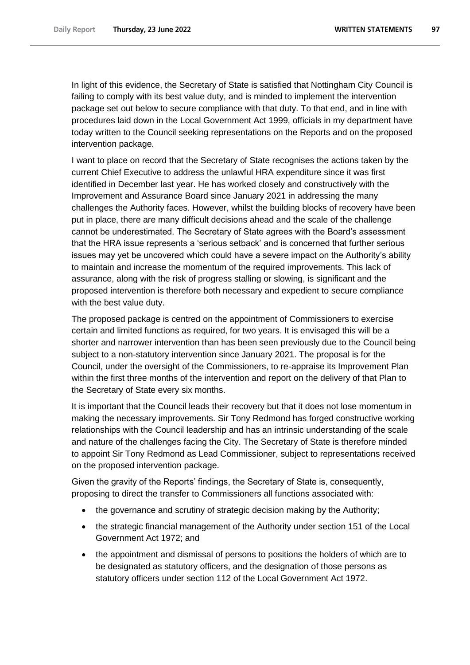In light of this evidence, the Secretary of State is satisfied that Nottingham City Council is failing to comply with its best value duty, and is minded to implement the intervention package set out below to secure compliance with that duty. To that end, and in line with procedures laid down in the Local Government Act 1999, officials in my department have today written to the Council seeking representations on the Reports and on the proposed intervention package.

I want to place on record that the Secretary of State recognises the actions taken by the current Chief Executive to address the unlawful HRA expenditure since it was first identified in December last year. He has worked closely and constructively with the Improvement and Assurance Board since January 2021 in addressing the many challenges the Authority faces. However, whilst the building blocks of recovery have been put in place, there are many difficult decisions ahead and the scale of the challenge cannot be underestimated. The Secretary of State agrees with the Board's assessment that the HRA issue represents a 'serious setback' and is concerned that further serious issues may yet be uncovered which could have a severe impact on the Authority's ability to maintain and increase the momentum of the required improvements. This lack of assurance, along with the risk of progress stalling or slowing, is significant and the proposed intervention is therefore both necessary and expedient to secure compliance with the best value duty.

The proposed package is centred on the appointment of Commissioners to exercise certain and limited functions as required, for two years. It is envisaged this will be a shorter and narrower intervention than has been seen previously due to the Council being subject to a non-statutory intervention since January 2021. The proposal is for the Council, under the oversight of the Commissioners, to re-appraise its Improvement Plan within the first three months of the intervention and report on the delivery of that Plan to the Secretary of State every six months.

It is important that the Council leads their recovery but that it does not lose momentum in making the necessary improvements. Sir Tony Redmond has forged constructive working relationships with the Council leadership and has an intrinsic understanding of the scale and nature of the challenges facing the City. The Secretary of State is therefore minded to appoint Sir Tony Redmond as Lead Commissioner, subject to representations received on the proposed intervention package.

Given the gravity of the Reports' findings, the Secretary of State is, consequently, proposing to direct the transfer to Commissioners all functions associated with:

- the governance and scrutiny of strategic decision making by the Authority;
- the strategic financial management of the Authority under section 151 of the Local Government Act 1972; and
- the appointment and dismissal of persons to positions the holders of which are to be designated as statutory officers, and the designation of those persons as statutory officers under section 112 of the Local Government Act 1972.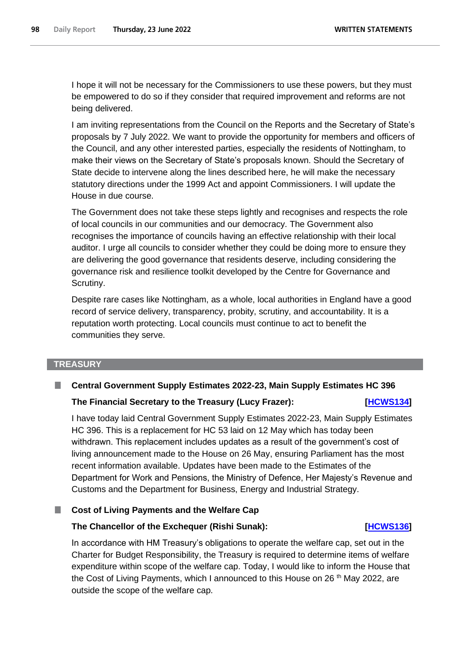I hope it will not be necessary for the Commissioners to use these powers, but they must be empowered to do so if they consider that required improvement and reforms are not being delivered.

I am inviting representations from the Council on the Reports and the Secretary of State's proposals by 7 July 2022. We want to provide the opportunity for members and officers of the Council, and any other interested parties, especially the residents of Nottingham, to make their views on the Secretary of State's proposals known. Should the Secretary of State decide to intervene along the lines described here, he will make the necessary statutory directions under the 1999 Act and appoint Commissioners. I will update the House in due course.

The Government does not take these steps lightly and recognises and respects the role of local councils in our communities and our democracy. The Government also recognises the importance of councils having an effective relationship with their local auditor. I urge all councils to consider whether they could be doing more to ensure they are delivering the good governance that residents deserve, including considering the governance risk and resilience toolkit developed by the Centre for Governance and Scrutiny.

Despite rare cases like Nottingham, as a whole, local authorities in England have a good record of service delivery, transparency, probity, scrutiny, and accountability. It is a reputation worth protecting. Local councils must continue to act to benefit the communities they serve.

### **TREASURY**

# **Central Government Supply Estimates 2022-23, Main Supply Estimates HC 396 The Financial Secretary to the Treasury (Lucy Frazer): [\[HCWS134\]](http://www.parliament.uk/business/publications/written-questions-answers-statements/written-statement/Commons/2022-06-23/HCWS134/)**

I have today laid Central Government Supply Estimates 2022-23, Main Supply Estimates HC 396. This is a replacement for HC 53 laid on 12 May which has today been withdrawn. This replacement includes updates as a result of the government's cost of living announcement made to the House on 26 May, ensuring Parliament has the most recent information available. Updates have been made to the Estimates of the Department for Work and Pensions, the Ministry of Defence, Her Majesty's Revenue and Customs and the Department for Business, Energy and Industrial Strategy.

## **Cost of Living Payments and the Welfare Cap**

## **The Chancellor of the Exchequer (Rishi Sunak): [\[HCWS136\]](http://www.parliament.uk/business/publications/written-questions-answers-statements/written-statement/Commons/2022-06-23/HCWS136/)**

In accordance with HM Treasury's obligations to operate the welfare cap, set out in the Charter for Budget Responsibility, the Treasury is required to determine items of welfare expenditure within scope of the welfare cap. Today, I would like to inform the House that the Cost of Living Payments, which I announced to this House on 26<sup>th</sup> May 2022, are outside the scope of the welfare cap.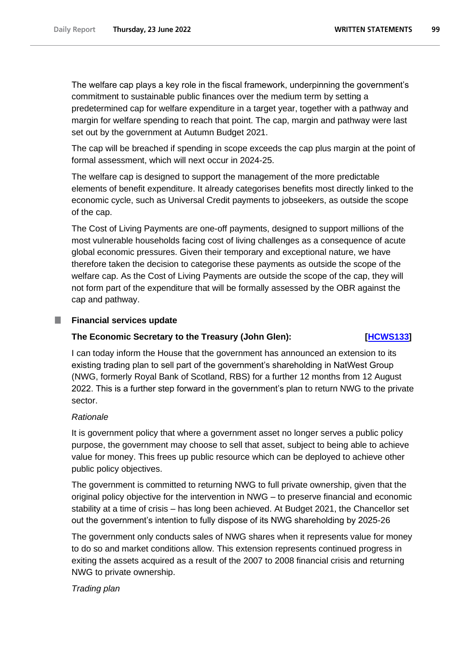The welfare cap plays a key role in the fiscal framework, underpinning the government's commitment to sustainable public finances over the medium term by setting a predetermined cap for welfare expenditure in a target year, together with a pathway and margin for welfare spending to reach that point. The cap, margin and pathway were last set out by the government at Autumn Budget 2021.

The cap will be breached if spending in scope exceeds the cap plus margin at the point of formal assessment, which will next occur in 2024-25.

The welfare cap is designed to support the management of the more predictable elements of benefit expenditure. It already categorises benefits most directly linked to the economic cycle, such as Universal Credit payments to jobseekers, as outside the scope of the cap.

The Cost of Living Payments are one-off payments, designed to support millions of the most vulnerable households facing cost of living challenges as a consequence of acute global economic pressures. Given their temporary and exceptional nature, we have therefore taken the decision to categorise these payments as outside the scope of the welfare cap. As the Cost of Living Payments are outside the scope of the cap, they will not form part of the expenditure that will be formally assessed by the OBR against the cap and pathway.

# **Financial services update**

# **The Economic Secretary to the Treasury (John Glen): [\[HCWS133\]](http://www.parliament.uk/business/publications/written-questions-answers-statements/written-statement/Commons/2022-06-23/HCWS133/)**

I can today inform the House that the government has announced an extension to its existing trading plan to sell part of the government's shareholding in NatWest Group (NWG, formerly Royal Bank of Scotland, RBS) for a further 12 months from 12 August 2022. This is a further step forward in the government's plan to return NWG to the private sector.

# *Rationale*

It is government policy that where a government asset no longer serves a public policy purpose, the government may choose to sell that asset, subject to being able to achieve value for money. This frees up public resource which can be deployed to achieve other public policy objectives.

The government is committed to returning NWG to full private ownership, given that the original policy objective for the intervention in NWG – to preserve financial and economic stability at a time of crisis – has long been achieved. At Budget 2021, the Chancellor set out the government's intention to fully dispose of its NWG shareholding by 2025-26

The government only conducts sales of NWG shares when it represents value for money to do so and market conditions allow. This extension represents continued progress in exiting the assets acquired as a result of the 2007 to 2008 financial crisis and returning NWG to private ownership.

# *Trading plan*